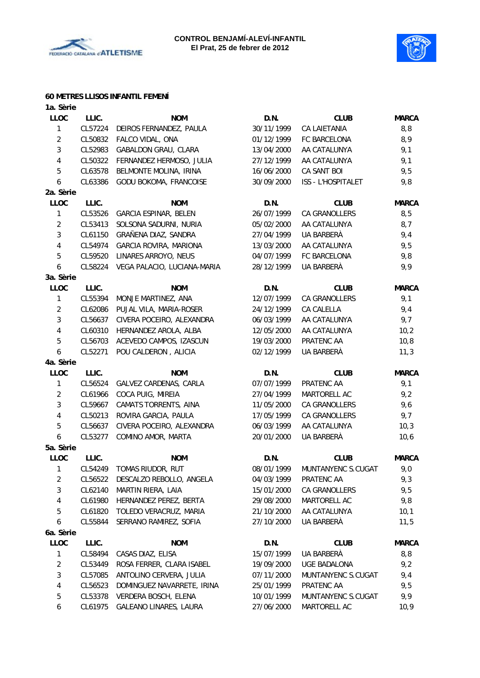



#### **60 METRES LLISOS INFANTIL FEMENÍ**

| 1a. Sèrie      |         |                             |            |                     |              |
|----------------|---------|-----------------------------|------------|---------------------|--------------|
| <b>LLOC</b>    | LLIC.   | <b>NOM</b>                  | D.N.       | <b>CLUB</b>         | <b>MARCA</b> |
| $\mathbf{1}$   | CL57224 | DEIROS FERNANDEZ, PAULA     | 30/11/1999 | CA LAIETANIA        | 8,8          |
| $\overline{2}$ | CL50832 | FALCO VIDAL, ONA            | 01/12/1999 | FC BARCELONA        | 8,9          |
| 3              | CL52983 | GABALDON GRAU, CLARA        | 13/04/2000 | AA CATALUNYA        | 9,1          |
| $\overline{4}$ | CL50322 | FERNANDEZ HERMOSO, JULIA    | 27/12/1999 | AA CATALUNYA        | 9,1          |
| $\sqrt{5}$     | CL63578 | BELMONTE MOLINA, IRINA      | 16/06/2000 | CA SANT BOI         | 9,5          |
| 6              | CL63386 | GODU BOKOMA, FRANCOISE      | 30/09/2000 | ISS - L'HOSPITALET  | 9,8          |
| 2a. Sèrie      |         |                             |            |                     |              |
| <b>LLOC</b>    | LLIC.   | <b>NOM</b>                  | D.N.       | <b>CLUB</b>         | <b>MARCA</b> |
| $\mathbf{1}$   | CL53526 | GARCIA ESPINAR, BELEN       | 26/07/1999 | CA GRANOLLERS       | 8,5          |
| $\overline{2}$ | CL53413 | SOLSONA SADURNI, NURIA      | 05/02/2000 | AA CATALUNYA        | 8,7          |
| 3              | CL61150 | GRAÑENA DIAZ, SANDRA        | 27/04/1999 | UA BARBERÀ          | 9,4          |
| 4              | CL54974 | GARCIA ROVIRA, MARIONA      | 13/03/2000 | AA CATALUNYA        | 9,5          |
| $\sqrt{5}$     | CL59520 | LINARES ARROYO, NEUS        | 04/07/1999 | FC BARCELONA        | 9,8          |
| 6              | CL58224 | VEGA PALACIO, LUCIANA-MARIA | 28/12/1999 | UA BARBERÀ          | 9,9          |
| 3a. Sèrie      |         |                             |            |                     |              |
| <b>LLOC</b>    | LLIC.   | <b>NOM</b>                  | D.N.       | <b>CLUB</b>         | <b>MARCA</b> |
| $\mathbf{1}$   | CL55394 | MONJE MARTINEZ, ANA         | 12/07/1999 | CA GRANOLLERS       | 9,1          |
| $\overline{2}$ | CL62086 | PUJAL VILA, MARIA-ROSER     | 24/12/1999 | CA CALELLA          | 9,4          |
| 3              | CL56637 | CIVERA POCEIRO, ALEXANDRA   | 06/03/1999 | AA CATALUNYA        | 9,7          |
| 4              | CL60310 | HERNANDEZ AROLA, ALBA       | 12/05/2000 | AA CATALUNYA        | 10,2         |
| 5              | CL56703 | ACEVEDO CAMPOS, IZASCUN     | 19/03/2000 | PRATENC AA          | 10,8         |
| 6              | CL52271 | POU CALDERON, ALICIA        | 02/12/1999 | UA BARBERÀ          | 11,3         |
| 4a. Sèrie      |         |                             |            |                     |              |
| <b>LLOC</b>    | LLIC.   | <b>NOM</b>                  | D.N.       | <b>CLUB</b>         | <b>MARCA</b> |
| 1              | CL56524 | GALVEZ CARDENAS, CARLA      | 07/07/1999 | PRATENC AA          | 9,1          |
| $\overline{2}$ | CL61966 | COCA PUIG, MIREIA           | 27/04/1999 | MARTORELL AC        | 9,2          |
| 3              | CL59667 | CAMATS TORRENTS, AINA       | 11/05/2000 | CA GRANOLLERS       | 9,6          |
| 4              | CL50213 | ROVIRA GARCIA, PAULA        | 17/05/1999 | CA GRANOLLERS       | 9,7          |
| $\sqrt{5}$     | CL56637 | CIVERA POCEIRO, ALEXANDRA   | 06/03/1999 | AA CATALUNYA        | 10,3         |
| 6              | CL53277 | COMINO AMOR, MARTA          | 20/01/2000 | UA BARBERÀ          | 10, 6        |
| 5a. Sèrie      |         |                             |            |                     |              |
| <b>LLOC</b>    | LLIC.   | <b>NOM</b>                  | D.N.       | <b>CLUB</b>         | <b>MARCA</b> |
| $\mathbf{1}$   | CL54249 | TOMAS RIUDOR, RUT           | 08/01/1999 | MUNTANYENC S.CUGAT  | 9,0          |
| $\overline{c}$ | CL56522 | DESCALZO REBOLLO, ANGELA    | 04/03/1999 | PRATENC AA          | 9,3          |
| 3              | CL62140 | MARTIN RIERA, LAIA          | 15/01/2000 | CA GRANOLLERS       | 9,5          |
| 4              | CL61980 | HERNANDEZ PEREZ, BERTA      | 29/08/2000 | MARTORELL AC        | 9,8          |
| 5              | CL61820 | TOLEDO VERACRUZ, MARIA      | 21/10/2000 | AA CATALUNYA        | 10,1         |
| 6              | CL55844 | SERRANO RAMIREZ, SOFIA      | 27/10/2000 | UA BARBERÀ          | 11,5         |
| 6a. Sèrie      |         |                             |            |                     |              |
| <b>LLOC</b>    | LLIC.   | <b>NOM</b>                  | D.N.       | <b>CLUB</b>         | <b>MARCA</b> |
| $\mathbf{1}$   | CL58494 | CASAS DIAZ, ELISA           | 15/07/1999 | UA BARBERÀ          | 8,8          |
| $\overline{2}$ | CL53449 | ROSA FERRER, CLARA ISABEL   | 19/09/2000 | <b>UGE BADALONA</b> | 9,2          |
| 3              | CL57085 | ANTOLINO CERVERA, JULIA     | 07/11/2000 | MUNTANYENC S.CUGAT  | 9,4          |
| 4              | CL56523 | DOMINGUEZ NAVARRETE, IRINA  | 25/01/1999 | PRATENC AA          | 9,5          |
| 5              | CL53378 | VERDERA BOSCH, ELENA        | 10/01/1999 | MUNTANYENC S.CUGAT  | 9,9          |
|                |         |                             |            |                     |              |
| 6              | CL61975 | GALEANO LINARES, LAURA      | 27/06/2000 | MARTORELL AC        | 10,9         |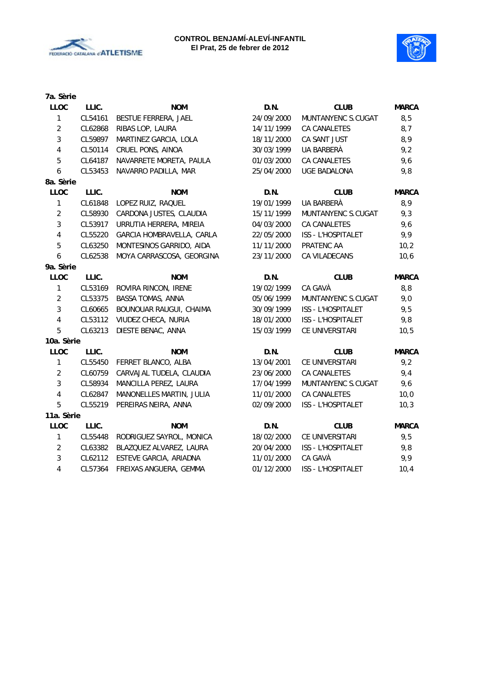



| 7a. Sèrie               |         |                           |            |                     |              |
|-------------------------|---------|---------------------------|------------|---------------------|--------------|
| <b>LLOC</b>             | LLIC.   | <b>NOM</b>                | D.N.       | <b>CLUB</b>         | <b>MARCA</b> |
| $\mathbf{1}$            | CL54161 | BESTUE FERRERA, JAEL      | 24/09/2000 | MUNTANYENC S.CUGAT  | 8,5          |
| $\overline{2}$          | CL62868 | RIBAS LOP, LAURA          | 14/11/1999 | CA CANALETES        | 8,7          |
| $\mathfrak{Z}$          | CL59897 | MARTINEZ GARCIA, LOLA     | 18/11/2000 | CA SANT JUST        | 8,9          |
| $\overline{4}$          | CL50114 | CRUEL PONS, AINOA         | 30/03/1999 | UA BARBERÀ          | 9,2          |
| $\overline{5}$          | CL64187 | NAVARRETE MORETA, PAULA   | 01/03/2000 | CA CANALETES        | 9,6          |
| 6                       | CL53453 | NAVARRO PADILLA, MAR      | 25/04/2000 | <b>UGE BADALONA</b> | 9,8          |
| 8a. Sèrie               |         |                           |            |                     |              |
| <b>LLOC</b>             | LLIC.   | <b>NOM</b>                | D.N.       | <b>CLUB</b>         | <b>MARCA</b> |
| $\mathbf{1}$            | CL61848 | LOPEZ RUIZ, RAQUEL        | 19/01/1999 | UA BARBERÀ          | 8,9          |
| $\overline{2}$          | CL58930 | CARDONA JUSTES, CLAUDIA   | 15/11/1999 | MUNTANYENC S.CUGAT  | 9,3          |
| 3                       | CL53917 | URRUTIA HERRERA, MIREIA   | 04/03/2000 | CA CANALETES        | 9,6          |
| $\overline{\mathbf{4}}$ | CL55220 | GARCIA HOMBRAVELLA, CARLA | 22/05/2000 | ISS - L'HOSPITALET  | 9,9          |
| $\overline{5}$          | CL63250 | MONTESINOS GARRIDO, AIDA  | 11/11/2000 | PRATENC AA          | 10,2         |
| $\boldsymbol{6}$        | CL62538 | MOYA CARRASCOSA, GEORGINA | 23/11/2000 | CA VILADECANS       | 10,6         |
| 9a. Sèrie               |         |                           |            |                     |              |
| LLOC                    | LLIC.   | <b>NOM</b>                | D.N.       | <b>CLUB</b>         | <b>MARCA</b> |
| $\mathbf{1}$            | CL53169 | ROVIRA RINCON, IRENE      | 19/02/1999 | CA GAVÀ             | 8,8          |
| $\overline{2}$          | CL53375 | BASSA TOMAS, ANNA         | 05/06/1999 | MUNTANYENC S.CUGAT  | 9,0          |
| $\mathfrak{Z}$          | CL60665 | BOUNOUAR RAUGUI, CHAIMA   | 30/09/1999 | ISS - L'HOSPITALET  | 9,5          |
| $\overline{\mathbf{4}}$ | CL53112 | VIUDEZ CHECA, NURIA       | 18/01/2000 | ISS - L'HOSPITALET  | 9,8          |
| 5                       | CL63213 | DIESTE BENAC, ANNA        | 15/03/1999 | CE UNIVERSITARI     | 10, 5        |
| 10a. Sèrie              |         |                           |            |                     |              |
| <b>LLOC</b>             | LLIC.   | <b>NOM</b>                | D.N.       | <b>CLUB</b>         | <b>MARCA</b> |
| $\mathbf{1}$            | CL55450 | FERRET BLANCO, ALBA       | 13/04/2001 | CE UNIVERSITARI     | 9,2          |
| $\overline{2}$          | CL60759 | CARVAJAL TUDELA, CLAUDIA  | 23/06/2000 | CA CANALETES        | 9,4          |
| $\mathfrak{Z}$          | CL58934 | MANCILLA PEREZ, LAURA     | 17/04/1999 | MUNTANYENC S.CUGAT  | 9,6          |
| $\overline{\mathbf{4}}$ | CL62847 | MANONELLES MARTIN, JULIA  | 11/01/2000 | CA CANALETES        | 10,0         |
| 5                       | CL55219 | PEREIRAS NEIRA, ANNA      | 02/09/2000 | ISS - L'HOSPITALET  | 10,3         |
| 11a. Sèrie              |         |                           |            |                     |              |
| <b>LLOC</b>             | LLIC.   | <b>NOM</b>                | D.N.       | <b>CLUB</b>         | <b>MARCA</b> |
| $\mathbf{1}$            | CL55448 | RODRIGUEZ SAYROL, MONICA  | 18/02/2000 | CE UNIVERSITARI     | 9,5          |
| $\overline{2}$          | CL63382 | BLAZQUEZ ALVAREZ, LAURA   | 20/04/2000 | ISS - L'HOSPITALET  | 9,8          |
| 3                       | CL62112 | ESTEVE GARCIA, ARIADNA    | 11/01/2000 | CA GAVÀ             | 9,9          |
| $\overline{4}$          | CL57364 | FREIXAS ANGUERA, GEMMA    | 01/12/2000 | ISS - L'HOSPITALET  | 10,4         |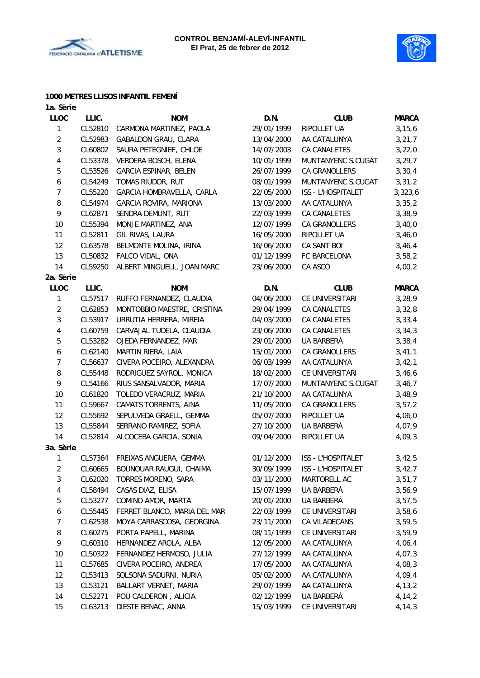



#### **1000 METRES LLISOS INFANTIL FEMENÍ**

| 1a. Sèrie      |         |                              |            |                    |              |
|----------------|---------|------------------------------|------------|--------------------|--------------|
| <b>LLOC</b>    | LLIC.   | <b>NOM</b>                   | D.N.       | <b>CLUB</b>        | <b>MARCA</b> |
| 1              | CL52810 | CARMONA MARTINEZ, PAOLA      | 29/01/1999 | RIPOLLET UA        | 3, 15, 6     |
| $\overline{2}$ | CL52983 | GABALDON GRAU, CLARA         | 13/04/2000 | AA CATALUNYA       | 3, 21, 7     |
| 3              | CL60802 | SAURA PETEGNIEF, CHLOE       | 14/07/2003 | CA CANALETES       | 3,22,0       |
| 4              | CL53378 | VERDERA BOSCH, ELENA         | 10/01/1999 | MUNTANYENC S.CUGAT | 3, 29, 7     |
| 5              | CL53526 | GARCIA ESPINAR, BELEN        | 26/07/1999 | CA GRANOLLERS      | 3, 30, 4     |
| 6              | CL54249 | TOMAS RIUDOR, RUT            | 08/01/1999 | MUNTANYENC S.CUGAT | 3, 31, 2     |
| 7              | CL55220 | GARCIA HOMBRAVELLA, CARLA    | 22/05/2000 | ISS - L'HOSPITALET | 3,323,6      |
| 8              | CL54974 | GARCIA ROVIRA, MARIONA       | 13/03/2000 | AA CATALUNYA       | 3, 35, 2     |
| 9              | CL62871 | SENDRA DEMUNT, RUT           | 22/03/1999 | CA CANALETES       | 3,38,9       |
| 10             | CL55394 | MONJE MARTINEZ, ANA          | 12/07/1999 | CA GRANOLLERS      | 3,40,0       |
| 11             | CL52811 | GIL RIVAS, LAURA             | 16/05/2000 | RIPOLLET UA        | 3,46,0       |
| 12             | CL63578 | BELMONTE MOLINA, IRINA       | 16/06/2000 | CA SANT BOI        | 3,46,4       |
| 13             | CL50832 | FALCO VIDAL, ONA             | 01/12/1999 | FC BARCELONA       | 3,58,2       |
| 14             | CL59250 | ALBERT MINGUELL, JOAN MARC   | 23/06/2000 | CA ASCÓ            | 4,00,2       |
| 2a. Sèrie      |         |                              |            |                    |              |
| LLOC           | LLIC.   | <b>NOM</b>                   | D.N.       | <b>CLUB</b>        | <b>MARCA</b> |
| 1              | CL57517 | RUFFO FERNANDEZ, CLAUDIA     | 04/06/2000 | CE UNIVERSITARI    | 3, 28, 9     |
| $\overline{c}$ | CL62853 | MONTOBBIO MAESTRE, CRISTINA  | 29/04/1999 | CA CANALETES       | 3,32,8       |
| 3              | CL53917 | URRUTIA HERRERA, MIREIA      | 04/03/2000 | CA CANALETES       | 3, 33, 4     |
| 4              | CL60759 | CARVAJAL TUDELA, CLAUDIA     | 23/06/2000 | CA CANALETES       | 3, 34, 3     |
| 5              | CL53282 | OJEDA FERNANDEZ, MAR         | 29/01/2000 | UA BARBERÀ         | 3,38,4       |
| 6              | CL62140 | MARTIN RIERA, LAIA           | 15/01/2000 | CA GRANOLLERS      | 3,41,1       |
| 7              | CL56637 | CIVERA POCEIRO, ALEXANDRA    | 06/03/1999 | AA CATALUNYA       | 3,42,1       |
| 8              | CL55448 | RODRIGUEZ SAYROL, MONICA     | 18/02/2000 | CE UNIVERSITARI    | 3,46,6       |
| 9              | CL54166 | RIUS SANSALVADOR, MARIA      | 17/07/2000 | MUNTANYENC S.CUGAT | 3,46,7       |
| 10             | CL61820 | TOLEDO VERACRUZ, MARIA       | 21/10/2000 | AA CATALUNYA       | 3,48,9       |
| 11             | CL59667 | CAMATS TORRENTS, AINA        | 11/05/2000 | CA GRANOLLERS      | 3, 57, 2     |
| 12             | CL55692 | SEPULVEDA GRAELL, GEMMA      | 05/07/2000 | RIPOLLET UA        | 4,06,0       |
| 13             | CL55844 | SERRANO RAMIREZ, SOFIA       | 27/10/2000 | UA BARBERÀ         | 4,07,9       |
| 14             | CL52814 | ALCOCEBA GARCIA, SONIA       | 09/04/2000 | RIPOLLET UA        | 4,09,3       |
| 3a. Sèrie      |         |                              |            |                    |              |
| 1              | CL57364 | FREIXAS ANGUERA, GEMMA       | 01/12/2000 | ISS - L'HOSPITALET | 3,42,5       |
| 2              | CL60665 | BOUNOUAR RAUGUI, CHAIMA      | 30/09/1999 | ISS - L'HOSPITALET | 3,42,7       |
| 3              | CL62020 | TORRES MORENO, SARA          | 03/11/2000 | MARTORELL AC       | 3,51,7       |
| 4              | CL58494 | CASAS DIAZ, ELISA            | 15/07/1999 | UA BARBERÀ         | 3,56,9       |
| 5              | CL53277 | COMINO AMOR, MARTA           | 20/01/2000 | UA BARBERÀ         | 3,57,5       |
| 6              | CL55445 | FERRET BLANCO, MARIA DEL MAR | 22/03/1999 | CE UNIVERSITARI    | 3,58,6       |
| 7              | CL62538 | MOYA CARRASCOSA, GEORGINA    | 23/11/2000 | CA VILADECANS      | 3,59,5       |
| 8              | CL60275 | PORTA PAPELL, MARINA         | 08/11/1999 | CE UNIVERSITARI    | 3,59,9       |
| 9              | CL60310 | HERNANDEZ AROLA, ALBA        | 12/05/2000 | AA CATALUNYA       | 4,06,4       |
| 10             | CL50322 | FERNANDEZ HERMOSO, JULIA     | 27/12/1999 | AA CATALUNYA       | 4,07,3       |
| 11             | CL57685 | CIVERA POCEIRO, ANDREA       | 17/05/2000 | AA CATALUNYA       | 4,08,3       |
| 12             | CL53413 | SOLSONA SADURNI, NURIA       | 05/02/2000 | AA CATALUNYA       | 4,09,4       |
| 13             | CL53121 | BALLART VERNET, MARIA        | 29/07/1999 | AA CATALUNYA       | 4, 13, 2     |
| 14             | CL52271 | POU CALDERON, ALICIA         | 02/12/1999 | UA BARBERÀ         | 4,14,2       |
| 15             | CL63213 | DIESTE BENAC, ANNA           | 15/03/1999 | CE UNIVERSITARI    | 4, 14, 3     |
|                |         |                              |            |                    |              |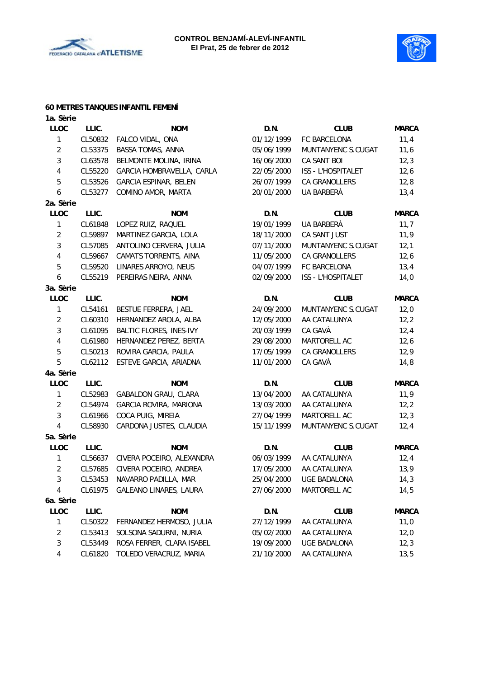



# **60 METRES TANQUES INFANTIL FEMENÍ**

| 1a. Sèrie      |         |                           |            |                     |              |
|----------------|---------|---------------------------|------------|---------------------|--------------|
| <b>LLOC</b>    | LLIC.   | <b>NOM</b>                | D.N.       | <b>CLUB</b>         | <b>MARCA</b> |
| 1              | CL50832 | FALCO VIDAL, ONA          | 01/12/1999 | FC BARCELONA        | 11,4         |
| $\overline{2}$ | CL53375 | BASSA TOMAS, ANNA         | 05/06/1999 | MUNTANYENC S.CUGAT  | 11,6         |
| 3              | CL63578 | BELMONTE MOLINA, IRINA    | 16/06/2000 | CA SANT BOI         | 12,3         |
| 4              | CL55220 | GARCIA HOMBRAVELLA, CARLA | 22/05/2000 | ISS - L'HOSPITALET  | 12,6         |
| 5              | CL53526 | GARCIA ESPINAR, BELEN     | 26/07/1999 | CA GRANOLLERS       | 12,8         |
| 6              | CL53277 | COMINO AMOR, MARTA        | 20/01/2000 | UA BARBERÀ          | 13,4         |
| 2a. Sèrie      |         |                           |            |                     |              |
| LLOC           | LLIC.   | <b>NOM</b>                | D.N.       | <b>CLUB</b>         | <b>MARCA</b> |
| 1              | CL61848 | LOPEZ RUIZ, RAQUEL        | 19/01/1999 | UA BARBERÀ          | 11,7         |
| $\overline{2}$ | CL59897 | MARTINEZ GARCIA, LOLA     | 18/11/2000 | CA SANT JUST        | 11,9         |
| 3              | CL57085 | ANTOLINO CERVERA, JULIA   | 07/11/2000 | MUNTANYENC S.CUGAT  | 12,1         |
| 4              | CL59667 | CAMATS TORRENTS, AINA     | 11/05/2000 | CA GRANOLLERS       | 12,6         |
| 5              | CL59520 | LINARES ARROYO, NEUS      | 04/07/1999 | FC BARCELONA        | 13,4         |
| 6              | CL55219 | PEREIRAS NEIRA, ANNA      | 02/09/2000 | ISS - L'HOSPITALET  | 14,0         |
| 3a. Sèrie      |         |                           |            |                     |              |
| <b>LLOC</b>    | LLIC.   | <b>NOM</b>                | D.N.       | <b>CLUB</b>         | <b>MARCA</b> |
| 1              | CL54161 | BESTUE FERRERA, JAEL      | 24/09/2000 | MUNTANYENC S.CUGAT  | 12,0         |
| $\overline{2}$ | CL60310 | HERNANDEZ AROLA, ALBA     | 12/05/2000 | AA CATALUNYA        | 12,2         |
| 3              | CL61095 | BALTIC FLORES, INES-IVY   | 20/03/1999 | CA GAVÀ             | 12,4         |
| 4              | CL61980 | HERNANDEZ PEREZ, BERTA    | 29/08/2000 | MARTORELL AC        | 12,6         |
| 5              | CL50213 | ROVIRA GARCIA, PAULA      | 17/05/1999 | CA GRANOLLERS       | 12,9         |
| 5              | CL62112 | ESTEVE GARCIA, ARIADNA    | 11/01/2000 | CA GAVÀ             | 14,8         |
| 4a. Sèrie      |         |                           |            |                     |              |
| <b>LLOC</b>    | LLIC.   | <b>NOM</b>                | D.N.       | <b>CLUB</b>         | <b>MARCA</b> |
| 1              | CL52983 | GABALDON GRAU, CLARA      | 13/04/2000 | AA CATALUNYA        | 11,9         |
| $\overline{2}$ | CL54974 | GARCIA ROVIRA, MARIONA    | 13/03/2000 | AA CATALUNYA        | 12, 2        |
| 3              | CL61966 | COCA PUIG, MIREIA         | 27/04/1999 | MARTORELL AC        | 12,3         |
| 4              | CL58930 | CARDONA JUSTES, CLAUDIA   | 15/11/1999 | MUNTANYENC S.CUGAT  | 12,4         |
| 5a. Sèrie      |         |                           |            |                     |              |
| <b>LLOC</b>    | LLIC.   | <b>NOM</b>                | D.N.       | <b>CLUB</b>         | <b>MARCA</b> |
| 1              | CL56637 | CIVERA POCEIRO, ALEXANDRA | 06/03/1999 | AA CATALUNYA        | 12,4         |
| $\overline{2}$ | CL57685 | CIVERA POCEIRO, ANDREA    | 17/05/2000 | AA CATALUNYA        | 13,9         |
| 3              | CL53453 | NAVARRO PADILLA, MAR      | 25/04/2000 | <b>UGE BADALONA</b> | 14,3         |
| 4              | CL61975 | GALEANO LINARES, LAURA    | 27/06/2000 | MARTORELL AC        | 14,5         |
| 6a. Sèrie      |         |                           |            |                     |              |
| LLOC           | LLIC.   | <b>NOM</b>                | D.N.       | <b>CLUB</b>         | <b>MARCA</b> |
| 1              | CL50322 | FERNANDEZ HERMOSO, JULIA  | 27/12/1999 | AA CATALUNYA        | 11,0         |
| $\overline{c}$ | CL53413 | SOLSONA SADURNI, NURIA    | 05/02/2000 | AA CATALUNYA        | 12,0         |
| 3              | CL53449 | ROSA FERRER, CLARA ISABEL | 19/09/2000 | <b>UGE BADALONA</b> | 12,3         |
| 4              | CL61820 | TOLEDO VERACRUZ, MARIA    | 21/10/2000 | AA CATALUNYA        | 13,5         |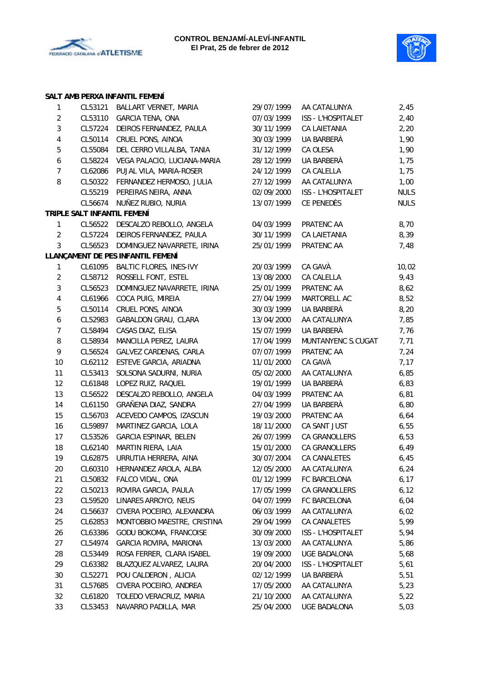



# **SALT AMB PERXA INFANTIL FEMENÍ**

| $\mathbf{1}$             | CL53121                     | BALLART VERNET, MARIA             | 29/07/1999 | AA CATALUNYA        | 2,45        |
|--------------------------|-----------------------------|-----------------------------------|------------|---------------------|-------------|
| $\overline{2}$           | CL53110                     | <b>GARCIA TENA, ONA</b>           | 07/03/1999 | ISS - L'HOSPITALET  | 2,40        |
| 3                        | CL57224                     | DEIROS FERNANDEZ, PAULA           | 30/11/1999 | CA LAIETANIA        | 2,20        |
| $\overline{\mathcal{A}}$ | CL50114                     | CRUEL PONS, AINOA                 | 30/03/1999 | UA BARBERÀ          | 1,90        |
| 5                        | CL55084                     | DEL CERRO VILLALBA, TANIA         | 31/12/1999 | CA OLESA            | 1,90        |
| 6                        | CL58224                     | VEGA PALACIO, LUCIANA-MARIA       | 28/12/1999 | UA BARBERÀ          | 1,75        |
| $\overline{7}$           | CL62086                     | PUJAL VILA, MARIA-ROSER           | 24/12/1999 | CA CALELLA          | 1,75        |
| 8                        | CL50322                     | FERNANDEZ HERMOSO, JULIA          | 27/12/1999 | AA CATALUNYA        | 1,00        |
|                          | CL55219                     | PEREIRAS NEIRA, ANNA              | 02/09/2000 | ISS - L'HOSPITALET  | <b>NULS</b> |
|                          | CL56674                     | NUÑEZ RUBIO, NURIA                | 13/07/1999 | CE PENEDÈS          | <b>NULS</b> |
|                          | TRIPLE SALT INFANTIL FEMENÍ |                                   |            |                     |             |
| 1                        | CL56522                     | DESCALZO REBOLLO, ANGELA          | 04/03/1999 | PRATENC AA          | 8,70        |
| $\overline{2}$           | CL57224                     | DEIROS FERNANDEZ, PAULA           | 30/11/1999 | CA LAIETANIA        | 8,39        |
| $\mathbf{3}$             | CL56523                     | DOMINGUEZ NAVARRETE, IRINA        | 25/01/1999 | PRATENC AA          | 7,48        |
|                          |                             | LLANÇAMENT DE PES INFANTIL FEMENÍ |            |                     |             |
| $\mathbf{1}$             | CL61095                     | <b>BALTIC FLORES, INES-IVY</b>    | 20/03/1999 | CA GAVÀ             | 10,02       |
| $\overline{2}$           | CL58712                     | ROSSELL FONT, ESTEL               | 13/08/2000 | CA CALELLA          | 9,43        |
| $\sqrt{3}$               | CL56523                     | DOMINGUEZ NAVARRETE, IRINA        | 25/01/1999 | PRATENC AA          | 8,62        |
| $\overline{4}$           | CL61966                     | COCA PUIG, MIREIA                 | 27/04/1999 | MARTORELL AC        | 8,52        |
| 5                        | CL50114                     | CRUEL PONS, AINOA                 | 30/03/1999 | UA BARBERÀ          | 8,20        |
| 6                        | CL52983                     | <b>GABALDON GRAU, CLARA</b>       | 13/04/2000 | AA CATALUNYA        | 7,85        |
| $\overline{7}$           | CL58494                     | CASAS DIAZ, ELISA                 | 15/07/1999 | UA BARBERÀ          | 7,76        |
| 8                        | CL58934                     | MANCILLA PEREZ, LAURA             | 17/04/1999 | MUNTANYENC S.CUGAT  | 7,71        |
| 9                        | CL56524                     | GALVEZ CARDENAS, CARLA            | 07/07/1999 | PRATENC AA          | 7,24        |
| 10                       | CL62112                     | ESTEVE GARCIA, ARIADNA            | 11/01/2000 | CA GAVÀ             | 7,17        |
| 11                       | CL53413                     | SOLSONA SADURNI, NURIA            | 05/02/2000 | AA CATALUNYA        | 6,85        |
| 12                       | CL61848                     | LOPEZ RUIZ, RAQUEL                | 19/01/1999 | UA BARBERÀ          | 6,83        |
| 13                       | CL56522                     | DESCALZO REBOLLO, ANGELA          | 04/03/1999 | PRATENC AA          | 6,81        |
| 14                       | CL61150                     | GRAÑENA DIAZ, SANDRA              | 27/04/1999 | UA BARBERÀ          | 6,80        |
| 15                       | CL56703                     | ACEVEDO CAMPOS, IZASCUN           | 19/03/2000 | PRATENC AA          | 6,64        |
| 16                       | CL59897                     | MARTINEZ GARCIA, LOLA             | 18/11/2000 | CA SANT JUST        | 6,55        |
| 17                       | CL53526                     | GARCIA ESPINAR, BELEN             | 26/07/1999 | CA GRANOLLERS       | 6,53        |
| 18                       | CL62140                     | MARTIN RIERA, LAIA                | 15/01/2000 | CA GRANOLLERS       | 6,49        |
| 19                       | CL62875                     | URRUTIA HERRERA, AINA             | 30/07/2004 | CA CANALETES        | 6,45        |
| 20                       | CL60310                     | HERNANDEZ AROLA, ALBA             | 12/05/2000 | AA CATALUNYA        | 6,24        |
| 21                       | CL50832                     | FALCO VIDAL, ONA                  | 01/12/1999 | FC BARCELONA        | 6, 17       |
| 22                       | CL50213                     | ROVIRA GARCIA, PAULA              | 17/05/1999 | CA GRANOLLERS       | 6, 12       |
| 23                       | CL59520                     | LINARES ARROYO, NEUS              | 04/07/1999 | FC BARCELONA        | 6,04        |
| 24                       | CL56637                     | CIVERA POCEIRO, ALEXANDRA         | 06/03/1999 | AA CATALUNYA        | 6,02        |
| 25                       | CL62853                     | MONTOBBIO MAESTRE, CRISTINA       | 29/04/1999 | CA CANALETES        | 5,99        |
| 26                       | CL63386                     | GODU BOKOMA, FRANCOISE            | 30/09/2000 | ISS - L'HOSPITALET  | 5,94        |
| 27                       | CL54974                     | <b>GARCIA ROVIRA, MARIONA</b>     | 13/03/2000 | AA CATALUNYA        | 5,86        |
| 28                       | CL53449                     | ROSA FERRER, CLARA ISABEL         | 19/09/2000 | <b>UGE BADALONA</b> | 5,68        |
| 29                       | CL63382                     | BLAZQUEZ ALVAREZ, LAURA           | 20/04/2000 | ISS - L'HOSPITALET  | 5,61        |
| $30\,$                   | CL52271                     | POU CALDERON, ALICIA              | 02/12/1999 | UA BARBERÀ          | 5,51        |
| 31                       | CL57685                     | CIVERA POCEIRO, ANDREA            | 17/05/2000 | AA CATALUNYA        | 5,23        |
| 32                       | CL61820                     | TOLEDO VERACRUZ, MARIA            | 21/10/2000 | AA CATALUNYA        | 5,22        |
|                          |                             |                                   | 25/04/2000 | UGE BADALONA        |             |
| 33                       | CL53453                     | NAVARRO PADILLA, MAR              |            |                     | 5,03        |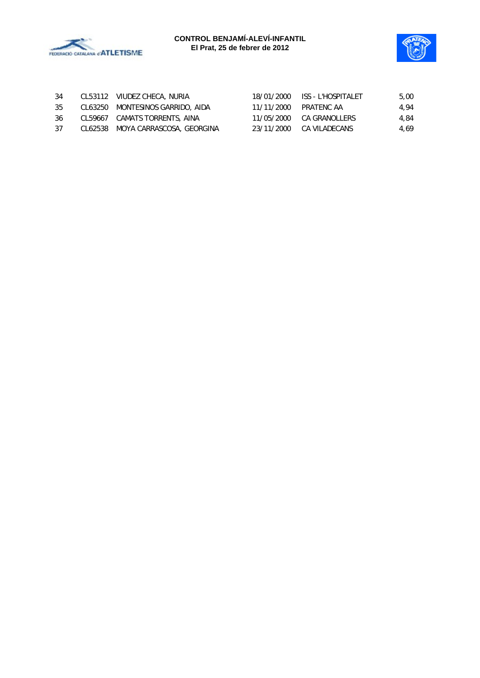



|  |                                                                                                                                       | 5,00                                                                                                           |
|--|---------------------------------------------------------------------------------------------------------------------------------------|----------------------------------------------------------------------------------------------------------------|
|  |                                                                                                                                       | 4.94                                                                                                           |
|  |                                                                                                                                       | 4.84                                                                                                           |
|  |                                                                                                                                       | 4.69                                                                                                           |
|  | CL53112 VIUDEZ CHECA, NURIA<br>CL63250 MONTESINOS GARRIDO, AIDA<br>CL59667 CAMATS TORRENTS, AINA<br>CL62538 MOYA CARRASCOSA, GEORGINA | 18/01/2000 ISS - L'HOSPITALET<br>11/11/2000 PRATENC AA<br>11/05/2000 CA GRANOLLERS<br>23/11/2000 CA VILADECANS |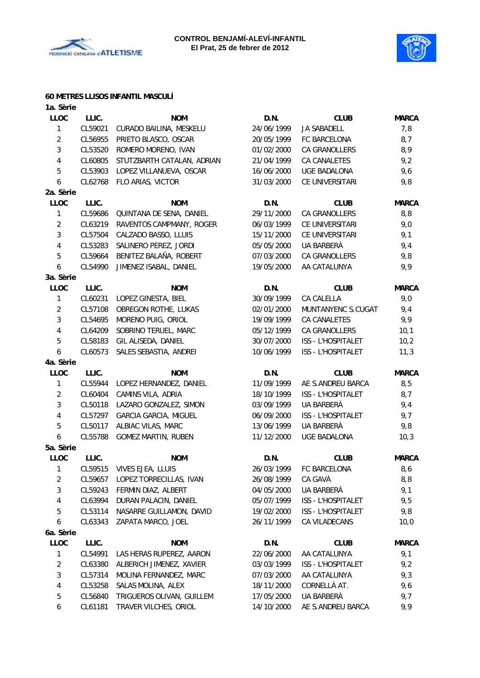



# **60 METRES LLISOS INFANTIL MASCULÍ**

| 1a. Sèrie      |         |                              |            |                     |              |
|----------------|---------|------------------------------|------------|---------------------|--------------|
| <b>LLOC</b>    | LLIC.   | <b>NOM</b>                   | D.N.       | <b>CLUB</b>         | <b>MARCA</b> |
| 1              | CL59021 | CURADO BAILINA, MESKELU      | 24/06/1999 | <b>JA SABADELL</b>  | 7,8          |
| $\overline{c}$ | CL56955 | PRIETO BLASCO, OSCAR         | 20/05/1999 | FC BARCELONA        | 8,7          |
| 3              | CL53520 | ROMERO MORENO, IVAN          | 01/02/2000 | CA GRANOLLERS       | 8,9          |
| 4              | CL60805 | STUTZBARTH CATALAN, ADRIAN   | 21/04/1999 | <b>CA CANALETES</b> | 9,2          |
| 5              | CL53903 | LOPEZ VILLANUEVA, OSCAR      | 16/06/2000 | <b>UGE BADALONA</b> | 9,6          |
| 6              | CL62768 | FLO ARIAS, VICTOR            | 31/03/2000 | CE UNIVERSITARI     | 9,8          |
| 2a. Sèrie      |         |                              |            |                     |              |
| <b>LLOC</b>    | LLIC.   | <b>NOM</b>                   | D.N.       | <b>CLUB</b>         | <b>MARCA</b> |
| $\mathbf{1}$   | CL59686 | QUINTANA DE SENA, DANIEL     | 29/11/2000 | CA GRANOLLERS       | 8, 8         |
| $\overline{2}$ | CL63219 | RAVENTOS CAMPMANY, ROGER     | 06/03/1999 | CE UNIVERSITARI     | 9,0          |
| 3              | CL57504 | CALZADO BASSO, LLUIS         | 15/11/2000 | CE UNIVERSITARI     | 9,1          |
| 4              | CL53283 | SALINERO PEREZ, JORDI        | 05/05/2000 | UA BARBERÀ          | 9,4          |
| 5              | CL59664 | BENITEZ BALAÑA, ROBERT       | 07/03/2000 | CA GRANOLLERS       | 9,8          |
| 6              | CL54990 | JIMENEZ ISABAL, DANIEL       | 19/05/2000 | AA CATALUNYA        | 9,9          |
| 3a. Sèrie      |         |                              |            |                     |              |
| <b>LLOC</b>    | LLIC.   | <b>NOM</b>                   | D.N.       | <b>CLUB</b>         | <b>MARCA</b> |
| $\mathbf{1}$   | CL60231 | LOPEZ GINESTA, BIEL          | 30/09/1999 | CA CALELLA          | 9,0          |
| $\overline{2}$ | CL57108 | OBREGON ROTHE, LUKAS         | 02/01/2000 | MUNTANYENC S.CUGAT  | 9,4          |
| 3              | CL54695 | MORENO PUIG, ORIOL           | 19/09/1999 | CA CANALETES        | 9,9          |
| 4              | CL64209 | SOBRINO TERUEL, MARC         | 05/12/1999 | CA GRANOLLERS       | 10,1         |
| 5              | CL58183 | GIL ALISEDA, DANIEL          | 30/07/2000 | ISS - L'HOSPITALET  | 10,2         |
| 6              | CL60573 | SALES SEBASTIA, ANDREI       | 10/06/1999 | ISS - L'HOSPITALET  | 11,3         |
| 4a. Sèrie      |         |                              |            |                     |              |
| <b>LLOC</b>    | LLIC.   | <b>NOM</b>                   | D.N.       | <b>CLUB</b>         | <b>MARCA</b> |
| $\mathbf{1}$   | CL55944 | LOPEZ HERNANDEZ, DANIEL      | 11/09/1999 | AE S.ANDREU BARCA   | 8,5          |
| $\overline{2}$ | CL60404 | CAMINS VILA, ADRIA           | 18/10/1999 | ISS - L'HOSPITALET  | 8,7          |
| 3              | CL50118 | LAZARO GONZALEZ, SIMON       | 03/09/1999 | UA BARBERÀ          | 9,4          |
| 4              | CL57297 | <b>GARCIA GARCIA, MIGUEL</b> | 06/09/2000 | ISS - L'HOSPITALET  | 9,7          |
| 5              | CL50117 | ALBIAC VILAS, MARC           | 13/06/1999 | UA BARBERÀ          | 9,8          |
| 6              | CL55788 | <b>GOMEZ MARTIN, RUBEN</b>   | 11/12/2000 | UGE BADALONA        | 10,3         |
| 5a. Sèrie      |         |                              |            |                     |              |
| <b>LLOC</b>    | LLIC.   | <b>NOM</b>                   | D.N.       | <b>CLUB</b>         | <b>MARCA</b> |
| 1              | CL59515 | VIVES EJEA, LLUIS            | 26/03/1999 | FC BARCELONA        | 8,6          |
| $\overline{c}$ | CL59657 | LOPEZ TORRECILLAS, IVAN      | 26/08/1999 | CA GAVÀ             | 8,8          |
| 3              | CL59243 | FERMIN DIAZ, ALBERT          | 04/05/2000 | UA BARBERÀ          | 9,1          |
| 4              | CL63994 | DURAN PALACIN, DANIEL        | 05/07/1999 | ISS - L'HOSPITALET  | 9,5          |
| 5              | CL53114 | NASARRE GUILLAMON, DAVID     | 19/02/2000 | ISS - L'HOSPITALET  | 9,8          |
| 6              | CL63343 | ZAPATA MARCO, JOEL           | 26/11/1999 | CA VILADECANS       | 10,0         |
| 6a. Sèrie      |         |                              |            |                     |              |
| LLOC           | LLIC.   | <b>NOM</b>                   | D.N.       | <b>CLUB</b>         | <b>MARCA</b> |
| 1              | CL54991 | LAS HERAS RUPEREZ, AARON     | 22/06/2000 | AA CATALUNYA        | 9,1          |
| $\overline{2}$ | CL63380 | ALBERICH JIMENEZ, XAVIER     | 03/03/1999 | ISS - L'HOSPITALET  | 9,2          |
| 3              | CL57314 | MOLINA FERNANDEZ, MARC       | 07/03/2000 | AA CATALUNYA        | 9,3          |
| 4              | CL53258 | SALAS MOLINA, ALEX           | 18/11/2000 | CORNELLÀ AT.        | 9,6          |
| 5              | CL56840 | TRIGUEROS OLIVAN, GUILLEM    | 17/05/2000 | UA BARBERÀ          | 9,7          |
| 6              | CL61181 | TRAVER VILCHES, ORIOL        | 14/10/2000 | AE S.ANDREU BARCA   | 9,9          |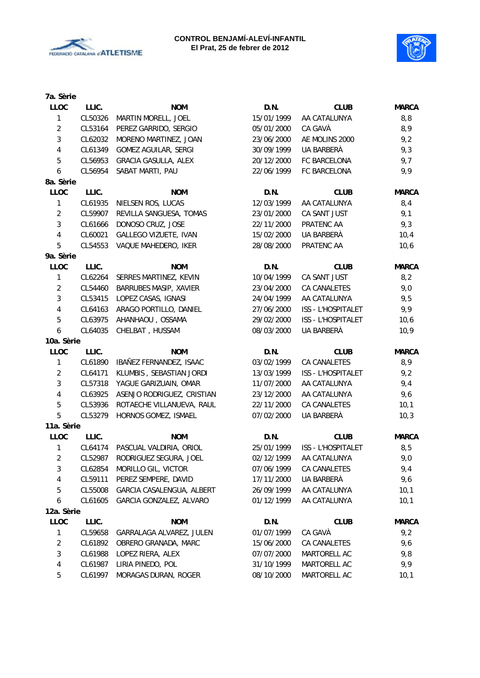



| 7a. Sèrie               |         |                             |            |                    |              |
|-------------------------|---------|-----------------------------|------------|--------------------|--------------|
| <b>LLOC</b>             | LLIC.   | <b>NOM</b>                  | D.N.       | <b>CLUB</b>        | <b>MARCA</b> |
| 1                       | CL50326 | MARTIN MORELL, JOEL         | 15/01/1999 | AA CATALUNYA       | 8,8          |
| $\overline{c}$          | CL53164 | PEREZ GARRIDO, SERGIO       | 05/01/2000 | CA GAVÀ            | 8,9          |
| 3                       | CL62032 | MORENO MARTINEZ, JOAN       | 23/06/2000 | AE MOLINS 2000     | 9,2          |
| $\overline{\mathbf{4}}$ | CL61349 | <b>GOMEZ AGUILAR, SERGI</b> | 30/09/1999 | UA BARBERÀ         | 9,3          |
| 5                       | CL56953 | GRACIA GASULLA, ALEX        | 20/12/2000 | FC BARCELONA       | 9,7          |
| 6                       | CL56954 | SABAT MARTI, PAU            | 22/06/1999 | FC BARCELONA       | 9,9          |
| 8a. Sèrie               |         |                             |            |                    |              |
| LLOC                    | LLIC.   | <b>NOM</b>                  | D.N.       | <b>CLUB</b>        | <b>MARCA</b> |
| 1                       | CL61935 | NIELSEN ROS, LUCAS          | 12/03/1999 | AA CATALUNYA       | 8,4          |
| $\overline{2}$          | CL59907 | REVILLA SANGUESA, TOMAS     | 23/01/2000 | CA SANT JUST       | 9,1          |
| 3                       | CL61666 | DONOSO CRUZ, JOSE           | 22/11/2000 | PRATENC AA         | 9,3          |
| $\overline{\mathbf{4}}$ | CL60021 | GALLEGO VIZUETE, IVAN       | 15/02/2000 | UA BARBERÀ         | 10,4         |
| 5                       | CL54553 | VAQUE MAHEDERO, IKER        | 28/08/2000 | PRATENC AA         | 10,6         |
| 9a. Sèrie               |         |                             |            |                    |              |
| LLOC                    | LLIC.   | <b>NOM</b>                  | D.N.       | <b>CLUB</b>        | <b>MARCA</b> |
| 1                       | CL62264 | SERRES MARTINEZ, KEVIN      | 10/04/1999 | CA SANT JUST       | 8,2          |
| $\overline{c}$          | CL54460 | BARRUBES MASIP, XAVIER      | 23/04/2000 | CA CANALETES       | 9,0          |
| 3                       | CL53415 | LOPEZ CASAS, IGNASI         | 24/04/1999 | AA CATALUNYA       | 9,5          |
| $\overline{\mathbf{4}}$ | CL64163 | ARAGO PORTILLO, DANIEL      | 27/06/2000 | ISS - L'HOSPITALET | 9,9          |
| $\mathbf 5$             | CL63975 | AHANHAOU, OSSAMA            | 29/02/2000 | ISS - L'HOSPITALET | 10,6         |
| 6                       | CL64035 | CHELBAT, HUSSAM             | 08/03/2000 | UA BARBERÀ         | 10, 9        |
| 10a. Sèrie              |         |                             |            |                    |              |
| LLOC                    | LLIC.   | <b>NOM</b>                  | D.N.       | <b>CLUB</b>        | <b>MARCA</b> |
| $\mathbf{1}$            | CL61890 | IBAÑEZ FERNANDEZ, ISAAC     | 03/02/1999 | CA CANALETES       | 8,9          |
| $\overline{2}$          | CL64171 | KLUMBIS, SEBASTIAN JORDI    | 13/03/1999 | ISS - L'HOSPITALET | 9,2          |
| 3                       | CL57318 | YAGUE GARIZUAIN, OMAR       | 11/07/2000 | AA CATALUNYA       | 9,4          |
| 4                       | CL63925 | ASENJO RODRIGUEZ, CRISTIAN  | 23/12/2000 | AA CATALUNYA       | 9,6          |
| 5                       | CL53936 | ROTAECHE VILLANUEVA, RAUL   | 22/11/2000 | CA CANALETES       | 10,1         |
| 5                       | CL53279 | HORNOS GOMEZ, ISMAEL        | 07/02/2000 | UA BARBERÀ         | 10,3         |
| 11a. Sèrie              |         |                             |            |                    |              |
| LLOC                    | LLIC.   | <b>NOM</b>                  | D.N.       | <b>CLUB</b>        | <b>MARCA</b> |
| 1                       | CL64174 | PASCUAL VALDIRIA, ORIOL     | 25/01/1999 | ISS - L'HOSPITALET | 8,5          |
| 2                       | CL52987 | RODRIGUEZ SEGURA, JOEL      | 02/12/1999 | AA CATALUNYA       | 9,0          |
| 3                       | CL62854 | MORILLO GIL, VICTOR         | 07/06/1999 | CA CANALETES       | 9,4          |
| 4                       | CL59111 | PEREZ SEMPERE, DAVID        | 17/11/2000 | UA BARBERÀ         | 9,6          |
| 5                       | CL55008 | GARCIA CASALENGUA, ALBERT   | 26/09/1999 | AA CATALUNYA       | 10,1         |
| 6                       | CL61605 | GARCIA GONZALEZ, ALVARO     | 01/12/1999 | AA CATALUNYA       | 10,1         |
| 12a. Sèrie              |         |                             |            |                    |              |
| <b>LLOC</b>             | LLIC.   | <b>NOM</b>                  | D.N.       | <b>CLUB</b>        | <b>MARCA</b> |
| 1                       | CL59658 | GARRALAGA ALVAREZ, JULEN    | 01/07/1999 | CA GAVÀ            | 9,2          |
| $\overline{c}$          | CL61892 | OBRERO GRANADA, MARC        | 15/06/2000 | CA CANALETES       | 9,6          |
| 3                       | CL61988 | LOPEZ RIERA, ALEX           | 07/07/2000 | MARTORELL AC       | 9,8          |
| 4                       | CL61987 | LIRIA PINEDO, POL           | 31/10/1999 | MARTORELL AC       | 9,9          |
| 5                       | CL61997 | MORAGAS DURAN, ROGER        | 08/10/2000 | MARTORELL AC       | 10,1         |
|                         |         |                             |            |                    |              |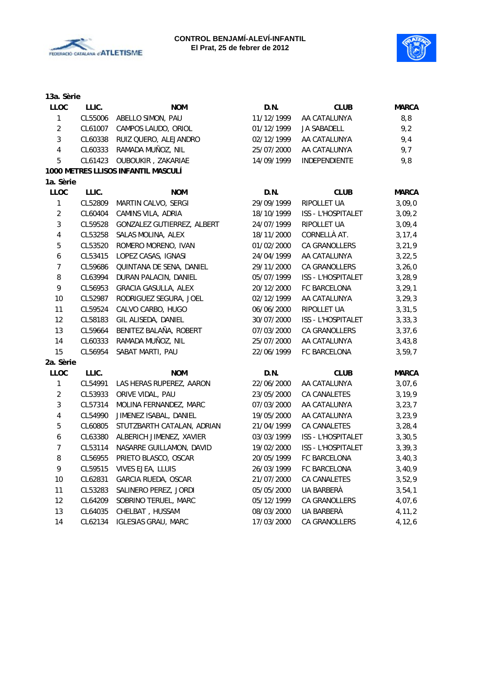



| 13a. Sèrie              |         |                                     |            |                           |              |
|-------------------------|---------|-------------------------------------|------------|---------------------------|--------------|
| <b>LLOC</b>             | LLIC.   | <b>NOM</b>                          | D.N.       | <b>CLUB</b>               | <b>MARCA</b> |
| 1                       | CL55006 | ABELLO SIMON, PAU                   | 11/12/1999 | AA CATALUNYA              | 8,8          |
| $\overline{2}$          | CL61007 | CAMPOS LAUDO, ORIOL                 | 01/12/1999 | <b>JA SABADELL</b>        | 9,2          |
| 3                       | CL60338 | RUIZ QUERO, ALEJANDRO               | 02/12/1999 | AA CATALUNYA              | 9,4          |
| $\overline{4}$          | CL60333 | RAMADA MUÑOZ, NIL                   | 25/07/2000 | AA CATALUNYA              | 9,7          |
| 5                       | CL61423 | OUBOUKIR, ZAKARIAE                  | 14/09/1999 | INDEPENDIENTE             | 9,8          |
|                         |         | 1000 METRES LLISOS INFANTIL MASCULÍ |            |                           |              |
| 1a. Sèrie               |         |                                     |            |                           |              |
| LLOC                    | LLIC.   | <b>NOM</b>                          | D.N.       | <b>CLUB</b>               | <b>MARCA</b> |
| 1                       | CL52809 | MARTIN CALVO, SERGI                 | 29/09/1999 | RIPOLLET UA               | 3,09,0       |
| $\overline{2}$          | CL60404 | CAMINS VILA, ADRIA                  | 18/10/1999 | ISS - L'HOSPITALET        | 3,09,2       |
| 3                       | CL59528 | GONZALEZ GUTIERREZ, ALBERT          | 24/07/1999 | RIPOLLET UA               | 3,09,4       |
| $\overline{4}$          | CL53258 | SALAS MOLINA, ALEX                  | 18/11/2000 | CORNELLÀ AT.              | 3, 17, 4     |
| 5                       | CL53520 | ROMERO MORENO, IVAN                 | 01/02/2000 | CA GRANOLLERS             | 3, 21, 9     |
| 6                       | CL53415 | LOPEZ CASAS, IGNASI                 | 24/04/1999 | AA CATALUNYA              | 3, 22, 5     |
| $\overline{7}$          | CL59686 | QUINTANA DE SENA, DANIEL            | 29/11/2000 | CA GRANOLLERS             | 3,26,0       |
| 8                       | CL63994 | DURAN PALACIN, DANIEL               | 05/07/1999 | ISS - L'HOSPITALET        | 3, 28, 9     |
| 9                       | CL56953 | <b>GRACIA GASULLA, ALEX</b>         | 20/12/2000 | FC BARCELONA              | 3, 29, 1     |
| 10                      | CL52987 | RODRIGUEZ SEGURA, JOEL              | 02/12/1999 | AA CATALUNYA              | 3, 29, 3     |
| 11                      | CL59524 | CALVO CARBO, HUGO                   | 06/06/2000 | RIPOLLET UA               | 3, 31, 5     |
| 12                      | CL58183 | GIL ALISEDA, DANIEL                 | 30/07/2000 | <b>ISS - L'HOSPITALET</b> | 3, 33, 3     |
| 13                      | CL59664 | BENITEZ BALAÑA, ROBERT              | 07/03/2000 | CA GRANOLLERS             | 3, 37, 6     |
| 14                      | CL60333 | RAMADA MUÑOZ, NIL                   | 25/07/2000 | AA CATALUNYA              | 3,43,8       |
| 15                      | CL56954 | SABAT MARTI, PAU                    | 22/06/1999 | FC BARCELONA              | 3,59,7       |
| 2a. Sèrie               |         |                                     |            |                           |              |
| <b>LLOC</b>             | LLIC.   | <b>NOM</b>                          | D.N.       | <b>CLUB</b>               | <b>MARCA</b> |
| 1                       | CL54991 | LAS HERAS RUPEREZ, AARON            | 22/06/2000 | AA CATALUNYA              | 3,07,6       |
| $\overline{2}$          | CL53933 | ORIVE VIDAL, PAU                    | 23/05/2000 | CA CANALETES              | 3, 19, 9     |
| 3                       | CL57314 | MOLINA FERNANDEZ, MARC              | 07/03/2000 | AA CATALUNYA              | 3, 23, 7     |
| $\overline{\mathbf{4}}$ | CL54990 | JIMENEZ ISABAL, DANIEL              | 19/05/2000 | AA CATALUNYA              | 3, 23, 9     |
| 5                       | CL60805 | STUTZBARTH CATALAN, ADRIAN          | 21/04/1999 | CA CANALETES              | 3, 28, 4     |
| 6                       | CL63380 | ALBERICH JIMENEZ, XAVIER            | 03/03/1999 | ISS - L'HOSPITALET        | 3, 30, 5     |
| $\overline{7}$          | CL53114 | NASARRE GUILLAMON, DAVID            | 19/02/2000 | ISS - L'HOSPITALET        | 3, 39, 3     |
| 8                       | CL56955 | PRIETO BLASCO, OSCAR                | 20/05/1999 | FC BARCELONA              | 3,40,3       |
| 9                       | CL59515 | VIVES EJEA, LLUIS                   | 26/03/1999 | FC BARCELONA              | 3,40,9       |
| 10                      | CL62831 | GARCIA RUEDA, OSCAR                 | 21/07/2000 | CA CANALETES              | 3,52,9       |
| 11                      | CL53283 | SALINERO PEREZ, JORDI               | 05/05/2000 | UA BARBERÀ                | 3,54,1       |
| 12                      | CL64209 | SOBRINO TERUEL, MARC                | 05/12/1999 | CA GRANOLLERS             | 4,07,6       |
| 13                      | CL64035 | CHELBAT, HUSSAM                     | 08/03/2000 | UA BARBERÀ                | 4, 11, 2     |
| 14                      | CL62134 | <b>IGLESIAS GRAU, MARC</b>          | 17/03/2000 | CA GRANOLLERS             | 4,12,6       |
|                         |         |                                     |            |                           |              |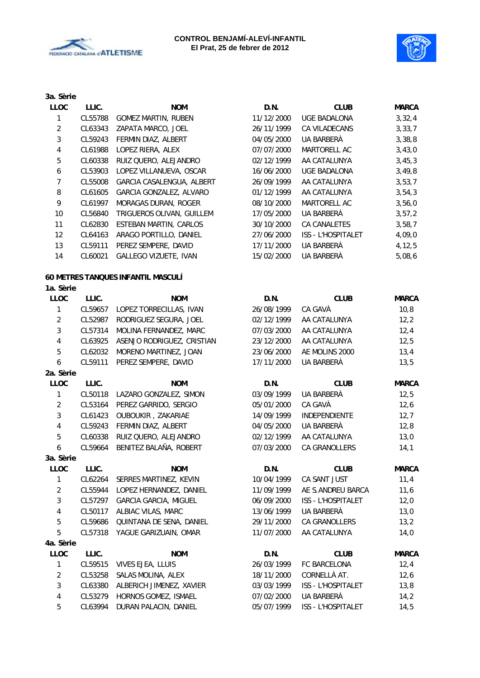



| 3a. Sèrie               |         |                                    |            |                     |              |
|-------------------------|---------|------------------------------------|------------|---------------------|--------------|
| <b>LLOC</b>             | LLIC.   | <b>NOM</b>                         | D.N.       | <b>CLUB</b>         | <b>MARCA</b> |
| $\mathbf{1}$            | CL55788 | <b>GOMEZ MARTIN, RUBEN</b>         | 11/12/2000 | <b>UGE BADALONA</b> | 3,32,4       |
| $\overline{2}$          | CL63343 | ZAPATA MARCO, JOEL                 | 26/11/1999 | CA VILADECANS       | 3, 33, 7     |
| 3                       | CL59243 | FERMIN DIAZ, ALBERT                | 04/05/2000 | UA BARBERÀ          | 3,38,8       |
| $\overline{\mathbf{4}}$ | CL61988 | LOPEZ RIERA, ALEX                  | 07/07/2000 | MARTORELL AC        | 3,43,0       |
| 5                       | CL60338 | RUIZ QUERO, ALEJANDRO              | 02/12/1999 | AA CATALUNYA        | 3,45,3       |
| 6                       | CL53903 | LOPEZ VILLANUEVA, OSCAR            | 16/06/2000 | <b>UGE BADALONA</b> | 3,49,8       |
| $\overline{7}$          | CL55008 | GARCIA CASALENGUA, ALBERT          | 26/09/1999 | AA CATALUNYA        | 3,53,7       |
| 8                       | CL61605 | GARCIA GONZALEZ, ALVARO            | 01/12/1999 | AA CATALUNYA        | 3,54,3       |
| 9                       | CL61997 | MORAGAS DURAN, ROGER               | 08/10/2000 | MARTORELL AC        | 3,56,0       |
| 10                      | CL56840 | TRIGUEROS OLIVAN, GUILLEM          | 17/05/2000 | UA BARBERÀ          | 3, 57, 2     |
| 11                      | CL62830 | ESTEBAN MARTIN, CARLOS             | 30/10/2000 | CA CANALETES        | 3,58,7       |
| 12                      | CL64163 | ARAGO PORTILLO, DANIEL             | 27/06/2000 | ISS - L'HOSPITALET  | 4,09,0       |
| 13                      | CL59111 | PEREZ SEMPERE, DAVID               | 17/11/2000 | UA BARBERÀ          | 4, 12, 5     |
| 14                      | CL60021 | GALLEGO VIZUETE, IVAN              | 15/02/2000 | UA BARBERÀ          | 5,08,6       |
|                         |         | 60 METRES TANQUES INFANTIL MASCULÍ |            |                     |              |
| 1a. Sèrie               |         |                                    |            |                     |              |
| <b>LLOC</b>             | LLIC.   | <b>NOM</b>                         | D.N.       | <b>CLUB</b>         | <b>MARCA</b> |
| $\mathbf{1}$            | CL59657 | LOPEZ TORRECILLAS, IVAN            | 26/08/1999 | CA GAVÀ             | 10, 8        |
| $\overline{2}$          | CL52987 | RODRIGUEZ SEGURA, JOEL             | 02/12/1999 | AA CATALUNYA        | 12, 2        |
| 3                       | CL57314 | MOLINA FERNANDEZ, MARC             | 07/03/2000 | AA CATALUNYA        | 12,4         |
| $\overline{\mathbf{4}}$ | CL63925 | ASENJO RODRIGUEZ, CRISTIAN         | 23/12/2000 | AA CATALUNYA        | 12,5         |
| 5                       | CL62032 | MORENO MARTINEZ, JOAN              | 23/06/2000 | AE MOLINS 2000      | 13,4         |
| 6                       | CL59111 | PEREZ SEMPERE, DAVID               | 17/11/2000 | UA BARBERÀ          | 13,5         |
| 2a. Sèrie               |         |                                    |            |                     |              |
| <b>LLOC</b>             | LLIC.   | <b>NOM</b>                         | D.N.       | <b>CLUB</b>         | <b>MARCA</b> |
| 1                       | CL50118 | LAZARO GONZALEZ, SIMON             | 03/09/1999 | UA BARBERÀ          | 12,5         |
| $\overline{2}$          | CL53164 | PEREZ GARRIDO, SERGIO              | 05/01/2000 | CA GAVÀ             | 12,6         |
| 3                       | CL61423 | OUBOUKIR, ZAKARIAE                 | 14/09/1999 | INDEPENDIENTE       | 12,7         |
| $\overline{\mathbf{4}}$ | CL59243 | FERMIN DIAZ, ALBERT                | 04/05/2000 | UA BARBERÀ          | 12,8         |
| 5                       | CL60338 | RUIZ QUERO, ALEJANDRO              | 02/12/1999 | AA CATALUNYA        | 13,0         |
| 6                       | CL59664 | BENITEZ BALAÑA, ROBERT             | 07/03/2000 | CA GRANOLLERS       | 14,1         |
| 3a. Sèrie               |         |                                    |            |                     |              |
| <b>LLOC</b>             | LLIC.   | <b>NOM</b>                         | D.N.       | <b>CLUB</b>         | <b>MARCA</b> |
| 1                       | CL62264 | SERRES MARTINEZ, KEVIN             | 10/04/1999 | CA SANT JUST        | 11,4         |
| $\overline{c}$          | CL55944 | LOPEZ HERNANDEZ, DANIEL            | 11/09/1999 | AE S.ANDREU BARCA   | 11,6         |
| 3                       | CL57297 | <b>GARCIA GARCIA, MIGUEL</b>       | 06/09/2000 | ISS - L'HOSPITALET  | 12,0         |
| 4                       | CL50117 | ALBIAC VILAS, MARC                 | 13/06/1999 | UA BARBERÀ          | 13,0         |
| 5                       | CL59686 | QUINTANA DE SENA, DANIEL           | 29/11/2000 | CA GRANOLLERS       | 13,2         |
| 5                       | CL57318 | YAGUE GARIZUAIN, OMAR              | 11/07/2000 | AA CATALUNYA        | 14,0         |
| 4a. Sèrie               |         |                                    |            |                     |              |
| <b>LLOC</b>             | LLIC.   | <b>NOM</b>                         | D.N.       | <b>CLUB</b>         | <b>MARCA</b> |
| 1                       | CL59515 | VIVES EJEA, LLUIS                  | 26/03/1999 | FC BARCELONA        | 12,4         |
| $\overline{c}$          | CL53258 | SALAS MOLINA, ALEX                 | 18/11/2000 | CORNELLÀ AT.        | 12,6         |
| 3                       | CL63380 | ALBERICH JIMENEZ, XAVIER           | 03/03/1999 | ISS - L'HOSPITALET  | 13,8         |
| 4                       | CL53279 | HORNOS GOMEZ, ISMAEL               | 07/02/2000 | UA BARBERÀ          | 14,2         |
|                         |         |                                    |            |                     |              |

5 CL63994 DURAN PALACIN, DANIEL 05/07/1999 ISS - L'HOSPITALET 14,5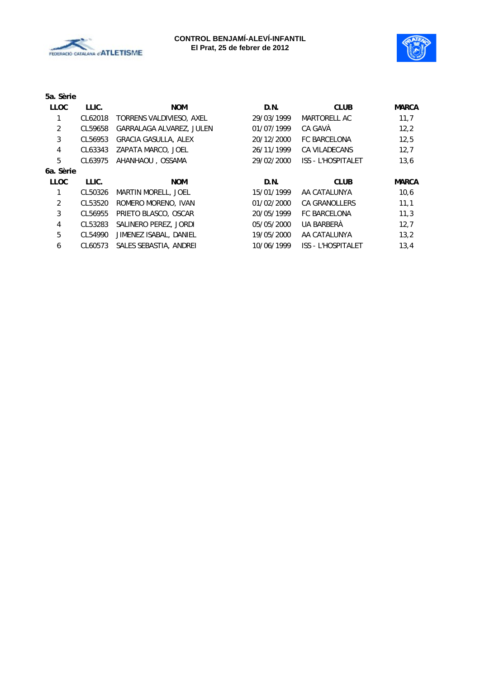



| 5a. Sèrie    |         |                             |            |                           |              |
|--------------|---------|-----------------------------|------------|---------------------------|--------------|
| <b>LLOC</b>  | LLIC.   | <b>NOM</b>                  | D.N.       | <b>CLUB</b>               | <b>MARCA</b> |
| 1            | CL62018 | TORRENS VALDIVIESO, AXEL    | 29/03/1999 | MARTORELL AC              | 11,7         |
| 2            | CL59658 | GARRALAGA ALVAREZ, JULEN    | 01/07/1999 | CA GAVÀ                   | 12,2         |
| 3            | CL56953 | <b>GRACIA GASULLA, ALEX</b> | 20/12/2000 | <b>FC BARCELONA</b>       | 12,5         |
| 4            | CL63343 | ZAPATA MARCO, JOEL          | 26/11/1999 | <b>CA VILADECANS</b>      | 12,7         |
| 5            | CL63975 | AHANHAOU, OSSAMA            | 29/02/2000 | <b>ISS - L'HOSPITALET</b> | 13,6         |
| 6a. Sèrie    |         |                             |            |                           |              |
| <b>LLOC</b>  | LLIC.   | <b>NOM</b>                  | D.N.       | <b>CLUB</b>               | <b>MARCA</b> |
| $\mathbf{1}$ | CL50326 | <b>MARTIN MORELL, JOEL</b>  | 15/01/1999 | AA CATALUNYA              | 10,6         |
| 2            | CL53520 | ROMERO MORENO, IVAN         | 01/02/2000 | <b>CA GRANOLLERS</b>      | 11,1         |
| 3            | CL56955 | PRIETO BLASCO, OSCAR        | 20/05/1999 | <b>FC BARCELONA</b>       | 11,3         |
| 4            | CL53283 | SALINERO PEREZ, JORDI       | 05/05/2000 | UA BARBERÀ                | 12.7         |
| 5            | CL54990 | JIMENEZ ISABAL, DANIEL      | 19/05/2000 | AA CATALUNYA              | 13,2         |
| 6            | CL60573 | SALES SEBASTIA, ANDREI      | 10/06/1999 | <b>ISS - L'HOSPITALET</b> | 13,4         |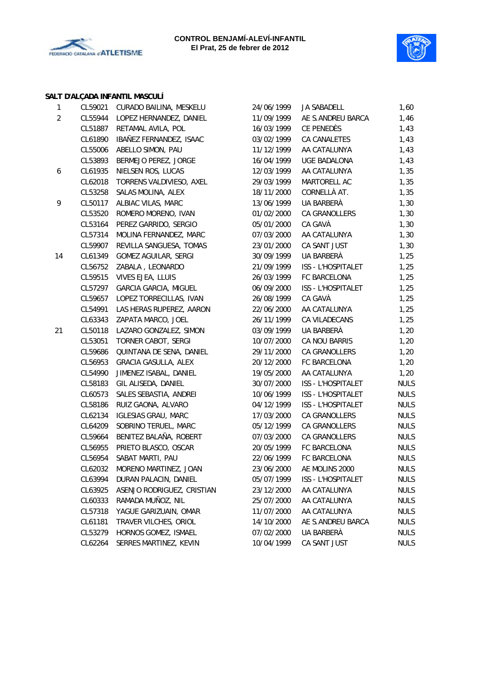



#### **SALT D'ALÇADA INFANTIL MASCULÍ**

| $\mathbf{1}$   | CL59021 | CURADO BAILINA, MESKELU      | 24/06/1999 | JA SABADELL         | 1,60        |
|----------------|---------|------------------------------|------------|---------------------|-------------|
| $\overline{a}$ | CL55944 | LOPEZ HERNANDEZ, DANIEL      | 11/09/1999 | AE S.ANDREU BARCA   | 1,46        |
|                | CL51887 | RETAMAL AVILA, POL           | 16/03/1999 | CE PENEDÈS          | 1,43        |
|                | CL61890 | IBAÑEZ FERNANDEZ, ISAAC      | 03/02/1999 | CA CANALETES        | 1,43        |
|                | CL55006 | ABELLO SIMON, PAU            | 11/12/1999 | AA CATALUNYA        | 1,43        |
|                | CL53893 | BERMEJO PEREZ, JORGE         | 16/04/1999 | <b>UGE BADALONA</b> | 1,43        |
| 6              | CL61935 | NIELSEN ROS, LUCAS           | 12/03/1999 | AA CATALUNYA        | 1,35        |
|                | CL62018 | TORRENS VALDIVIESO, AXEL     | 29/03/1999 | MARTORELL AC        | 1,35        |
|                | CL53258 | SALAS MOLINA, ALEX           | 18/11/2000 | CORNELLÀ AT.        | 1,35        |
| 9              | CL50117 | ALBIAC VILAS, MARC           | 13/06/1999 | UA BARBERÀ          | 1,30        |
|                | CL53520 | ROMERO MORENO, IVAN          | 01/02/2000 | CA GRANOLLERS       | 1,30        |
|                | CL53164 | PEREZ GARRIDO, SERGIO        | 05/01/2000 | CA GAVÀ             | 1,30        |
|                | CL57314 | MOLINA FERNANDEZ, MARC       | 07/03/2000 | AA CATALUNYA        | 1,30        |
|                | CL59907 | REVILLA SANGUESA, TOMAS      | 23/01/2000 | CA SANT JUST        | 1,30        |
| 14             | CL61349 | GOMEZ AGUILAR, SERGI         | 30/09/1999 | UA BARBERÀ          | 1,25        |
|                | CL56752 | ZABALA, LEONARDO             | 21/09/1999 | ISS - L'HOSPITALET  | 1,25        |
|                | CL59515 | VIVES EJEA, LLUIS            | 26/03/1999 | FC BARCELONA        | 1,25        |
|                | CL57297 | <b>GARCIA GARCIA, MIGUEL</b> | 06/09/2000 | ISS - L'HOSPITALET  | 1,25        |
|                | CL59657 | LOPEZ TORRECILLAS, IVAN      | 26/08/1999 | CA GAVÀ             | 1,25        |
|                | CL54991 | LAS HERAS RUPEREZ, AARON     | 22/06/2000 | AA CATALUNYA        | 1,25        |
|                | CL63343 | ZAPATA MARCO, JOEL           | 26/11/1999 | CA VILADECANS       | 1,25        |
| 21             | CL50118 | LAZARO GONZALEZ, SIMON       | 03/09/1999 | UA BARBERÀ          | 1,20        |
|                | CL53051 | TORNER CABOT, SERGI          | 10/07/2000 | CA NOU BARRIS       | 1,20        |
|                | CL59686 | QUINTANA DE SENA, DANIEL     | 29/11/2000 | CA GRANOLLERS       | 1,20        |
|                | CL56953 | GRACIA GASULLA, ALEX         | 20/12/2000 | FC BARCELONA        | 1,20        |
|                | CL54990 | JIMENEZ ISABAL, DANIEL       | 19/05/2000 | AA CATALUNYA        | 1,20        |
|                | CL58183 | GIL ALISEDA, DANIEL          | 30/07/2000 | ISS - L'HOSPITALET  | <b>NULS</b> |
|                | CL60573 | SALES SEBASTIA, ANDREI       | 10/06/1999 | ISS - L'HOSPITALET  | <b>NULS</b> |
|                | CL58186 | RUIZ GAONA, ALVARO           | 04/12/1999 | ISS - L'HOSPITALET  | <b>NULS</b> |
|                | CL62134 | <b>IGLESIAS GRAU, MARC</b>   | 17/03/2000 | CA GRANOLLERS       | <b>NULS</b> |
|                | CL64209 | SOBRINO TERUEL, MARC         | 05/12/1999 | CA GRANOLLERS       | <b>NULS</b> |
|                | CL59664 | BENITEZ BALAÑA, ROBERT       | 07/03/2000 | CA GRANOLLERS       | <b>NULS</b> |
|                | CL56955 | PRIETO BLASCO, OSCAR         | 20/05/1999 | FC BARCELONA        | <b>NULS</b> |
|                | CL56954 | SABAT MARTI, PAU             | 22/06/1999 | FC BARCELONA        | <b>NULS</b> |
|                | CL62032 | MORENO MARTINEZ, JOAN        | 23/06/2000 | AE MOLINS 2000      | <b>NULS</b> |
|                | CL63994 | DURAN PALACIN, DANIEL        | 05/07/1999 | ISS - L'HOSPITALET  | <b>NULS</b> |
|                | CL63925 | ASENJO RODRIGUEZ, CRISTIAN   | 23/12/2000 | AA CATALUNYA        | <b>NULS</b> |
|                | CL60333 | RAMADA MUÑOZ, NIL            | 25/07/2000 | AA CATALUNYA        | <b>NULS</b> |
|                | CL57318 | YAGUE GARIZUAIN, OMAR        | 11/07/2000 | AA CATALUNYA        | <b>NULS</b> |
|                | CL61181 | TRAVER VILCHES, ORIOL        | 14/10/2000 | AE S.ANDREU BARCA   | <b>NULS</b> |
|                | CL53279 | HORNOS GOMEZ, ISMAEL         | 07/02/2000 | UA BARBERÀ          | <b>NULS</b> |
|                | CL62264 | SERRES MARTINEZ, KEVIN       | 10/04/1999 | CA SANT JUST        | <b>NULS</b> |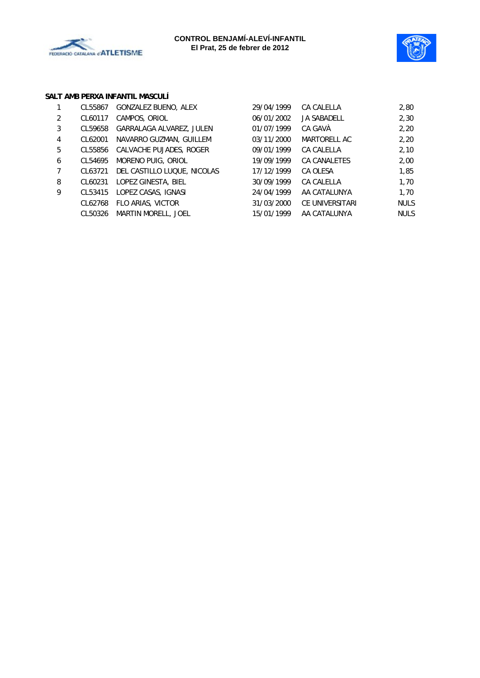



#### **SALT AMB PERXA INFANTIL MASCULÍ**

|   | CL55867 | GONZALEZ BUENO, ALEX        | 29/04/1999 | CA CALELLA          | 2,80        |
|---|---------|-----------------------------|------------|---------------------|-------------|
| 2 | CL60117 | CAMPOS, ORIOL               | 06/01/2002 | <b>JA SABADELL</b>  | 2,30        |
| 3 | CL59658 | GARRALAGA ALVAREZ, JULEN    | 01/07/1999 | CA GAVÀ             | 2,20        |
| 4 | CL62001 | NAVARRO GUZMAN, GUILLEM     | 03/11/2000 | MARTORELL AC        | 2,20        |
| 5 | CL55856 | CALVACHE PUJADES, ROGER     | 09/01/1999 | CA CALELLA          | 2,10        |
| 6 | CL54695 | MORENO PUIG, ORIOL          | 19/09/1999 | <b>CA CANALETES</b> | 2,00        |
|   | CL63721 | DEL CASTILLO LUQUE, NICOLAS | 17/12/1999 | CA OLESA            | 1,85        |
| 8 | CL60231 | LOPEZ GINESTA, BIEL         | 30/09/1999 | CA CALELLA          | 1,70        |
| 9 | CL53415 | LOPEZ CASAS, IGNASI         | 24/04/1999 | AA CATALUNYA        | 1,70        |
|   | CL62768 | FLO ARIAS, VICTOR           | 31/03/2000 | CE UNIVERSITARI     | <b>NULS</b> |
|   | CL50326 | <b>MARTIN MORELL, JOEL</b>  | 15/01/1999 | AA CATALUNYA        | <b>NULS</b> |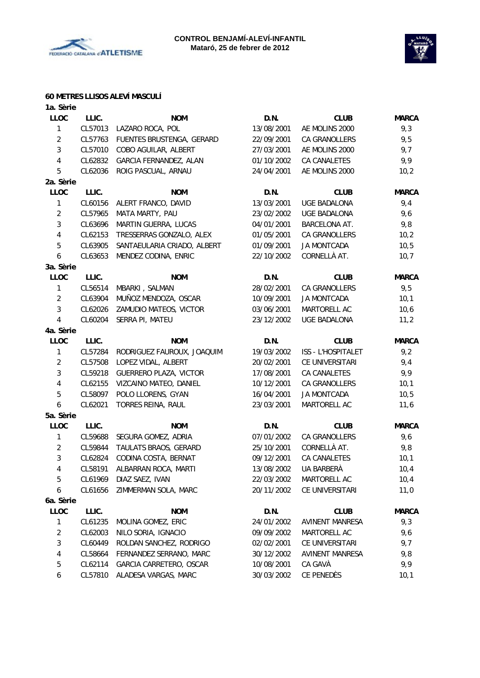



#### **60 METRES LLISOS ALEVÍ MASCULÍ**

| 1a. Sèrie      |         |                               |            |                      |              |
|----------------|---------|-------------------------------|------------|----------------------|--------------|
| LLOC           | LLIC.   | <b>NOM</b>                    | D.N.       | <b>CLUB</b>          | <b>MARCA</b> |
| 1              | CL57013 | LAZARO ROCA, POL              | 13/08/2001 | AE MOLINS 2000       | 9,3          |
| $\overline{2}$ | CL57763 | FUENTES BRUSTENGA, GERARD     | 22/09/2001 | CA GRANOLLERS        | 9,5          |
| 3              | CL57010 | COBO AGUILAR, ALBERT          | 27/03/2001 | AE MOLINS 2000       | 9,7          |
| 4              | CL62832 | GARCIA FERNANDEZ, ALAN        | 01/10/2002 | CA CANALETES         | 9,9          |
| 5              | CL62036 | ROIG PASCUAL, ARNAU           | 24/04/2001 | AE MOLINS 2000       | 10,2         |
| 2a. Sèrie      |         |                               |            |                      |              |
| <b>LLOC</b>    | LLIC.   | <b>NOM</b>                    | D.N.       | <b>CLUB</b>          | <b>MARCA</b> |
| 1              | CL60156 | ALERT FRANCO, DAVID           | 13/03/2001 | <b>UGE BADALONA</b>  | 9,4          |
| 2              | CL57965 | MATA MARTY, PAU               | 23/02/2002 | <b>UGE BADALONA</b>  | 9,6          |
| 3              | CL63696 | MARTIN GUERRA, LUCAS          | 04/01/2001 | <b>BARCELONA AT.</b> | 9,8          |
| 4              | CL62153 | TRESSERRAS GONZALO, ALEX      | 01/05/2001 | CA GRANOLLERS        | 10,2         |
| 5              | CL63905 | SANTAEULARIA CRIADO, ALBERT   | 01/09/2001 | <b>JA MONTCADA</b>   | 10,5         |
| 6              | CL63653 | MENDEZ CODINA, ENRIC          | 22/10/2002 | CORNELLÀ AT.         | 10,7         |
| 3a. Sèrie      |         |                               |            |                      |              |
| <b>LLOC</b>    | LLIC.   | <b>NOM</b>                    | D.N.       | <b>CLUB</b>          | <b>MARCA</b> |
| 1              | CL56514 | MBARKI, SALMAN                | 28/02/2001 | CA GRANOLLERS        | 9,5          |
| $\overline{2}$ | CL63904 | MUÑOZ MENDOZA, OSCAR          | 10/09/2001 | <b>JA MONTCADA</b>   | 10,1         |
| 3              | CL62026 | ZAMUDIO MATEOS, VICTOR        | 03/06/2001 | MARTORELL AC         | 10,6         |
| 4              | CL60204 | SERRA PI, MATEU               | 23/12/2002 | <b>UGE BADALONA</b>  | 11,2         |
| 4a. Sèrie      |         |                               |            |                      |              |
| <b>LLOC</b>    | LLIC.   | <b>NOM</b>                    | D.N.       | <b>CLUB</b>          | <b>MARCA</b> |
| 1              | CL57284 | RODRIGUEZ FAUROUX, JOAQUIM    | 19/03/2002 | ISS - L'HOSPITALET   | 9,2          |
| $\overline{2}$ | CL57508 | LOPEZ VIDAL, ALBERT           | 20/02/2001 | CE UNIVERSITARI      | 9,4          |
| 3              | CL59218 | <b>GUERRERO PLAZA, VICTOR</b> | 17/08/2001 | CA CANALETES         | 9,9          |
| 4              | CL62155 | VIZCAINO MATEO, DANIEL        | 10/12/2001 | CA GRANOLLERS        | 10,1         |
| 5              | CL58097 | POLO LLORENS, GYAN            | 16/04/2001 | <b>JA MONTCADA</b>   | 10, 5        |
| 6              | CL62021 | TORRES REINA, RAUL            | 23/03/2001 | MARTORELL AC         | 11,6         |
| 5a. Sèrie      |         |                               |            |                      |              |
| LLOC           | LLIC.   | <b>NOM</b>                    | D.N.       | <b>CLUB</b>          | <b>MARCA</b> |
| 1              | CL59688 | SEGURA GOMEZ, ADRIA           | 07/01/2002 | <b>CA GRANOLLERS</b> | 9,6          |
| $\overline{2}$ | CL59844 | TAULATS BRAOS, GERARD         | 25/10/2001 | CORNELLÀ AT.         | 9,8          |
| 3              | CL62824 | CODINA COSTA, BERNAT          | 09/12/2001 | <b>CA CANALETES</b>  | 10,1         |
| 4              | CL58191 | ALBARRAN ROCA, MARTI          | 13/08/2002 | UA BARBERA           | 10,4         |
| 5              | CL61969 | DIAZ SAEZ, IVAN               | 22/03/2002 | MARTORELL AC         | 10,4         |
| 6              | CL61656 | ZIMMERMAN SOLA, MARC          | 20/11/2002 | CE UNIVERSITARI      | 11,0         |
| 6a. Sèrie      |         |                               |            |                      |              |
| <b>LLOC</b>    | LLIC.   | <b>NOM</b>                    | D.N.       | <b>CLUB</b>          | <b>MARCA</b> |
| 1              | CL61235 | MOLINA GOMEZ, ERIC            | 24/01/2002 | AVINENT MANRESA      | 9,3          |
| 2              | CL62003 | NILO SORIA, IGNACIO           | 09/09/2002 | MARTORELL AC         | 9,6          |
| 3              | CL60449 | ROLDAN SANCHEZ, RODRIGO       | 02/02/2001 | CE UNIVERSITARI      | 9,7          |
| 4              | CL58664 | FERNANDEZ SERRANO, MARC       | 30/12/2002 | AVINENT MANRESA      | 9,8          |
| 5              | CL62114 | GARCIA CARRETERO, OSCAR       | 10/08/2001 | CA GAVÀ              | 9,9          |
| 6              | CL57810 | ALADESA VARGAS, MARC          | 30/03/2002 | CE PENEDÈS           | 10,1         |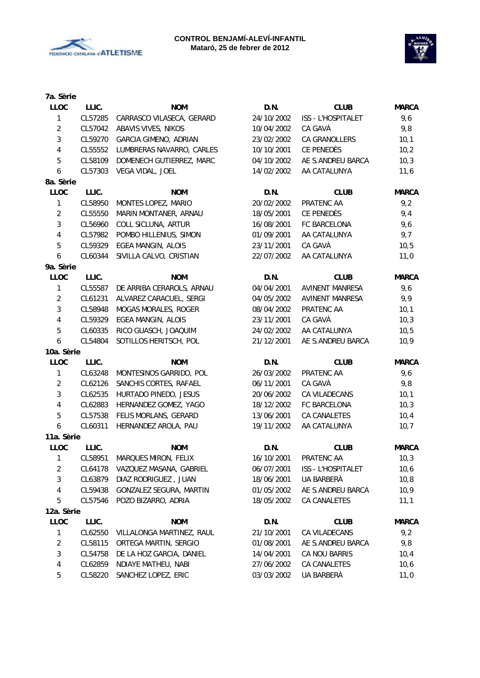



| 7a. Sèrie        |         |                              |            |                        |              |
|------------------|---------|------------------------------|------------|------------------------|--------------|
| <b>LLOC</b>      | LLIC.   | <b>NOM</b>                   | D.N.       | <b>CLUB</b>            | <b>MARCA</b> |
| $\mathbf{1}$     | CL57285 | CARRASCO VILASECA, GERARD    | 24/10/2002 | ISS - L'HOSPITALET     | 9,6          |
| $\overline{2}$   | CL57042 | ABAVIS VIVES, NIKOS          | 10/04/2002 | CA GAVÀ                | 9,8          |
| $\mathbf{3}$     | CL59270 | <b>GARCIA GIMENO, ADRIAN</b> | 23/02/2002 | CA GRANOLLERS          | 10,1         |
| $\overline{4}$   | CL55552 | LUMBRERAS NAVARRO, CARLES    | 10/10/2001 | CE PENEDÈS             | 10,2         |
| $\mathbf 5$      | CL58109 | DOMENECH GUTIERREZ, MARC     | 04/10/2002 | AE S.ANDREU BARCA      | 10,3         |
| 6                | CL57303 | VEGA VIDAL, JOEL             | 14/02/2002 | AA CATALUNYA           | 11,6         |
| 8a. Sèrie        |         |                              |            |                        |              |
| LLOC             | LLIC.   | <b>NOM</b>                   | D.N.       | <b>CLUB</b>            | <b>MARCA</b> |
| 1                | CL58950 | MONTES LOPEZ, MARIO          | 20/02/2002 | PRATENC AA             | 9,2          |
| $\overline{2}$   | CL55550 | MARIN MONTANER, ARNAU        | 18/05/2001 | CE PENEDÈS             | 9,4          |
| 3                | CL56960 | COLL SICLUNA, ARTUR          | 16/08/2001 | FC BARCELONA           | 9,6          |
| 4                | CL57982 | POMBO HILLENIUS, SIMON       | 01/09/2001 | AA CATALUNYA           | 9,7          |
| $\mathbf 5$      | CL59329 | EGEA MANGIN, ALOIS           | 23/11/2001 | CA GAVÀ                | 10, 5        |
| 6                | CL60344 | SIVILLA CALVO, CRISTIAN      | 22/07/2002 | AA CATALUNYA           | 11,0         |
| 9a. Sèrie        |         |                              |            |                        |              |
| <b>LLOC</b>      | LLIC.   | <b>NOM</b>                   | D.N.       | <b>CLUB</b>            | <b>MARCA</b> |
| 1                | CL55587 | DE ARRIBA CERAROLS, ARNAU    | 04/04/2001 | AVINENT MANRESA        | 9,6          |
| $\overline{2}$   | CL61231 | ALVAREZ CARACUEL, SERGI      | 04/05/2002 | <b>AVINENT MANRESA</b> | 9,9          |
| 3                | CL58948 | MOGAS MORALES, ROGER         | 08/04/2002 | PRATENC AA             | 10,1         |
| $\sqrt{4}$       | CL59329 | <b>EGEA MANGIN, ALOIS</b>    | 23/11/2001 | CA GAVÀ                | 10,3         |
| 5                | CL60335 | RICO GUASCH, JOAQUIM         | 24/02/2002 | AA CATALUNYA           | 10, 5        |
| $\boldsymbol{6}$ | CL54804 | SOTILLOS HERITSCH, POL       | 21/12/2001 | AE S.ANDREU BARCA      | 10,9         |
| 10a. Sèrie       |         |                              |            |                        |              |
| <b>LLOC</b>      | LLIC.   | <b>NOM</b>                   | D.N.       | <b>CLUB</b>            | <b>MARCA</b> |
| 1                | CL63248 | MONTESINOS GARRIDO, POL      | 26/03/2002 | PRATENC AA             | 9,6          |
| $\overline{2}$   | CL62126 | SANCHIS CORTES, RAFAEL       | 06/11/2001 | CA GAVÀ                | 9,8          |
| 3                | CL62535 | HURTADO PINEDO, JESUS        | 20/06/2002 | CA VILADECANS          | 10,1         |
| $\overline{4}$   | CL62883 | HERNANDEZ GOMEZ, YAGO        | 18/12/2002 | FC BARCELONA           | 10,3         |
| 5                | CL57538 | FELIS MORLANS, GERARD        | 13/06/2001 | CA CANALETES           | 10,4         |
| 6                | CL60311 | HERNANDEZ AROLA, PAU         | 19/11/2002 | AA CATALUNYA           | 10,7         |
| 11a. Sèrie       |         |                              |            |                        |              |
| <b>LLOC</b>      | LLIC.   | <b>NOM</b>                   | D.N.       | <b>CLUB</b>            | <b>MARCA</b> |
| 1                | CL58951 | MARQUES MIRON, FELIX         | 16/10/2001 | PRATENC AA             | 10,3         |
| $\overline{2}$   | CL64178 | VAZQUEZ MASANA, GABRIEL      | 06/07/2001 | ISS - L'HOSPITALET     | 10,6         |
| 3                | CL63879 | DIAZ RODRIGUEZ, JUAN         | 18/06/2001 | UA BARBERA             | 10, 8        |
| 4                | CL59438 | GONZALEZ SEGURA, MARTIN      | 01/05/2002 | AE S.ANDREU BARCA      | 10,9         |
| 5                | CL57546 | POZO BIZARRO, ADRIA          | 18/05/2002 | CA CANALETES           | 11,1         |
| 12a. Sèrie       |         |                              |            |                        |              |
| <b>LLOC</b>      | LLIC.   | <b>NOM</b>                   | D.N.       | <b>CLUB</b>            | <b>MARCA</b> |
| 1                | CL62550 | VILLALONGA MARTINEZ, RAUL    | 21/10/2001 | CA VILADECANS          | 9,2          |
| 2                | CL58115 | ORTEGA MARTIN, SERGIO        | 01/08/2001 | AE S.ANDREU BARCA      | 9,8          |
| 3                | CL54758 | DE LA HOZ GARCIA, DANIEL     | 14/04/2001 | CA NOU BARRIS          | 10,4         |
| 4                | CL62859 | NDIAYE MATHEU, NABI          | 27/06/2002 | CA CANALETES           |              |
|                  |         |                              |            |                        | 10,6         |
| 5                | CL58220 | SANCHEZ LOPEZ, ERIC          | 03/03/2002 | UA BARBERÀ             | 11,0         |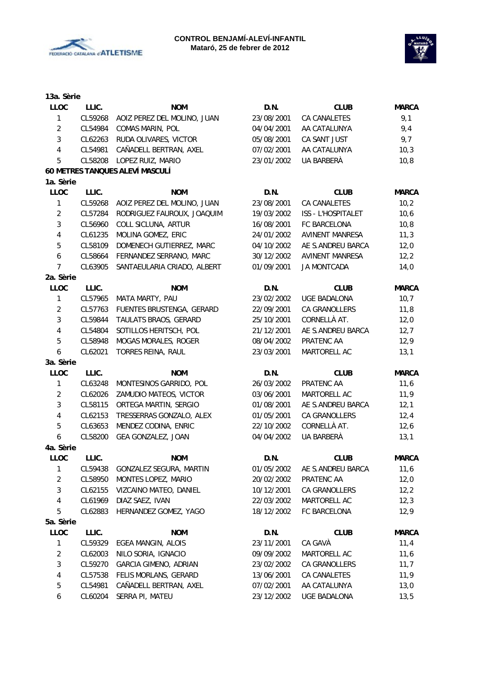



| 13a. Sèrie              |         |                                 |            |                        |              |
|-------------------------|---------|---------------------------------|------------|------------------------|--------------|
| <b>LLOC</b>             | LLIC.   | <b>NOM</b>                      | D.N.       | <b>CLUB</b>            | <b>MARCA</b> |
| $\mathbf{1}$            | CL59268 | AOIZ PEREZ DEL MOLINO, JUAN     | 23/08/2001 | CA CANALETES           | 9,1          |
| $\overline{2}$          | CL54984 | COMAS MARIN, POL                | 04/04/2001 | AA CATALUNYA           | 9,4          |
| 3                       | CL62263 | RUDA OLIVARES, VICTOR           | 05/08/2001 | CA SANT JUST           | 9,7          |
| 4                       | CL54981 | CAÑADELL BERTRAN, AXEL          | 07/02/2001 | AA CATALUNYA           | 10,3         |
| 5                       | CL58208 | LOPEZ RUIZ, MARIO               | 23/01/2002 | UA BARBERÀ             | 10, 8        |
|                         |         | 60 METRES TANQUES ALEVÍ MASCULÍ |            |                        |              |
| 1a. Sèrie               |         |                                 |            |                        |              |
| LLOC                    | LLIC.   | <b>NOM</b>                      | D.N.       | <b>CLUB</b>            | <b>MARCA</b> |
| 1                       | CL59268 | AOIZ PEREZ DEL MOLINO, JUAN     | 23/08/2001 | <b>CA CANALETES</b>    | 10,2         |
| $\overline{2}$          | CL57284 | RODRIGUEZ FAUROUX, JOAQUIM      | 19/03/2002 | ISS - L'HOSPITALET     | 10,6         |
| 3                       | CL56960 | COLL SICLUNA, ARTUR             | 16/08/2001 | FC BARCELONA           | 10,8         |
| $\overline{\mathbf{4}}$ | CL61235 | MOLINA GOMEZ, ERIC              | 24/01/2002 | <b>AVINENT MANRESA</b> | 11,3         |
| 5                       | CL58109 | DOMENECH GUTIERREZ, MARC        | 04/10/2002 | AE S.ANDREU BARCA      | 12,0         |
| 6                       | CL58664 | FERNANDEZ SERRANO, MARC         | 30/12/2002 | <b>AVINENT MANRESA</b> | 12,2         |
| 7                       | CL63905 | SANTAEULARIA CRIADO, ALBERT     | 01/09/2001 | <b>JA MONTCADA</b>     | 14,0         |
| 2a. Sèrie               |         |                                 |            |                        |              |
| <b>LLOC</b>             | LLIC.   | <b>NOM</b>                      | D.N.       | <b>CLUB</b>            | <b>MARCA</b> |
| 1                       | CL57965 | MATA MARTY, PAU                 | 23/02/2002 | <b>UGE BADALONA</b>    | 10,7         |
| $\overline{2}$          | CL57763 | FUENTES BRUSTENGA, GERARD       | 22/09/2001 | CA GRANOLLERS          | 11,8         |
| 3                       | CL59844 | TAULATS BRAOS, GERARD           | 25/10/2001 | CORNELLÀ AT.           | 12,0         |
| 4                       | CL54804 | SOTILLOS HERITSCH, POL          | 21/12/2001 | AE S.ANDREU BARCA      | 12,7         |
| 5                       | CL58948 | MOGAS MORALES, ROGER            | 08/04/2002 | PRATENC AA             | 12,9         |
| 6                       | CL62021 | TORRES REINA, RAUL              | 23/03/2001 | MARTORELL AC           | 13,1         |
| 3a. Sèrie               |         |                                 |            |                        |              |
| <b>LLOC</b>             | LLIC.   | <b>NOM</b>                      | D.N.       | <b>CLUB</b>            | <b>MARCA</b> |
| $\mathbf{1}$            | CL63248 | MONTESINOS GARRIDO, POL         | 26/03/2002 | PRATENC AA             | 11,6         |
| $\overline{2}$          | CL62026 | ZAMUDIO MATEOS, VICTOR          | 03/06/2001 | MARTORELL AC           | 11,9         |
| 3                       | CL58115 | ORTEGA MARTIN, SERGIO           | 01/08/2001 | AE S.ANDREU BARCA      | 12,1         |
| 4                       | CL62153 | TRESSERRAS GONZALO, ALEX        | 01/05/2001 | CA GRANOLLERS          | 12,4         |
| 5                       | CL63653 | MENDEZ CODINA, ENRIC            | 22/10/2002 | CORNELLÀ AT.           | 12,6         |
| 6                       | CL58200 | GEA GONZALEZ, JOAN              | 04/04/2002 | UA BARBERÀ             | 13,1         |
| 4a. Sèrie               |         |                                 |            |                        |              |
| <b>LLOC</b>             | LLIC.   | <b>NOM</b>                      | D.N.       | <b>CLUB</b>            | <b>MARCA</b> |
| 1                       | CL59438 | GONZALEZ SEGURA, MARTIN         | 01/05/2002 | AE S.ANDREU BARCA      | 11,6         |
| $\overline{2}$          | CL58950 | MONTES LOPEZ, MARIO             | 20/02/2002 | PRATENC AA             | 12,0         |
| 3                       | CL62155 | VIZCAINO MATEO, DANIEL          | 10/12/2001 | CA GRANOLLERS          | 12,2         |
| 4                       | CL61969 | DIAZ SAEZ, IVAN                 | 22/03/2002 | MARTORELL AC           | 12,3         |
| 5                       | CL62883 | HERNANDEZ GOMEZ, YAGO           | 18/12/2002 | FC BARCELONA           | 12,9         |
| 5a. Sèrie               |         |                                 |            |                        |              |
| <b>LLOC</b>             | LLIC.   | <b>NOM</b>                      | D.N.       | <b>CLUB</b>            | <b>MARCA</b> |
| 1                       | CL59329 | EGEA MANGIN, ALOIS              | 23/11/2001 | CA GAVÀ                | 11,4         |
| $\overline{c}$          | CL62003 | NILO SORIA, IGNACIO             | 09/09/2002 | MARTORELL AC           | 11,6         |
| 3                       | CL59270 | <b>GARCIA GIMENO, ADRIAN</b>    | 23/02/2002 | CA GRANOLLERS          | 11,7         |
| 4                       | CL57538 | FELIS MORLANS, GERARD           | 13/06/2001 | CA CANALETES           | 11,9         |
| 5                       | CL54981 | CAÑADELL BERTRAN, AXEL          | 07/02/2001 | AA CATALUNYA           | 13,0         |

6 CL60204 SERRA PI, MATEU 23/12/2002 UGE BADALONA 13,5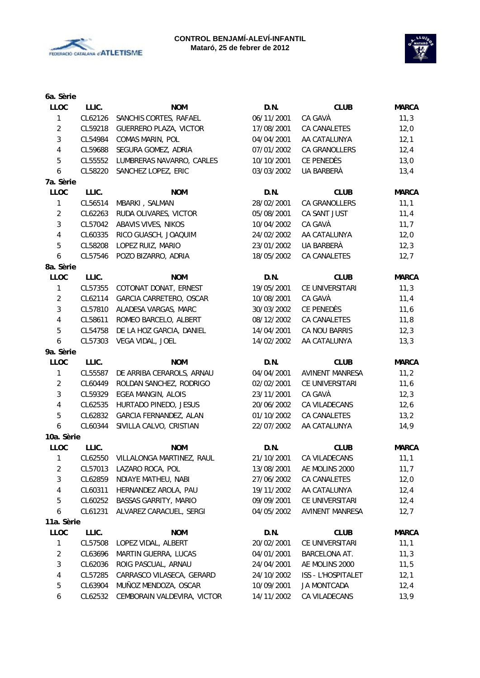



| 6a. Sèrie        |         |                                               |            |                        |              |
|------------------|---------|-----------------------------------------------|------------|------------------------|--------------|
| <b>LLOC</b>      | LLIC.   | <b>NOM</b>                                    | D.N.       | <b>CLUB</b>            | <b>MARCA</b> |
| $\mathbf{1}$     | CL62126 | SANCHIS CORTES, RAFAEL                        | 06/11/2001 | CA GAVÀ                | 11,3         |
| $\sqrt{2}$       | CL59218 | <b>GUERRERO PLAZA, VICTOR</b>                 | 17/08/2001 | CA CANALETES           | 12,0         |
| $\sqrt{3}$       | CL54984 | COMAS MARIN, POL                              | 04/04/2001 | AA CATALUNYA           | 12,1         |
| $\overline{4}$   | CL59688 | SEGURA GOMEZ, ADRIA                           | 07/01/2002 | CA GRANOLLERS          | 12,4         |
| $\mathbf 5$      | CL55552 | LUMBRERAS NAVARRO, CARLES                     | 10/10/2001 | CE PENEDÈS             | 13,0         |
| $\boldsymbol{6}$ | CL58220 | SANCHEZ LOPEZ, ERIC                           | 03/03/2002 | UA BARBERÀ             | 13,4         |
| 7a. Sèrie        |         |                                               |            |                        |              |
| <b>LLOC</b>      | LLIC.   | <b>NOM</b>                                    | D.N.       | <b>CLUB</b>            | <b>MARCA</b> |
| $\mathbf{1}$     | CL56514 | MBARKI, SALMAN                                | 28/02/2001 | <b>CA GRANOLLERS</b>   | 11,1         |
| $\overline{2}$   | CL62263 | RUDA OLIVARES, VICTOR                         | 05/08/2001 | CA SANT JUST           | 11,4         |
| $\mathbf{3}$     | CL57042 | ABAVIS VIVES, NIKOS                           | 10/04/2002 | CA GAVÀ                | 11,7         |
| $\sqrt{4}$       | CL60335 | RICO GUASCH, JOAQUIM                          | 24/02/2002 | AA CATALUNYA           | 12,0         |
| $\sqrt{5}$       | CL58208 | LOPEZ RUIZ, MARIO                             | 23/01/2002 | UA BARBERÀ             | 12,3         |
| 6                | CL57546 | POZO BIZARRO, ADRIA                           | 18/05/2002 | CA CANALETES           | 12,7         |
| 8a. Sèrie        |         |                                               |            |                        |              |
| <b>LLOC</b>      | LLIC.   | <b>NOM</b>                                    | D.N.       | <b>CLUB</b>            | <b>MARCA</b> |
| $\mathbf{1}$     | CL57355 | COTONAT DONAT, ERNEST                         | 19/05/2001 | CE UNIVERSITARI        | 11,3         |
| $\sqrt{2}$       | CL62114 | GARCIA CARRETERO, OSCAR                       | 10/08/2001 | CA GAVÀ                | 11,4         |
| 3                | CL57810 |                                               |            | CE PENEDÈS             |              |
|                  |         | ALADESA VARGAS, MARC<br>ROMEO BARCELO, ALBERT | 30/03/2002 |                        | 11,6         |
| 4                | CL58611 |                                               | 08/12/2002 | CA CANALETES           | 11,8         |
| 5                | CL54758 | DE LA HOZ GARCIA, DANIEL                      | 14/04/2001 | CA NOU BARRIS          | 12,3         |
| 6                | CL57303 | VEGA VIDAL, JOEL                              | 14/02/2002 | AA CATALUNYA           | 13,3         |
| 9a. Sèrie        |         |                                               |            |                        |              |
| LLOC             | LLIC.   | <b>NOM</b>                                    | D.N.       | <b>CLUB</b>            | <b>MARCA</b> |
| 1                | CL55587 | DE ARRIBA CERAROLS, ARNAU                     | 04/04/2001 | <b>AVINENT MANRESA</b> | 11,2         |
| $\overline{2}$   | CL60449 | ROLDAN SANCHEZ, RODRIGO                       | 02/02/2001 | CE UNIVERSITARI        | 11,6         |
| 3                | CL59329 | EGEA MANGIN, ALOIS                            | 23/11/2001 | CA GAVÀ                | 12,3         |
| $\overline{4}$   | CL62535 | HURTADO PINEDO, JESUS                         | 20/06/2002 | CA VILADECANS          | 12,6         |
| $\mathbf 5$      | CL62832 | GARCIA FERNANDEZ, ALAN                        | 01/10/2002 | CA CANALETES           | 13,2         |
| 6                | CL60344 | SIVILLA CALVO, CRISTIAN                       | 22/07/2002 | AA CATALUNYA           | 14,9         |
| 10a. Sèrie       |         |                                               |            |                        |              |
| <b>LLOC</b>      | LLIC.   | <b>NOM</b>                                    | D.N.       | <b>CLUB</b>            | <b>MARCA</b> |
| 1                | CL62550 | VILLALONGA MARTINEZ, RAUL                     | 21/10/2001 | CA VILADECANS          | 11,1         |
| $\overline{2}$   | CL57013 | LAZARO ROCA, POL                              | 13/08/2001 | AE MOLINS 2000         | 11,7         |
| 3                | CL62859 | NDIAYE MATHEU, NABI                           | 27/06/2002 | CA CANALETES           | 12,0         |
| 4                | CL60311 | HERNANDEZ AROLA, PAU                          | 19/11/2002 | AA CATALUNYA           | 12,4         |
| 5                | CL60252 | <b>BASSAS GARRITY, MARIO</b>                  | 09/09/2001 | CE UNIVERSITARI        | 12,4         |
| 6                | CL61231 | ALVAREZ CARACUEL, SERGI                       | 04/05/2002 | <b>AVINENT MANRESA</b> | 12,7         |
| 11a. Sèrie       |         |                                               |            |                        |              |
| <b>LLOC</b>      | LLIC.   | <b>NOM</b>                                    | D.N.       | <b>CLUB</b>            | <b>MARCA</b> |
| 1                | CL57508 | LOPEZ VIDAL, ALBERT                           | 20/02/2001 | CE UNIVERSITARI        | 11,1         |
| $\overline{2}$   | CL63696 | MARTIN GUERRA, LUCAS                          | 04/01/2001 | BARCELONA AT.          | 11,3         |
| 3                | CL62036 | ROIG PASCUAL, ARNAU                           | 24/04/2001 | AE MOLINS 2000         | 11,5         |
| 4                | CL57285 | CARRASCO VILASECA, GERARD                     | 24/10/2002 | ISS - L'HOSPITALET     | 12,1         |
| 5                | CL63904 | MUÑOZ MENDOZA, OSCAR                          | 10/09/2001 | JA MONTCADA            | 12,4         |
| 6                | CL62532 | CEMBORAIN VALDEVIRA, VICTOR                   | 14/11/2002 | CA VILADECANS          | 13,9         |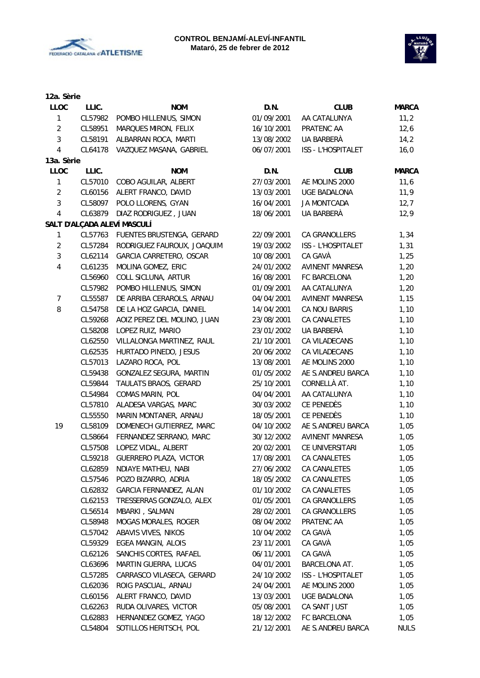



| 12a. Sèrie              |         |                             |            |                        |              |
|-------------------------|---------|-----------------------------|------------|------------------------|--------------|
| <b>LLOC</b>             | LLIC.   | <b>NOM</b>                  | D.N.       | <b>CLUB</b>            | <b>MARCA</b> |
| $\mathbf{1}$            | CL57982 | POMBO HILLENIUS, SIMON      | 01/09/2001 | AA CATALUNYA           | 11,2         |
| $\overline{2}$          | CL58951 | MARQUES MIRON, FELIX        | 16/10/2001 | PRATENC AA             | 12,6         |
| 3                       | CL58191 | ALBARRAN ROCA, MARTI        | 13/08/2002 | UA BARBERÀ             | 14,2         |
| $\overline{4}$          | CL64178 | VAZQUEZ MASANA, GABRIEL     | 06/07/2001 | ISS - L'HOSPITALET     | 16,0         |
| 13a. Sèrie              |         |                             |            |                        |              |
| <b>LLOC</b>             | LLIC.   | <b>NOM</b>                  | D.N.       | <b>CLUB</b>            | <b>MARCA</b> |
| 1                       | CL57010 | COBO AGUILAR, ALBERT        | 27/03/2001 | AE MOLINS 2000         | 11,6         |
| $\overline{2}$          | CL60156 | ALERT FRANCO, DAVID         | 13/03/2001 | UGE BADALONA           | 11,9         |
| 3                       | CL58097 | POLO LLORENS, GYAN          | 16/04/2001 | <b>JA MONTCADA</b>     | 12,7         |
| $\overline{\mathbf{4}}$ | CL63879 | DIAZ RODRIGUEZ, JUAN        | 18/06/2001 | UA BARBERÀ             | 12,9         |
|                         |         | SALT D'ALÇADA ALEVÍ MASCULÍ |            |                        |              |
| 1                       | CL57763 | FUENTES BRUSTENGA, GERARD   | 22/09/2001 | CA GRANOLLERS          | 1,34         |
| $\overline{2}$          | CL57284 | RODRIGUEZ FAUROUX, JOAQUIM  | 19/03/2002 | ISS - L'HOSPITALET     | 1,31         |
| 3                       | CL62114 | GARCIA CARRETERO, OSCAR     | 10/08/2001 | CA GAVÀ                | 1,25         |
| 4                       | CL61235 | MOLINA GOMEZ, ERIC          | 24/01/2002 | AVINENT MANRESA        | 1,20         |
|                         | CL56960 | COLL SICLUNA, ARTUR         | 16/08/2001 | FC BARCELONA           | 1,20         |
|                         | CL57982 | POMBO HILLENIUS, SIMON      | 01/09/2001 | AA CATALUNYA           | 1,20         |
| $\overline{7}$          | CL55587 | DE ARRIBA CERAROLS, ARNAU   | 04/04/2001 | <b>AVINENT MANRESA</b> | 1,15         |
| 8                       | CL54758 | DE LA HOZ GARCIA, DANIEL    | 14/04/2001 | CA NOU BARRIS          | 1,10         |
|                         | CL59268 | AOIZ PEREZ DEL MOLINO, JUAN | 23/08/2001 | CA CANALETES           | 1,10         |
|                         | CL58208 | LOPEZ RUIZ, MARIO           | 23/01/2002 | UA BARBERÀ             | 1,10         |
|                         | CL62550 | VILLALONGA MARTINEZ, RAUL   | 21/10/2001 | CA VILADECANS          | 1,10         |
|                         | CL62535 | HURTADO PINEDO, JESUS       | 20/06/2002 | CA VILADECANS          | 1,10         |
|                         | CL57013 | LAZARO ROCA, POL            | 13/08/2001 | AE MOLINS 2000         | 1,10         |
|                         | CL59438 | GONZALEZ SEGURA, MARTIN     | 01/05/2002 | AE S.ANDREU BARCA      | 1,10         |
|                         | CL59844 | TAULATS BRAOS, GERARD       | 25/10/2001 | CORNELLÀ AT.           | 1,10         |
|                         | CL54984 | COMAS MARIN, POL            | 04/04/2001 | AA CATALUNYA           | 1,10         |
|                         | CL57810 | ALADESA VARGAS, MARC        | 30/03/2002 | CE PENEDÈS             | 1,10         |
|                         | CL55550 | MARIN MONTANER, ARNAU       | 18/05/2001 | CE PENEDÈS             |              |
| 19                      | CL58109 | DOMENECH GUTIERREZ, MARC    | 04/10/2002 | AE S.ANDREU BARCA      | 1,10         |
|                         |         |                             |            |                        | 1,05         |
|                         | CL58664 | FERNANDEZ SERRANO, MARC     | 30/12/2002 | <b>AVINENT MANRESA</b> | 1,05         |
|                         | CL57508 | LOPEZ VIDAL, ALBERT         | 20/02/2001 | CE UNIVERSITARI        | 1,05         |
|                         | CL59218 | GUERRERO PLAZA, VICTOR      | 17/08/2001 | CA CANALETES           | 1,05         |
|                         | CL62859 | NDIAYE MATHEU, NABI         | 27/06/2002 | CA CANALETES           | 1,05         |
|                         | CL57546 | POZO BIZARRO, ADRIA         | 18/05/2002 | CA CANALETES           | 1,05         |
|                         | CL62832 | GARCIA FERNANDEZ, ALAN      | 01/10/2002 | CA CANALETES           | 1,05         |
|                         | CL62153 | TRESSERRAS GONZALO, ALEX    | 01/05/2001 | CA GRANOLLERS          | 1,05         |
|                         | CL56514 | MBARKI, SALMAN              | 28/02/2001 | CA GRANOLLERS          | 1,05         |
|                         | CL58948 | MOGAS MORALES, ROGER        | 08/04/2002 | PRATENC AA             | 1,05         |
|                         | CL57042 | ABAVIS VIVES, NIKOS         | 10/04/2002 | CA GAVÀ                | 1,05         |
|                         | CL59329 | EGEA MANGIN, ALOIS          | 23/11/2001 | CA GAVÀ                | 1,05         |
|                         | CL62126 | SANCHIS CORTES, RAFAEL      | 06/11/2001 | CA GAVÀ                | 1,05         |
|                         | CL63696 | MARTIN GUERRA, LUCAS        | 04/01/2001 | BARCELONA AT.          | 1,05         |
|                         | CL57285 | CARRASCO VILASECA, GERARD   | 24/10/2002 | ISS - L'HOSPITALET     | 1,05         |
|                         | CL62036 | ROIG PASCUAL, ARNAU         | 24/04/2001 | AE MOLINS 2000         | 1,05         |
|                         | CL60156 | ALERT FRANCO, DAVID         | 13/03/2001 | UGE BADALONA           | 1,05         |
|                         | CL62263 | RUDA OLIVARES, VICTOR       | 05/08/2001 | CA SANT JUST           | 1,05         |
|                         | CL62883 | HERNANDEZ GOMEZ, YAGO       | 18/12/2002 | FC BARCELONA           | 1,05         |
|                         | CL54804 | SOTILLOS HERITSCH, POL      | 21/12/2001 | AE S.ANDREU BARCA      | <b>NULS</b>  |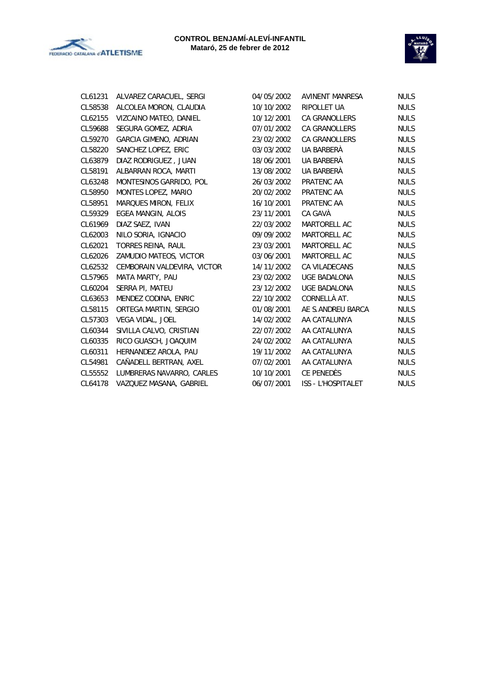



| CL61231 | ALVAREZ CARACUEL, SERGI           |
|---------|-----------------------------------|
| CL58538 | ALCOLEA MORON, CLAUDIA            |
| CL62155 | VIZCAINO MATEO, DANIEL            |
| CL59688 | SEGURA GOMEZ, ADRIA               |
|         | CL59270 GARCIA GIMENO, ADRIAN     |
| CL58220 | SANCHEZ LOPEZ, ERIC               |
| CL63879 | DIAZ RODRIGUEZ, JUAN              |
| CL58191 | ALBARRAN ROCA, MARTI              |
| CL63248 | <b>MONTESINOS GARRIDO, POL</b>    |
| CL58950 | MONTES LOPEZ, MARIO               |
| CL58951 | MARQUES MIRON, FELIX              |
| CL59329 | <b>EGEA MANGIN, ALOIS</b>         |
| CL61969 | DIAZ SAEZ, IVAN                   |
| CL62003 | NILO SORIA, IGNACIO               |
| CL62021 | TORRES REINA, RAUL                |
| CL62026 | ZAMUDIO MATEOS, VICTOR            |
| CL62532 | CEMBORAIN VALDEVIRA, VICTOR       |
| CL57965 | <b>MATA MARTY, PAU</b>            |
| CL60204 | SERRA PI, MATEU                   |
| CL63653 | MENDEZ CODINA, ENRIC              |
| CL58115 | <b>ORTEGA MARTIN, SERGIO</b>      |
| CL57303 | VEGA VIDAL, JOEL                  |
| CL60344 | SIVILLA CALVO, CRISTIAN           |
| CL60335 | RICO GUASCH, JOAQUIM              |
| CL60311 | HERNANDEZ AROLA, PAU              |
| CL54981 | CAÑADELL BERTRAN, AXEL            |
|         | CL55552 LUMBRERAS NAVARRO, CARLES |
| CL64178 | VAZQUEZ MASANA, GABRIEL           |

| CL61231 | ALVAREZ CARACUEL, SERGI      | 04/05/2002 | AVINENT MANRESA           | <b>NULS</b> |
|---------|------------------------------|------------|---------------------------|-------------|
| CL58538 | ALCOLEA MORON, CLAUDIA       | 10/10/2002 | <b>RIPOLLET UA</b>        | <b>NULS</b> |
| CL62155 | VIZCAINO MATEO, DANIEL       | 10/12/2001 | <b>CA GRANOLLERS</b>      | <b>NULS</b> |
| CL59688 | SEGURA GOMEZ, ADRIA          | 07/01/2002 | <b>CA GRANOLLERS</b>      | <b>NULS</b> |
| CL59270 | <b>GARCIA GIMENO, ADRIAN</b> | 23/02/2002 | <b>CA GRANOLLERS</b>      | <b>NULS</b> |
| CL58220 | SANCHEZ LOPEZ, ERIC          | 03/03/2002 | UA BARBERÀ                | <b>NULS</b> |
| CL63879 | DIAZ RODRIGUEZ, JUAN         | 18/06/2001 | UA BARBERÀ                | <b>NULS</b> |
| CL58191 | ALBARRAN ROCA, MARTI         | 13/08/2002 | UA BARBERÀ                | <b>NULS</b> |
| CL63248 | MONTESINOS GARRIDO, POL      | 26/03/2002 | PRATENC AA                | <b>NULS</b> |
| CL58950 | MONTES LOPEZ, MARIO          | 20/02/2002 | PRATENC AA                | <b>NULS</b> |
| CL58951 | MARQUES MIRON, FELIX         | 16/10/2001 | PRATENC AA                | <b>NULS</b> |
| CL59329 | EGEA MANGIN, ALOIS           | 23/11/2001 | CA GAVÀ                   | <b>NULS</b> |
| CL61969 | DIAZ SAEZ, IVAN              | 22/03/2002 | MARTORELL AC              | <b>NULS</b> |
| CL62003 | NILO SORIA, IGNACIO          | 09/09/2002 | <b>MARTORELL AC</b>       | <b>NULS</b> |
| CL62021 | TORRES REINA, RAUL           | 23/03/2001 | MARTORELL AC              | <b>NULS</b> |
| CL62026 | ZAMUDIO MATEOS, VICTOR       | 03/06/2001 | <b>MARTORELL AC</b>       | <b>NULS</b> |
| CL62532 | CEMBORAIN VALDEVIRA, VICTOR  | 14/11/2002 | CA VILADECANS             | <b>NULS</b> |
| CL57965 | MATA MARTY, PAU              | 23/02/2002 | UGE BADALONA              | <b>NULS</b> |
| CL60204 | SERRA PI, MATEU              | 23/12/2002 | UGE BADALONA              | <b>NULS</b> |
| CL63653 | MENDEZ CODINA, ENRIC         | 22/10/2002 | CORNELLÀ AT.              | <b>NULS</b> |
| CL58115 | ORTEGA MARTIN, SERGIO        | 01/08/2001 | AE S.ANDREU BARCA         | <b>NULS</b> |
| CL57303 | VEGA VIDAL, JOEL             | 14/02/2002 | AA CATALUNYA              | <b>NULS</b> |
| CL60344 | SIVILLA CALVO, CRISTIAN      | 22/07/2002 | AA CATALUNYA              | <b>NULS</b> |
| CL60335 | RICO GUASCH, JOAQUIM         | 24/02/2002 | AA CATALUNYA              | <b>NULS</b> |
| CL60311 | HERNANDEZ AROLA, PAU         | 19/11/2002 | AA CATALUNYA              | <b>NULS</b> |
| CL54981 | CAÑADELL BERTRAN, AXEL       | 07/02/2001 | AA CATALUNYA              | <b>NULS</b> |
| CL55552 | LUMBRERAS NAVARRO, CARLES    | 10/10/2001 | CE PENEDÈS                | <b>NULS</b> |
| CL64178 | VAZQUEZ MASANA, GABRIEL      | 06/07/2001 | <b>ISS - L'HOSPITALET</b> | <b>NULS</b> |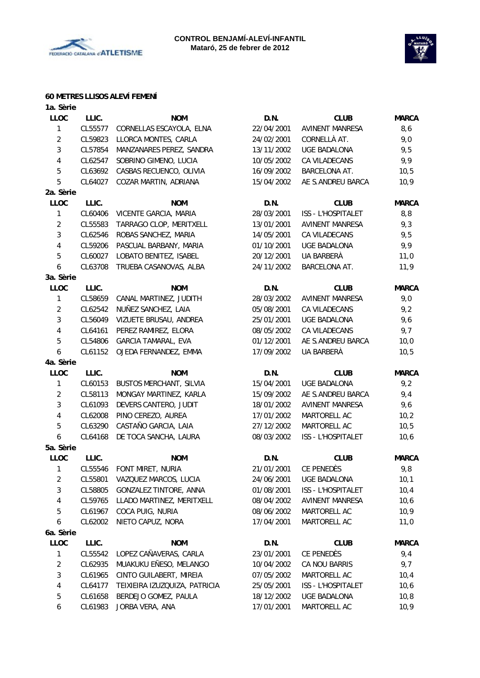



#### **60 METRES LLISOS ALEVÍ FEMENÍ**

| 1a. Sèrie           |                    |                               |            |                           |              |
|---------------------|--------------------|-------------------------------|------------|---------------------------|--------------|
| <b>LLOC</b>         | LLIC.              | <b>NOM</b>                    | D.N.       | <b>CLUB</b>               | <b>MARCA</b> |
| 1                   | CL55577            | CORNELLAS ESCAYOLA, ELNA      | 22/04/2001 | <b>AVINENT MANRESA</b>    | 8,6          |
| $\overline{2}$      | CL59823            | LLORCA MONTES, CARLA          | 24/02/2001 | CORNELLÀ AT.              | 9,0          |
| 3                   | CL57854            | MANZANARES PEREZ, SANDRA      | 13/11/2002 | <b>UGE BADALONA</b>       | 9,5          |
| 4                   | CL62547            | SOBRINO GIMENO, LUCIA         | 10/05/2002 | CA VILADECANS             | 9,9          |
| 5                   | CL63692            | CASBAS RECUENCO, OLIVIA       | 16/09/2002 | <b>BARCELONA AT.</b>      | 10, 5        |
| 5                   | CL64027            | COZAR MARTIN, ADRIANA         | 15/04/2002 | AE S.ANDREU BARCA         | 10,9         |
| 2a. Sèrie           |                    |                               |            |                           |              |
| <b>LLOC</b>         | LLIC.              | <b>NOM</b>                    | D.N.       | <b>CLUB</b>               | <b>MARCA</b> |
| $\mathbf{1}$        | CL60406            | VICENTE GARCIA, MARIA         | 28/03/2001 | ISS - L'HOSPITALET        | 8, 8         |
| $\overline{2}$      | CL55583            | TARRAGO CLOP, MERITXELL       | 13/01/2001 | <b>AVINENT MANRESA</b>    | 9,3          |
| 3                   | CL62546            | ROBAS SANCHEZ, MARIA          | 14/05/2001 | CA VILADECANS             | 9,5          |
| 4                   | CL59206            | PASCUAL BARBANY, MARIA        | 01/10/2001 | <b>UGE BADALONA</b>       | 9,9          |
| 5                   | CL60027            | LOBATO BENITEZ, ISABEL        | 20/12/2001 | UA BARBERÀ                | 11,0         |
| 6                   | CL63708            | TRUEBA CASANOVAS, ALBA        | 24/11/2002 | BARCELONA AT.             | 11,9         |
| 3a. Sèrie           |                    |                               |            |                           |              |
| <b>LLOC</b>         | LLIC.              | <b>NOM</b>                    | D.N.       | <b>CLUB</b>               | <b>MARCA</b> |
| 1                   | CL58659            | CANAL MARTINEZ, JUDITH        | 28/03/2002 | <b>AVINENT MANRESA</b>    | 9,0          |
| $\overline{2}$      | CL62542            | NUÑEZ SANCHEZ, LAIA           | 05/08/2001 | CA VILADECANS             | 9,2          |
| 3                   | CL56049            | VIZUETE BRUSAU, ANDREA        | 25/01/2001 | <b>UGE BADALONA</b>       | 9,6          |
| $\overline{4}$      | CL64161            | PEREZ RAMIREZ, ELORA          | 08/05/2002 | CA VILADECANS             | 9,7          |
| 5                   | CL54806            | <b>GARCIA TAMARAL, EVA</b>    | 01/12/2001 | AE S.ANDREU BARCA         | 10,0         |
| 6                   | CL61152            | OJEDA FERNANDEZ, EMMA         | 17/09/2002 | UA BARBERÀ                | 10, 5        |
| 4a. Sèrie           |                    |                               |            |                           |              |
| <b>LLOC</b>         | LLIC.              | <b>NOM</b>                    | D.N.       | <b>CLUB</b>               | <b>MARCA</b> |
| 1                   | CL60153            | BUSTOS MERCHANT, SILVIA       | 15/04/2001 | <b>UGE BADALONA</b>       | 9,2          |
| $\overline{2}$      | CL58113            | MONGAY MARTINEZ, KARLA        | 15/09/2002 | AE S.ANDREU BARCA         | 9,4          |
| 3                   | CL61093            | DEVERS CANTERO, JUDIT         | 18/01/2002 | <b>AVINENT MANRESA</b>    | 9,6          |
| 4                   | CL62008            | PINO CEREZO, AUREA            | 17/01/2002 | MARTORELL AC              | 10,2         |
| 5                   | CL63290            | CASTAÑO GARCIA, LAIA          | 27/12/2002 | MARTORELL AC              | 10,5         |
| 6                   | CL64168            | DE TOCA SANCHA, LAURA         | 08/03/2002 | ISS - L'HOSPITALET        | 10, 6        |
| 5a. Sèrie           |                    |                               |            |                           |              |
|                     | LLIC.              |                               | D.N.       |                           |              |
| <b>LLOC</b>         |                    | <b>NOM</b>                    | 21/01/2001 | <b>CLUB</b><br>CE PENEDÈS | <b>MARCA</b> |
| 1<br>$\overline{2}$ | CL55546<br>CL55801 | FONT MIRET, NURIA             |            | <b>UGE BADALONA</b>       | 9,8          |
| 3                   |                    | VAZQUEZ MARCOS, LUCIA         | 24/06/2001 |                           | 10,1         |
|                     | CL58805            | GONZALEZ TINTORE, ANNA        | 01/08/2001 | ISS - L'HOSPITALET        | 10,4         |
| 4                   | CL59765            | LLADO MARTINEZ, MERITXELL     | 08/04/2002 | AVINENT MANRESA           | 10, 6        |
| 5                   | CL61967            | COCA PUIG, NURIA              | 08/06/2002 | MARTORELL AC              | 10, 9        |
| 6                   | CL62002            | NIETO CAPUZ, NORA             | 17/04/2001 | MARTORELL AC              | 11,0         |
| 6a. Sèrie           |                    |                               |            |                           |              |
| <b>LLOC</b>         | LLIC.              | <b>NOM</b>                    | D.N.       | <b>CLUB</b>               | MARCA        |
| 1                   | CL55542            | LOPEZ CAÑAVERAS, CARLA        | 23/01/2001 | CE PENEDÈS                | 9,4          |
| $\overline{2}$      | CL62935            | MUAKUKU EÑESO, MELANGO        | 10/04/2002 | CA NOU BARRIS             | 9,7          |
| 3                   | CL61965            | CINTO GUILABERT, MIREIA       | 07/05/2002 | MARTORELL AC              | 10,4         |
| 4                   | CL64177            | TEIXIEIRA IZUZQUIZA, PATRICIA | 25/05/2001 | ISS - L'HOSPITALET        | 10, 6        |
| 5                   | CL61658            | BERDEJO GOMEZ, PAULA          | 18/12/2002 | <b>UGE BADALONA</b>       | 10,8         |
| 6                   | CL61983            | JORBA VERA, ANA               | 17/01/2001 | MARTORELL AC              | 10,9         |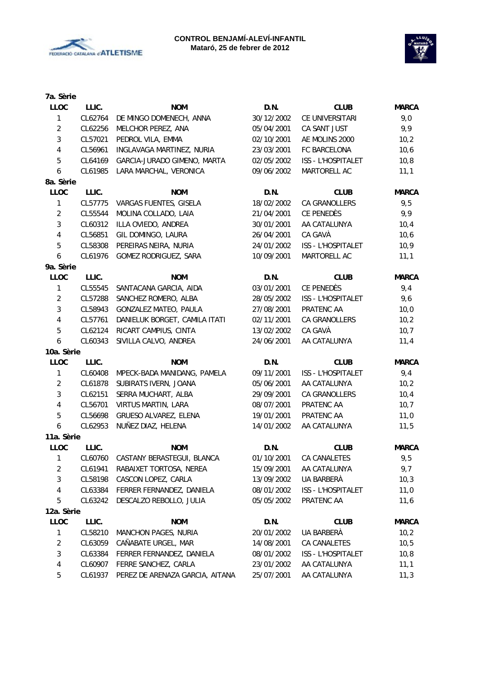



| 7a. Sèrie               |         |                                 |            |                      |              |
|-------------------------|---------|---------------------------------|------------|----------------------|--------------|
| <b>LLOC</b>             | LLIC.   | <b>NOM</b>                      | D.N.       | <b>CLUB</b>          | <b>MARCA</b> |
| $\mathbf{1}$            | CL62764 | DE MINGO DOMENECH, ANNA         | 30/12/2002 | CE UNIVERSITARI      | 9,0          |
| $\sqrt{2}$              | CL62256 | MELCHOR PEREZ, ANA              | 05/04/2001 | CA SANT JUST         | 9,9          |
| $\sqrt{3}$              | CL57021 | PEDROL VILA, EMMA               | 02/10/2001 | AE MOLINS 2000       | 10,2         |
| $\overline{4}$          | CL56961 | INGLAVAGA MARTINEZ, NURIA       | 23/03/2001 | FC BARCELONA         | 10,6         |
| $\sqrt{5}$              | CL64169 | GARCIA-JURADO GIMENO, MARTA     | 02/05/2002 | ISS - L'HOSPITALET   | 10,8         |
| 6                       | CL61985 | LARA MARCHAL, VERONICA          | 09/06/2002 | MARTORELL AC         | 11,1         |
| 8a. Sèrie               |         |                                 |            |                      |              |
| <b>LLOC</b>             | LLIC.   | <b>NOM</b>                      | D.N.       | <b>CLUB</b>          | <b>MARCA</b> |
| $\mathbf{1}$            | CL57775 | VARGAS FUENTES, GISELA          | 18/02/2002 | CA GRANOLLERS        | 9,5          |
| $\overline{2}$          | CL55544 | MOLINA COLLADO, LAIA            | 21/04/2001 | CE PENEDÈS           | 9,9          |
| $\mathbf{3}$            | CL60312 | ILLA OVIEDO, ANDREA             | 30/01/2001 | AA CATALUNYA         | 10,4         |
| 4                       | CL56851 | GIL DOMINGO, LAURA              | 26/04/2001 | CA GAVÀ              | 10,6         |
| $\sqrt{5}$              | CL58308 | PEREIRAS NEIRA, NURIA           | 24/01/2002 | ISS - L'HOSPITALET   | 10, 9        |
| 6                       | CL61976 | GOMEZ RODRIGUEZ, SARA           | 10/09/2001 | MARTORELL AC         | 11,1         |
| 9a. Sèrie               |         |                                 |            |                      |              |
| <b>LLOC</b>             | LLIC.   | <b>NOM</b>                      | D.N.       | <b>CLUB</b>          | <b>MARCA</b> |
| $\mathbf{1}$            | CL55545 | SANTACANA GARCIA, AIDA          | 03/01/2001 | CE PENEDÈS           | 9,4          |
| $\overline{2}$          | CL57288 | SANCHEZ ROMERO, ALBA            | 28/05/2002 | ISS - L'HOSPITALET   | 9,6          |
| $\mathfrak{Z}$          | CL58943 | <b>GONZALEZ MATEO, PAULA</b>    | 27/08/2001 | PRATENC AA           | 10,0         |
| 4                       | CL57761 | DANIELUK BORGET, CAMILA ITATI   | 02/11/2001 | <b>CA GRANOLLERS</b> | 10,2         |
| 5                       | CL62124 | RICART CAMPIUS, CINTA           | 13/02/2002 | CA GAVÀ              | 10,7         |
| $\boldsymbol{6}$        | CL60343 | SIVILLA CALVO, ANDREA           | 24/06/2001 | AA CATALUNYA         | 11,4         |
| 10a. Sèrie              |         |                                 |            |                      |              |
| <b>LLOC</b>             | LLIC.   | <b>NOM</b>                      | D.N.       | <b>CLUB</b>          | <b>MARCA</b> |
| 1                       | CL60408 | MPECK-BADA MANIDANG, PAMELA     | 09/11/2001 | ISS - L'HOSPITALET   | 9,4          |
| $\overline{2}$          | CL61878 | SUBIRATS IVERN, JOANA           | 05/06/2001 | AA CATALUNYA         | 10,2         |
| $\sqrt{3}$              | CL62151 | SERRA MUCHART, ALBA             | 29/09/2001 | CA GRANOLLERS        | 10,4         |
| $\overline{4}$          | CL56701 | VIRTUS MARTIN, LARA             | 08/07/2001 | PRATENC AA           | 10,7         |
| $\overline{5}$          | CL56698 | GRUESO ALVAREZ, ELENA           | 19/01/2001 | PRATENC AA           | 11,0         |
| 6                       | CL62953 | NUÑEZ DIAZ, HELENA              | 14/01/2002 | AA CATALUNYA         | 11,5         |
| 11a. Sèrie              |         |                                 |            |                      |              |
| <b>LLOC</b>             | LLIC.   | <b>NOM</b>                      | D.N.       | <b>CLUB</b>          | <b>MARCA</b> |
| 1                       | CL60760 | CASTANY BERASTEGUI, BLANCA      | 01/10/2001 | CA CANALETES         | 9,5          |
| $\overline{c}$          | CL61941 | RABAIXET TORTOSA, NEREA         | 15/09/2001 | AA CATALUNYA         | 9,7          |
| 3                       | CL58198 | CASCON LOPEZ, CARLA             | 13/09/2002 | UA BARBERÀ           | 10,3         |
| $\overline{\mathbf{4}}$ | CL63384 | FERRER FERNANDEZ, DANIELA       | 08/01/2002 | ISS - L'HOSPITALET   | 11,0         |
| 5                       | CL63242 | DESCALZO REBOLLO, JULIA         | 05/05/2002 | PRATENC AA           | 11,6         |
| 12a. Sèrie              |         |                                 |            |                      |              |
| <b>LLOC</b>             | LLIC.   | <b>NOM</b>                      | D.N.       | <b>CLUB</b>          | <b>MARCA</b> |
| 1                       | CL58210 | <b>MANCHON PAGES, NURIA</b>     | 20/01/2002 | UA BARBERÀ           | 10,2         |
| $\overline{c}$          | CL63059 | CAÑABATE URGEL, MAR             | 14/08/2001 | CA CANALETES         | 10, 5        |
| 3                       | CL63384 | FERRER FERNANDEZ, DANIELA       | 08/01/2002 | ISS - L'HOSPITALET   | 10, 8        |
| 4                       | CL60907 | FERRE SANCHEZ, CARLA            | 23/01/2002 | AA CATALUNYA         | 11,1         |
| 5                       | CL61937 | PEREZ DE ARENAZA GARCIA, AITANA | 25/07/2001 | AA CATALUNYA         | 11,3         |
|                         |         |                                 |            |                      |              |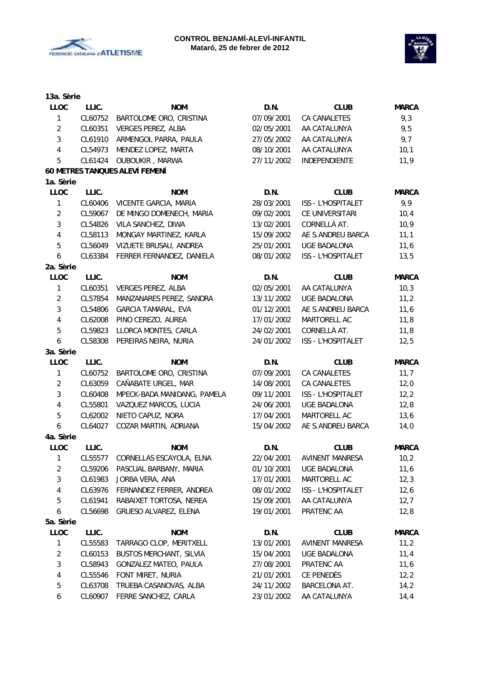



| <b>NOM</b><br>BARTOLOME ORO, CRISTINA<br>VERGES PEREZ, ALBA<br>ARMENGOL PARRA, PAULA<br>MENDEZ LOPEZ, MARTA<br>OUBOUKIR, MARWA<br>60 METRES TANQUES ALEVÍ FEMENÍ<br><b>NOM</b><br>VICENTE GARCIA, MARIA<br>DE MINGO DOMENECH, MARIA<br>VILA SANCHEZ, DIWA<br>MONGAY MARTINEZ, KARLA<br>VIZUETE BRUSAU, ANDREA<br>FERRER FERNANDEZ, DANIELA<br><b>NOM</b><br>VERGES PEREZ, ALBA<br>MANZANARES PEREZ, SANDRA<br>GARCIA TAMARAL, EVA<br>PINO CEREZO, AUREA<br>LLORCA MONTES, CARLA<br>PEREIRAS NEIRA, NURIA<br><b>NOM</b><br>BARTOLOME ORO, CRISTINA | D.N.<br>07/09/2001<br>02/05/2001<br>27/05/2002<br>08/10/2001<br>27/11/2002<br>D.N.<br>28/03/2001<br>09/02/2001<br>13/02/2001<br>15/09/2002<br>25/01/2001<br>08/01/2002<br>D.N.<br>02/05/2001<br>13/11/2002<br>01/12/2001<br>17/01/2002<br>24/02/2001<br>24/01/2002<br>D.N. | <b>CLUB</b><br>CA CANALETES<br>AA CATALUNYA<br>AA CATALUNYA<br>AA CATALUNYA<br>INDEPENDIENTE<br><b>CLUB</b><br>ISS - L'HOSPITALET<br>CE UNIVERSITARI<br>CORNELLÀ AT.<br>AE S.ANDREU BARCA<br><b>UGE BADALONA</b><br>ISS - L'HOSPITALET<br><b>CLUB</b><br>AA CATALUNYA<br><b>UGE BADALONA</b><br>AE S.ANDREU BARCA<br>MARTORELL AC<br>CORNELLÀ AT.<br>ISS - L'HOSPITALET<br><b>CLUB</b> | <b>MARCA</b><br>9,3<br>9,5<br>9,7<br>10,1<br>11,9<br><b>MARCA</b><br>9,9<br>10,4<br>10, 9<br>11,1<br>11,6<br>13,5<br><b>MARCA</b><br>10,3<br>11,2<br>11,6<br>11,8<br>11,8<br>12,5<br><b>MARCA</b> |
|---------------------------------------------------------------------------------------------------------------------------------------------------------------------------------------------------------------------------------------------------------------------------------------------------------------------------------------------------------------------------------------------------------------------------------------------------------------------------------------------------------------------------------------------------|----------------------------------------------------------------------------------------------------------------------------------------------------------------------------------------------------------------------------------------------------------------------------|----------------------------------------------------------------------------------------------------------------------------------------------------------------------------------------------------------------------------------------------------------------------------------------------------------------------------------------------------------------------------------------|---------------------------------------------------------------------------------------------------------------------------------------------------------------------------------------------------|
|                                                                                                                                                                                                                                                                                                                                                                                                                                                                                                                                                   |                                                                                                                                                                                                                                                                            |                                                                                                                                                                                                                                                                                                                                                                                        |                                                                                                                                                                                                   |
|                                                                                                                                                                                                                                                                                                                                                                                                                                                                                                                                                   |                                                                                                                                                                                                                                                                            |                                                                                                                                                                                                                                                                                                                                                                                        |                                                                                                                                                                                                   |
|                                                                                                                                                                                                                                                                                                                                                                                                                                                                                                                                                   |                                                                                                                                                                                                                                                                            |                                                                                                                                                                                                                                                                                                                                                                                        |                                                                                                                                                                                                   |
|                                                                                                                                                                                                                                                                                                                                                                                                                                                                                                                                                   |                                                                                                                                                                                                                                                                            |                                                                                                                                                                                                                                                                                                                                                                                        |                                                                                                                                                                                                   |
|                                                                                                                                                                                                                                                                                                                                                                                                                                                                                                                                                   |                                                                                                                                                                                                                                                                            |                                                                                                                                                                                                                                                                                                                                                                                        |                                                                                                                                                                                                   |
|                                                                                                                                                                                                                                                                                                                                                                                                                                                                                                                                                   |                                                                                                                                                                                                                                                                            |                                                                                                                                                                                                                                                                                                                                                                                        |                                                                                                                                                                                                   |
|                                                                                                                                                                                                                                                                                                                                                                                                                                                                                                                                                   |                                                                                                                                                                                                                                                                            |                                                                                                                                                                                                                                                                                                                                                                                        |                                                                                                                                                                                                   |
|                                                                                                                                                                                                                                                                                                                                                                                                                                                                                                                                                   |                                                                                                                                                                                                                                                                            |                                                                                                                                                                                                                                                                                                                                                                                        |                                                                                                                                                                                                   |
|                                                                                                                                                                                                                                                                                                                                                                                                                                                                                                                                                   |                                                                                                                                                                                                                                                                            |                                                                                                                                                                                                                                                                                                                                                                                        |                                                                                                                                                                                                   |
|                                                                                                                                                                                                                                                                                                                                                                                                                                                                                                                                                   |                                                                                                                                                                                                                                                                            |                                                                                                                                                                                                                                                                                                                                                                                        |                                                                                                                                                                                                   |
|                                                                                                                                                                                                                                                                                                                                                                                                                                                                                                                                                   |                                                                                                                                                                                                                                                                            |                                                                                                                                                                                                                                                                                                                                                                                        |                                                                                                                                                                                                   |
|                                                                                                                                                                                                                                                                                                                                                                                                                                                                                                                                                   |                                                                                                                                                                                                                                                                            |                                                                                                                                                                                                                                                                                                                                                                                        |                                                                                                                                                                                                   |
|                                                                                                                                                                                                                                                                                                                                                                                                                                                                                                                                                   |                                                                                                                                                                                                                                                                            |                                                                                                                                                                                                                                                                                                                                                                                        |                                                                                                                                                                                                   |
|                                                                                                                                                                                                                                                                                                                                                                                                                                                                                                                                                   |                                                                                                                                                                                                                                                                            |                                                                                                                                                                                                                                                                                                                                                                                        |                                                                                                                                                                                                   |
|                                                                                                                                                                                                                                                                                                                                                                                                                                                                                                                                                   |                                                                                                                                                                                                                                                                            |                                                                                                                                                                                                                                                                                                                                                                                        |                                                                                                                                                                                                   |
|                                                                                                                                                                                                                                                                                                                                                                                                                                                                                                                                                   |                                                                                                                                                                                                                                                                            |                                                                                                                                                                                                                                                                                                                                                                                        |                                                                                                                                                                                                   |
|                                                                                                                                                                                                                                                                                                                                                                                                                                                                                                                                                   |                                                                                                                                                                                                                                                                            |                                                                                                                                                                                                                                                                                                                                                                                        |                                                                                                                                                                                                   |
|                                                                                                                                                                                                                                                                                                                                                                                                                                                                                                                                                   |                                                                                                                                                                                                                                                                            |                                                                                                                                                                                                                                                                                                                                                                                        |                                                                                                                                                                                                   |
|                                                                                                                                                                                                                                                                                                                                                                                                                                                                                                                                                   |                                                                                                                                                                                                                                                                            |                                                                                                                                                                                                                                                                                                                                                                                        |                                                                                                                                                                                                   |
|                                                                                                                                                                                                                                                                                                                                                                                                                                                                                                                                                   |                                                                                                                                                                                                                                                                            |                                                                                                                                                                                                                                                                                                                                                                                        |                                                                                                                                                                                                   |
|                                                                                                                                                                                                                                                                                                                                                                                                                                                                                                                                                   |                                                                                                                                                                                                                                                                            |                                                                                                                                                                                                                                                                                                                                                                                        |                                                                                                                                                                                                   |
|                                                                                                                                                                                                                                                                                                                                                                                                                                                                                                                                                   |                                                                                                                                                                                                                                                                            |                                                                                                                                                                                                                                                                                                                                                                                        |                                                                                                                                                                                                   |
|                                                                                                                                                                                                                                                                                                                                                                                                                                                                                                                                                   |                                                                                                                                                                                                                                                                            |                                                                                                                                                                                                                                                                                                                                                                                        |                                                                                                                                                                                                   |
|                                                                                                                                                                                                                                                                                                                                                                                                                                                                                                                                                   |                                                                                                                                                                                                                                                                            |                                                                                                                                                                                                                                                                                                                                                                                        |                                                                                                                                                                                                   |
|                                                                                                                                                                                                                                                                                                                                                                                                                                                                                                                                                   |                                                                                                                                                                                                                                                                            |                                                                                                                                                                                                                                                                                                                                                                                        |                                                                                                                                                                                                   |
|                                                                                                                                                                                                                                                                                                                                                                                                                                                                                                                                                   | 07/09/2001                                                                                                                                                                                                                                                                 | CA CANALETES                                                                                                                                                                                                                                                                                                                                                                           | 11,7                                                                                                                                                                                              |
| CAÑABATE URGEL, MAR                                                                                                                                                                                                                                                                                                                                                                                                                                                                                                                               | 14/08/2001                                                                                                                                                                                                                                                                 | CA CANALETES                                                                                                                                                                                                                                                                                                                                                                           | 12,0                                                                                                                                                                                              |
| MPECK-BADA MANIDANG, PAMELA                                                                                                                                                                                                                                                                                                                                                                                                                                                                                                                       | 09/11/2001                                                                                                                                                                                                                                                                 | ISS - L'HOSPITALET                                                                                                                                                                                                                                                                                                                                                                     | 12, 2                                                                                                                                                                                             |
| VAZQUEZ MARCOS, LUCIA                                                                                                                                                                                                                                                                                                                                                                                                                                                                                                                             | 24/06/2001                                                                                                                                                                                                                                                                 | <b>UGE BADALONA</b>                                                                                                                                                                                                                                                                                                                                                                    | 12,8                                                                                                                                                                                              |
| NIETO CAPUZ, NORA                                                                                                                                                                                                                                                                                                                                                                                                                                                                                                                                 | 17/04/2001                                                                                                                                                                                                                                                                 | MARTORELL AC                                                                                                                                                                                                                                                                                                                                                                           | 13,6                                                                                                                                                                                              |
| COZAR MARTIN, ADRIANA                                                                                                                                                                                                                                                                                                                                                                                                                                                                                                                             | 15/04/2002                                                                                                                                                                                                                                                                 | AE S.ANDREU BARCA                                                                                                                                                                                                                                                                                                                                                                      | 14,0                                                                                                                                                                                              |
|                                                                                                                                                                                                                                                                                                                                                                                                                                                                                                                                                   |                                                                                                                                                                                                                                                                            |                                                                                                                                                                                                                                                                                                                                                                                        |                                                                                                                                                                                                   |
| <b>NOM</b>                                                                                                                                                                                                                                                                                                                                                                                                                                                                                                                                        | D.N.                                                                                                                                                                                                                                                                       | <b>CLUB</b>                                                                                                                                                                                                                                                                                                                                                                            | <b>MARCA</b>                                                                                                                                                                                      |
| CORNELLAS ESCAYOLA, ELNA                                                                                                                                                                                                                                                                                                                                                                                                                                                                                                                          | 22/04/2001                                                                                                                                                                                                                                                                 | <b>AVINENT MANRESA</b>                                                                                                                                                                                                                                                                                                                                                                 | 10,2                                                                                                                                                                                              |
|                                                                                                                                                                                                                                                                                                                                                                                                                                                                                                                                                   | 01/10/2001                                                                                                                                                                                                                                                                 | <b>UGE BADALONA</b>                                                                                                                                                                                                                                                                                                                                                                    | 11,6                                                                                                                                                                                              |
|                                                                                                                                                                                                                                                                                                                                                                                                                                                                                                                                                   | 17/01/2001                                                                                                                                                                                                                                                                 | MARTORELL AC                                                                                                                                                                                                                                                                                                                                                                           | 12,3                                                                                                                                                                                              |
|                                                                                                                                                                                                                                                                                                                                                                                                                                                                                                                                                   | 08/01/2002                                                                                                                                                                                                                                                                 | ISS - L'HOSPITALET                                                                                                                                                                                                                                                                                                                                                                     | 12,6                                                                                                                                                                                              |
|                                                                                                                                                                                                                                                                                                                                                                                                                                                                                                                                                   | 15/09/2001                                                                                                                                                                                                                                                                 | AA CATALUNYA                                                                                                                                                                                                                                                                                                                                                                           | 12,7                                                                                                                                                                                              |
|                                                                                                                                                                                                                                                                                                                                                                                                                                                                                                                                                   | 19/01/2001                                                                                                                                                                                                                                                                 | PRATENC AA                                                                                                                                                                                                                                                                                                                                                                             | 12,8                                                                                                                                                                                              |
|                                                                                                                                                                                                                                                                                                                                                                                                                                                                                                                                                   |                                                                                                                                                                                                                                                                            |                                                                                                                                                                                                                                                                                                                                                                                        |                                                                                                                                                                                                   |
| <b>NOM</b>                                                                                                                                                                                                                                                                                                                                                                                                                                                                                                                                        | D.N.                                                                                                                                                                                                                                                                       | <b>CLUB</b>                                                                                                                                                                                                                                                                                                                                                                            | <b>MARCA</b>                                                                                                                                                                                      |
|                                                                                                                                                                                                                                                                                                                                                                                                                                                                                                                                                   | 13/01/2001                                                                                                                                                                                                                                                                 | AVINENT MANRESA                                                                                                                                                                                                                                                                                                                                                                        | 11,2                                                                                                                                                                                              |
|                                                                                                                                                                                                                                                                                                                                                                                                                                                                                                                                                   | 15/04/2001                                                                                                                                                                                                                                                                 | UGE BADALONA                                                                                                                                                                                                                                                                                                                                                                           | 11,4                                                                                                                                                                                              |
|                                                                                                                                                                                                                                                                                                                                                                                                                                                                                                                                                   | 27/08/2001                                                                                                                                                                                                                                                                 | PRATENC AA                                                                                                                                                                                                                                                                                                                                                                             | 11,6                                                                                                                                                                                              |
|                                                                                                                                                                                                                                                                                                                                                                                                                                                                                                                                                   | 21/01/2001                                                                                                                                                                                                                                                                 | CE PENEDÈS                                                                                                                                                                                                                                                                                                                                                                             | 12, 2                                                                                                                                                                                             |
|                                                                                                                                                                                                                                                                                                                                                                                                                                                                                                                                                   |                                                                                                                                                                                                                                                                            |                                                                                                                                                                                                                                                                                                                                                                                        | 14,2                                                                                                                                                                                              |
|                                                                                                                                                                                                                                                                                                                                                                                                                                                                                                                                                   |                                                                                                                                                                                                                                                                            |                                                                                                                                                                                                                                                                                                                                                                                        | 14, 4                                                                                                                                                                                             |
|                                                                                                                                                                                                                                                                                                                                                                                                                                                                                                                                                   | PASCUAL BARBANY, MARIA<br>JORBA VERA, ANA<br>FERNANDEZ FERRER, ANDREA<br>RABAIXET TORTOSA, NEREA<br>GRUESO ALVAREZ, ELENA<br>TARRAGO CLOP, MERITXELL<br><b>BUSTOS MERCHANT, SILVIA</b><br>GONZALEZ MATEO, PAULA<br>FONT MIRET, NURIA                                       |                                                                                                                                                                                                                                                                                                                                                                                        | TRUEBA CASANOVAS, ALBA<br>24/11/2002<br>BARCELONA AT.<br>FERRE SANCHEZ, CARLA<br>AA CATALUNYA<br>23/01/2002                                                                                       |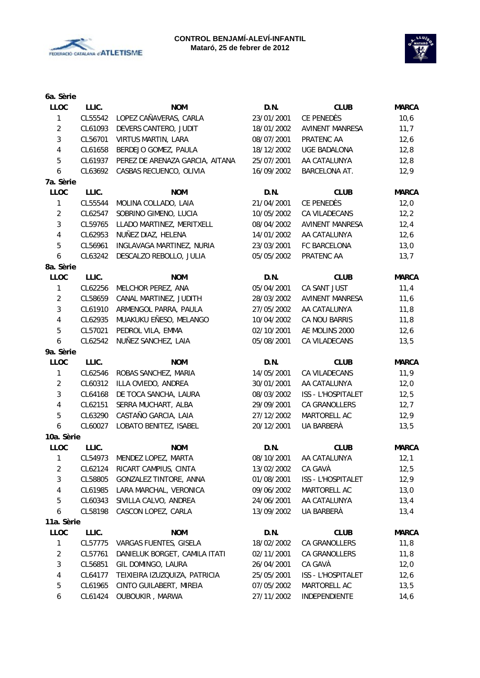



| 6a. Sèrie                 |         |                                 |            |                        |              |
|---------------------------|---------|---------------------------------|------------|------------------------|--------------|
| <b>LLOC</b>               | LLIC.   | <b>NOM</b>                      | D.N.       | <b>CLUB</b>            | <b>MARCA</b> |
| $\mathbf{1}$              | CL55542 | LOPEZ CAÑAVERAS, CARLA          | 23/01/2001 | CE PENEDÈS             | 10,6         |
| $\sqrt{2}$                | CL61093 | DEVERS CANTERO, JUDIT           | 18/01/2002 | <b>AVINENT MANRESA</b> | 11,7         |
| $\mathbf{3}$              | CL56701 | VIRTUS MARTIN, LARA             | 08/07/2001 | PRATENC AA             | 12,6         |
| $\overline{4}$            | CL61658 | BERDEJO GOMEZ, PAULA            | 18/12/2002 | <b>UGE BADALONA</b>    | 12,8         |
| 5                         | CL61937 | PEREZ DE ARENAZA GARCIA, AITANA | 25/07/2001 | AA CATALUNYA           | 12,8         |
| $\boldsymbol{6}$          | CL63692 | CASBAS RECUENCO, OLIVIA         | 16/09/2002 | BARCELONA AT.          | 12,9         |
| 7a. Sèrie                 |         |                                 |            |                        |              |
| <b>LLOC</b>               | LLIC.   | <b>NOM</b>                      | D.N.       | <b>CLUB</b>            | <b>MARCA</b> |
| $\mathbf{1}$              | CL55544 | MOLINA COLLADO, LAIA            | 21/04/2001 | CE PENEDÈS             | 12,0         |
| $\overline{2}$            | CL62547 | SOBRINO GIMENO, LUCIA           | 10/05/2002 | CA VILADECANS          | 12,2         |
| $\mathbf{3}$              | CL59765 | LLADO MARTINEZ, MERITXELL       | 08/04/2002 | <b>AVINENT MANRESA</b> | 12,4         |
| $\overline{\mathbf{4}}$   | CL62953 | NUÑEZ DIAZ, HELENA              | 14/01/2002 | AA CATALUNYA           | 12,6         |
| 5                         | CL56961 | INGLAVAGA MARTINEZ, NURIA       | 23/03/2001 | FC BARCELONA           | 13,0         |
| 6                         | CL63242 | DESCALZO REBOLLO, JULIA         | 05/05/2002 | PRATENC AA             | 13,7         |
| 8a. Sèrie                 |         |                                 |            |                        |              |
| <b>LLOC</b>               | LLIC.   | <b>NOM</b>                      | D.N.       | <b>CLUB</b>            | <b>MARCA</b> |
| $\mathbf{1}$              | CL62256 | MELCHOR PEREZ, ANA              | 05/04/2001 | CA SANT JUST           | 11,4         |
| $\overline{2}$            | CL58659 | CANAL MARTINEZ, JUDITH          | 28/03/2002 | AVINENT MANRESA        | 11,6         |
| $\mathbf{3}$              | CL61910 | ARMENGOL PARRA, PAULA           | 27/05/2002 | AA CATALUNYA           | 11,8         |
| 4                         | CL62935 | MUAKUKU EÑESO, MELANGO          | 10/04/2002 | CA NOU BARRIS          | 11,8         |
| 5                         | CL57021 | PEDROL VILA, EMMA               | 02/10/2001 | AE MOLINS 2000         | 12,6         |
| $\boldsymbol{6}$          | CL62542 | NUÑEZ SANCHEZ, LAIA             | 05/08/2001 | CA VILADECANS          | 13,5         |
| 9a. Sèrie                 |         |                                 |            |                        |              |
| <b>LLOC</b>               | LLIC.   | <b>NOM</b>                      | D.N.       | <b>CLUB</b>            | <b>MARCA</b> |
| $\mathbf{1}$              | CL62546 | ROBAS SANCHEZ, MARIA            | 14/05/2001 | CA VILADECANS          | 11,9         |
| $\overline{2}$            | CL60312 | ILLA OVIEDO, ANDREA             | 30/01/2001 | AA CATALUNYA           | 12,0         |
| 3                         | CL64168 | DE TOCA SANCHA, LAURA           | 08/03/2002 | ISS - L'HOSPITALET     | 12,5         |
| $\overline{4}$            | CL62151 | SERRA MUCHART, ALBA             | 29/09/2001 | <b>CA GRANOLLERS</b>   | 12,7         |
| 5                         | CL63290 | CASTAÑO GARCIA, LAIA            | 27/12/2002 | MARTORELL AC           | 12,9         |
| 6                         | CL60027 | LOBATO BENITEZ, ISABEL          | 20/12/2001 | UA BARBERÀ             | 13,5         |
| 10a. Sèrie                |         |                                 |            |                        |              |
| <b>LLOC</b>               | LLIC.   | <b>NOM</b>                      | D.N.       | <b>CLUB</b>            | <b>MARCA</b> |
| 1                         | CL54973 | MENDEZ LOPEZ, MARTA             | 08/10/2001 | AA CATALUNYA           | 12,1         |
| $\overline{c}$            | CL62124 | RICART CAMPIUS, CINTA           | 13/02/2002 | CA GAVÀ                | 12,5         |
| 3                         | CL58805 | GONZALEZ TINTORE, ANNA          | 01/08/2001 | ISS - L'HOSPITALET     | 12,9         |
| 4                         | CL61985 | LARA MARCHAL, VERONICA          | 09/06/2002 | MARTORELL AC           | 13,0         |
| 5                         | CL60343 | SIVILLA CALVO, ANDREA           | 24/06/2001 | AA CATALUNYA           | 13,4         |
|                           | CL58198 | CASCON LOPEZ, CARLA             | 13/09/2002 | UA BARBERÀ             |              |
| 6                         |         |                                 |            |                        | 13,4         |
| 11a. Sèrie<br><b>LLOC</b> | LLIC.   | <b>NOM</b>                      |            | <b>CLUB</b>            | <b>MARCA</b> |
|                           |         |                                 | D.N.       |                        |              |
| 1                         | CL57775 | VARGAS FUENTES, GISELA          | 18/02/2002 | CA GRANOLLERS          | 11,8         |
| $\overline{2}$            | CL57761 | DANIELUK BORGET, CAMILA ITATI   | 02/11/2001 | CA GRANOLLERS          | 11,8         |
| 3                         | CL56851 | GIL DOMINGO, LAURA              | 26/04/2001 | CA GAVÀ                | 12,0         |
| $\overline{\mathbf{4}}$   | CL64177 | TEIXIEIRA IZUZQUIZA, PATRICIA   | 25/05/2001 | ISS - L'HOSPITALET     | 12,6         |
| 5                         | CL61965 | CINTO GUILABERT, MIREIA         | 07/05/2002 | MARTORELL AC           | 13,5         |
| 6                         | CL61424 | OUBOUKIR, MARWA                 | 27/11/2002 | INDEPENDIENTE          | 14,6         |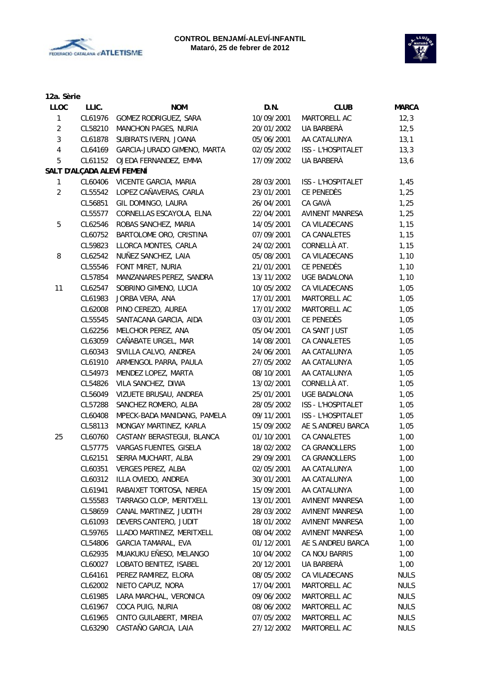



| 12a. Sèrie     |         |                             |            |                        |              |
|----------------|---------|-----------------------------|------------|------------------------|--------------|
| <b>LLOC</b>    | LLIC.   | <b>NOM</b>                  | D.N.       | <b>CLUB</b>            | <b>MARCA</b> |
| 1              | CL61976 | GOMEZ RODRIGUEZ, SARA       | 10/09/2001 | MARTORELL AC           | 12,3         |
| $\overline{2}$ | CL58210 | MANCHON PAGES, NURIA        | 20/01/2002 | UA BARBERÀ             | 12,5         |
| 3              | CL61878 | SUBIRATS IVERN, JOANA       | 05/06/2001 | AA CATALUNYA           | 13,1         |
| $\overline{4}$ | CL64169 | GARCIA-JURADO GIMENO, MARTA | 02/05/2002 | ISS - L'HOSPITALET     | 13,3         |
| 5              | CL61152 | OJEDA FERNANDEZ, EMMA       | 17/09/2002 | UA BARBERÀ             | 13,6         |
|                |         | SALT D'ALÇADA ALEVÍ FEMENÍ  |            |                        |              |
| 1              | CL60406 | VICENTE GARCIA, MARIA       | 28/03/2001 | ISS - L'HOSPITALET     | 1,45         |
| $\overline{c}$ | CL55542 | LOPEZ CAÑAVERAS, CARLA      | 23/01/2001 | CE PENEDÈS             | 1,25         |
|                | CL56851 | GIL DOMINGO, LAURA          | 26/04/2001 | CA GAVÀ                | 1,25         |
|                | CL55577 | CORNELLAS ESCAYOLA, ELNA    | 22/04/2001 | <b>AVINENT MANRESA</b> | 1,25         |
| 5              | CL62546 | ROBAS SANCHEZ, MARIA        | 14/05/2001 | CA VILADECANS          | 1,15         |
|                | CL60752 | BARTOLOME ORO, CRISTINA     | 07/09/2001 | CA CANALETES           | 1,15         |
|                | CL59823 | LLORCA MONTES, CARLA        | 24/02/2001 | CORNELLÀ AT.           | 1,15         |
| 8              | CL62542 | NUÑEZ SANCHEZ, LAIA         | 05/08/2001 | CA VILADECANS          | 1,10         |
|                | CL55546 | FONT MIRET, NURIA           | 21/01/2001 | CE PENEDÈS             | 1,10         |
|                | CL57854 | MANZANARES PEREZ, SANDRA    | 13/11/2002 | <b>UGE BADALONA</b>    | 1,10         |
| 11             | CL62547 | SOBRINO GIMENO, LUCIA       | 10/05/2002 | CA VILADECANS          | 1,05         |
|                | CL61983 | JORBA VERA, ANA             | 17/01/2001 | MARTORELL AC           | 1,05         |
|                | CL62008 | PINO CEREZO, AUREA          | 17/01/2002 | MARTORELL AC           | 1,05         |
|                | CL55545 | SANTACANA GARCIA, AIDA      | 03/01/2001 | CE PENEDÈS             | 1,05         |
|                | CL62256 | MELCHOR PEREZ, ANA          | 05/04/2001 | CA SANT JUST           | 1,05         |
|                | CL63059 | CAÑABATE URGEL, MAR         | 14/08/2001 | CA CANALETES           | 1,05         |
|                | CL60343 | SIVILLA CALVO, ANDREA       | 24/06/2001 | AA CATALUNYA           | 1,05         |
|                | CL61910 | ARMENGOL PARRA, PAULA       | 27/05/2002 | AA CATALUNYA           | 1,05         |
|                | CL54973 | MENDEZ LOPEZ, MARTA         | 08/10/2001 | AA CATALUNYA           | 1,05         |
|                | CL54826 | VILA SANCHEZ, DIWA          | 13/02/2001 | CORNELLÀ AT.           | 1,05         |
|                | CL56049 | VIZUETE BRUSAU, ANDREA      | 25/01/2001 | UGE BADALONA           | 1,05         |
|                | CL57288 | SANCHEZ ROMERO, ALBA        | 28/05/2002 | ISS - L'HOSPITALET     | 1,05         |
|                | CL60408 | MPECK-BADA MANIDANG, PAMELA | 09/11/2001 | ISS - L'HOSPITALET     | 1,05         |
|                | CL58113 | MONGAY MARTINEZ, KARLA      | 15/09/2002 | AE S.ANDREU BARCA      | 1,05         |
| 25             | CL60760 | CASTANY BERASTEGUI, BLANCA  | 01/10/2001 | CA CANALETES           | 1,00         |
|                | CL57775 | VARGAS FUENTES, GISELA      | 18/02/2002 | CA GRANOLLERS          |              |
|                |         |                             |            |                        | 1,00         |
|                | CL62151 | SERRA MUCHART, ALBA         | 29/09/2001 | CA GRANOLLERS          | 1,00         |
|                | CL60351 | <b>VERGES PEREZ, ALBA</b>   | 02/05/2001 | AA CATALUNYA           | 1,00         |
|                | CL60312 | ILLA OVIEDO, ANDREA         | 30/01/2001 | AA CATALUNYA           | 1,00         |
|                | CL61941 | RABAIXET TORTOSA, NEREA     | 15/09/2001 | AA CATALUNYA           | 1,00         |
|                | CL55583 | TARRAGO CLOP, MERITXELL     | 13/01/2001 | AVINENT MANRESA        | 1,00         |
|                | CL58659 | CANAL MARTINEZ, JUDITH      | 28/03/2002 | AVINENT MANRESA        | 1,00         |
|                | CL61093 | DEVERS CANTERO, JUDIT       | 18/01/2002 | AVINENT MANRESA        | 1,00         |
|                | CL59765 | LLADO MARTINEZ, MERITXELL   | 08/04/2002 | <b>AVINENT MANRESA</b> | 1,00         |
|                | CL54806 | GARCIA TAMARAL, EVA         | 01/12/2001 | AE S.ANDREU BARCA      | 1,00         |
|                | CL62935 | MUAKUKU EÑESO, MELANGO      | 10/04/2002 | CA NOU BARRIS          | 1,00         |
|                | CL60027 | LOBATO BENITEZ, ISABEL      | 20/12/2001 | UA BARBERÀ             | 1,00         |
|                | CL64161 | PEREZ RAMIREZ, ELORA        | 08/05/2002 | CA VILADECANS          | <b>NULS</b>  |
|                | CL62002 | NIETO CAPUZ, NORA           | 17/04/2001 | MARTORELL AC           | <b>NULS</b>  |
|                | CL61985 | LARA MARCHAL, VERONICA      | 09/06/2002 | MARTORELL AC           | <b>NULS</b>  |
|                | CL61967 | COCA PUIG, NURIA            | 08/06/2002 | MARTORELL AC           | <b>NULS</b>  |
|                | CL61965 | CINTO GUILABERT, MIREIA     | 07/05/2002 | MARTORELL AC           | <b>NULS</b>  |
|                | CL63290 | CASTAÑO GARCIA, LAIA        | 27/12/2002 | MARTORELL AC           | <b>NULS</b>  |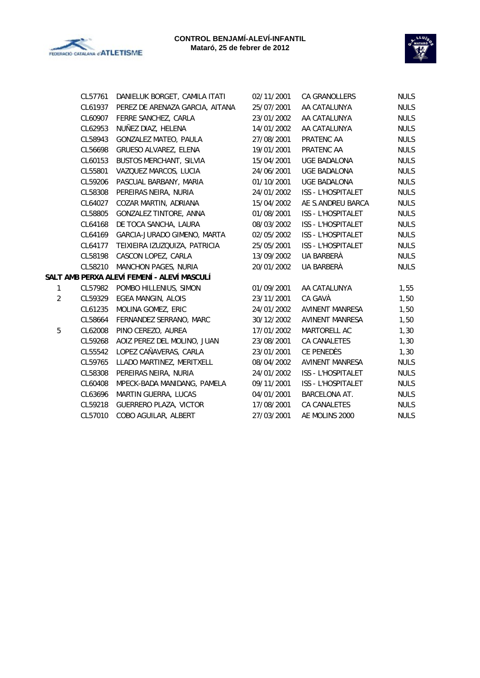



|              | CL57761 | DANIELUK BORGET, CAMILA ITATI               | 02/11/2001 | <b>CA GRANOLLERS</b>   | <b>NULS</b> |
|--------------|---------|---------------------------------------------|------------|------------------------|-------------|
|              | CL61937 | PEREZ DE ARENAZA GARCIA, AITANA             | 25/07/2001 | AA CATALUNYA           | <b>NULS</b> |
|              | CL60907 | FERRE SANCHEZ, CARLA                        | 23/01/2002 | AA CATALUNYA           | <b>NULS</b> |
|              | CL62953 | NUÑEZ DIAZ, HELENA                          | 14/01/2002 | AA CATALUNYA           | <b>NULS</b> |
|              | CL58943 | GONZALEZ MATEO, PAULA                       | 27/08/2001 | PRATENC AA             | <b>NULS</b> |
|              | CL56698 | GRUESO ALVAREZ, ELENA                       | 19/01/2001 | PRATENC AA             | <b>NULS</b> |
|              | CL60153 | <b>BUSTOS MERCHANT, SILVIA</b>              | 15/04/2001 | <b>UGE BADALONA</b>    | <b>NULS</b> |
|              | CL55801 | VAZQUEZ MARCOS, LUCIA                       | 24/06/2001 | UGE BADALONA           | <b>NULS</b> |
|              | CL59206 | PASCUAL BARBANY, MARIA                      | 01/10/2001 | <b>UGE BADALONA</b>    | <b>NULS</b> |
|              | CL58308 | PEREIRAS NEIRA, NURIA                       | 24/01/2002 | ISS - L'HOSPITALET     | <b>NULS</b> |
|              | CL64027 | COZAR MARTIN, ADRIANA                       | 15/04/2002 | AE S.ANDREU BARCA      | <b>NULS</b> |
|              | CL58805 | GONZALEZ TINTORE, ANNA                      | 01/08/2001 | ISS - L'HOSPITALET     | <b>NULS</b> |
|              | CL64168 | DE TOCA SANCHA, LAURA                       | 08/03/2002 | ISS - L'HOSPITALET     | <b>NULS</b> |
|              | CL64169 | GARCIA-JURADO GIMENO, MARTA                 | 02/05/2002 | ISS - L'HOSPITALET     | <b>NULS</b> |
|              | CL64177 | TEIXIEIRA IZUZQUIZA, PATRICIA               | 25/05/2001 | ISS - L'HOSPITALET     | <b>NULS</b> |
|              | CL58198 | CASCON LOPEZ, CARLA                         | 13/09/2002 | UA BARBERÀ             | <b>NULS</b> |
|              | CL58210 | <b>MANCHON PAGES, NURIA</b>                 | 20/01/2002 | UA BARBERÀ             | <b>NULS</b> |
|              |         | SALT AMB PERXA ALEVÍ FEMENÍ - ALEVÍ MASCULÍ |            |                        |             |
| $\mathbf{1}$ |         | CL57982 POMBO HILLENIUS, SIMON              | 01/09/2001 | AA CATALUNYA           | 1,55        |
| 2            | CL59329 | EGEA MANGIN, ALOIS                          | 23/11/2001 | CA GAVÀ                | 1,50        |
|              | CL61235 | MOLINA GOMEZ, ERIC                          | 24/01/2002 | AVINENT MANRESA        | 1,50        |
|              | CL58664 | FERNANDEZ SERRANO, MARC                     | 30/12/2002 | <b>AVINENT MANRESA</b> | 1,50        |
| 5            | CL62008 | PINO CEREZO, AUREA                          | 17/01/2002 | MARTORELL AC           | 1,30        |
|              | CL59268 | AOIZ PEREZ DEL MOLINO, JUAN                 | 23/08/2001 | CA CANALETES           | 1,30        |
|              | CL55542 | LOPEZ CAÑAVERAS, CARLA                      | 23/01/2001 | CE PENEDÈS             | 1,30        |
|              | CL59765 | LLADO MARTINEZ, MERITXELL                   | 08/04/2002 | AVINENT MANRESA        | <b>NULS</b> |
|              | CL58308 | PEREIRAS NEIRA, NURIA                       | 24/01/2002 | ISS - L'HOSPITALET     | <b>NULS</b> |
|              | CL60408 | MPECK-BADA MANIDANG, PAMELA                 | 09/11/2001 | ISS - L'HOSPITALET     | <b>NULS</b> |
|              | CL63696 | MARTIN GUERRA, LUCAS                        | 04/01/2001 | <b>BARCELONA AT.</b>   | <b>NULS</b> |
|              | CL59218 | <b>GUERRERO PLAZA, VICTOR</b>               | 17/08/2001 | CA CANALETES           | <b>NULS</b> |
|              | CL57010 | COBO AGUILAR, ALBERT                        | 27/03/2001 | AE MOLINS 2000         | <b>NULS</b> |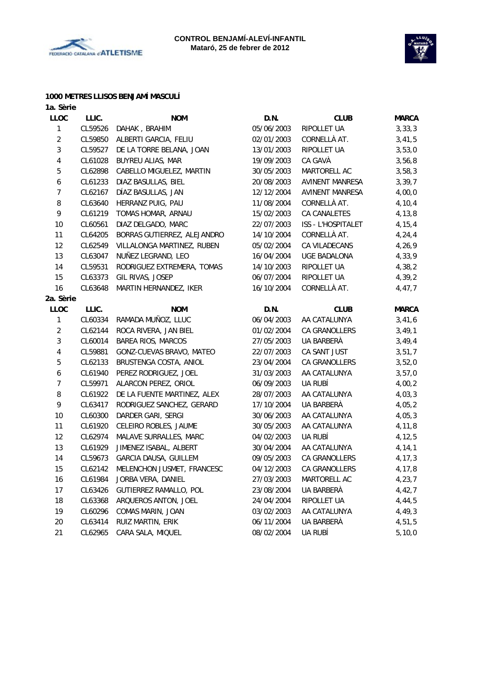



# **1000 METRES LLISOS BENJAMÍ MASCULÍ**

| 1a. Sèrie        |         |                             |            |                        |              |
|------------------|---------|-----------------------------|------------|------------------------|--------------|
| <b>LLOC</b>      | LLIC.   | <b>NOM</b>                  | D.N.       | <b>CLUB</b>            | <b>MARCA</b> |
| $\mathbf{1}$     | CL59526 | DAHAK, BRAHIM               | 05/06/2003 | RIPOLLET UA            | 3, 33, 3     |
| $\overline{2}$   | CL59850 | ALBERTI GARCIA, FELIU       | 02/01/2003 | CORNELLÀ AT.           | 3,41,5       |
| 3                | CL59527 | DE LA TORRE BELANA, JOAN    | 13/01/2003 | RIPOLLET UA            | 3,53,0       |
| 4                | CL61028 | BUYREU ALIAS, MAR           | 19/09/2003 | CA GAVÀ                | 3,56,8       |
| 5                | CL62898 | CABELLO MIGUELEZ, MARTIN    | 30/05/2003 | MARTORELL AC           | 3,58,3       |
| $\boldsymbol{6}$ | CL61233 | DIAZ BASULLAS, BIEL         | 20/08/2003 | <b>AVINENT MANRESA</b> | 3, 39, 7     |
| $\overline{7}$   | CL62167 | DÍAZ BASULLAS, JAN          | 12/12/2004 | <b>AVINENT MANRESA</b> | 4,00,0       |
| 8                | CL63640 | HERRANZ PUIG, PAU           | 11/08/2004 | CORNELLÀ AT.           | 4,10,4       |
| 9                | CL61219 | TOMAS HOMAR, ARNAU          | 15/02/2003 | <b>CA CANALETES</b>    | 4,13,8       |
| 10               | CL60561 | DIAZ DELGADO, MARC          | 22/07/2003 | ISS - L'HOSPITALET     | 4, 15, 4     |
| 11               | CL64205 | BORRAS GUTIERREZ, ALEJANDRO | 14/10/2004 | CORNELLÀ AT.           | 4,24,4       |
| 12               | CL62549 | VILLALONGA MARTINEZ, RUBEN  | 05/02/2004 | CA VILADECANS          | 4,26,9       |
| 13               | CL63047 | NUÑEZ LEGRAND, LEO          | 16/04/2004 | <b>UGE BADALONA</b>    | 4,33,9       |
| 14               | CL59531 | RODRIGUEZ EXTREMERA, TOMAS  | 14/10/2003 | RIPOLLET UA            | 4,38,2       |
| 15               | CL63373 | GIL RIVAS, JOSEP            | 06/07/2004 | RIPOLLET UA            | 4,39,2       |
| 16               | CL63648 | MARTIN HERNANDEZ, IKER      | 16/10/2004 | CORNELLÀ AT.           | 4,47,7       |
| 2a. Sèrie        |         |                             |            |                        |              |
| <b>LLOC</b>      | LLIC.   | <b>NOM</b>                  | D.N.       | <b>CLUB</b>            | <b>MARCA</b> |
| $\mathbf{1}$     | CL60334 | RAMADA MUÑOZ, LLUC          | 06/04/2003 | AA CATALUNYA           | 3,41,6       |
| $\overline{2}$   | CL62144 | ROCA RIVERA, JAN BIEL       | 01/02/2004 | CA GRANOLLERS          | 3,49,1       |
| 3                | CL60014 | BAREA RIOS, MARCOS          | 27/05/2003 | UA BARBERÀ             | 3,49,4       |
| 4                | CL59881 | GONZ-CUEVAS BRAVO, MATEO    | 22/07/2003 | CA SANT JUST           | 3,51,7       |
| 5                | CL62133 | BRUSTENGA COSTA, ANIOL      | 23/04/2004 | CA GRANOLLERS          | 3,52,0       |
| 6                | CL61940 | PEREZ RODRIGUEZ, JOEL       | 31/03/2003 | AA CATALUNYA           | 3,57,0       |
| $\overline{7}$   | CL59971 | ALARCON PEREZ, ORIOL        | 06/09/2003 | UA RUBÍ                | 4,00,2       |
| 8                | CL61922 | DE LA FUENTE MARTINEZ, ALEX | 28/07/2003 | AA CATALUNYA           | 4,03,3       |
| 9                | CL63417 | RODRIGUEZ SANCHEZ, GERARD   | 17/10/2004 | UA BARBERÀ             | 4,05,2       |
| 10               | CL60300 | DARDER GARI, SERGI          | 30/06/2003 | AA CATALUNYA           | 4,05,3       |
| 11               | CL61920 | CELEIRO ROBLES, JAUME       | 30/05/2003 | AA CATALUNYA           | 4,11,8       |
| 12               | CL62974 | MALAVE SURRALLES, MARC      | 04/02/2003 | UA RUBÍ                | 4, 12, 5     |
| 13               | CL61929 | JIMENEZ ISABAL, ALBERT      | 30/04/2004 | AA CATALUNYA           | 4, 14, 1     |
| 14               | CL59673 | GARCIA DAUSA, GUILLEM       | 09/05/2003 | CA GRANOLLERS          | 4, 17, 3     |
| 15               | CL62142 | MELENCHON JUSMET, FRANCESC  | 04/12/2003 | CA GRANOLLERS          | 4,17,8       |
| 16               | CL61984 | JORBA VERA, DANIEL          | 27/03/2003 | MARTORELL AC           | 4, 23, 7     |
| 17               | CL63426 | GUTIERREZ RAMALLO, POL      | 23/08/2004 | UA BARBERÀ             | 4,42,7       |
| 18               | CL63368 | ARQUEROS ANTON, JOEL        | 24/04/2004 | RIPOLLET UA            | 4,44,5       |
| 19               | CL60296 | COMAS MARIN, JOAN           | 03/02/2003 | AA CATALUNYA           | 4,49,3       |
| 20               | CL63414 | RUIZ MARTIN, ERIK           | 06/11/2004 | UA BARBERÀ             | 4,51,5       |
| 21               | CL62965 | CARA SALA, MIQUEL           | 08/02/2004 | UA RUBÍ                | 5, 10, 0     |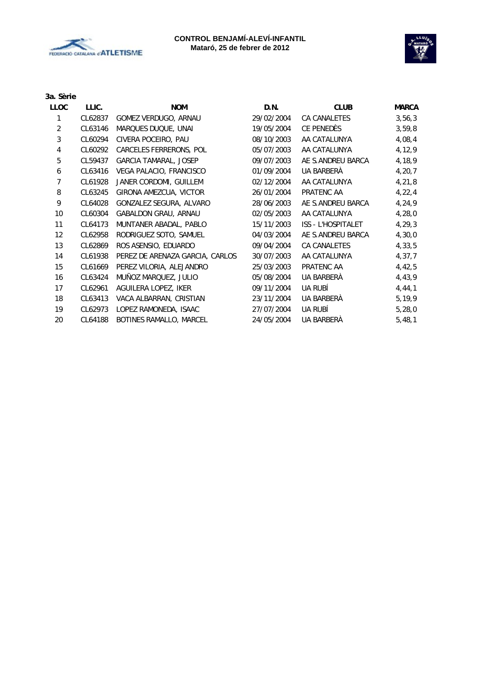



| 3a. Sèrie      |         |                                 |            |                    |              |
|----------------|---------|---------------------------------|------------|--------------------|--------------|
| <b>LLOC</b>    | LLIC.   | <b>NOM</b>                      | D.N.       | <b>CLUB</b>        | <b>MARCA</b> |
| 1              | CL62837 | GOMEZ VERDUGO, ARNAU            | 29/02/2004 | CA CANALETES       | 3,56,3       |
| $\overline{2}$ | CL63146 | MARQUES DUQUE, UNAI             | 19/05/2004 | CE PENEDÈS         | 3,59,8       |
| 3              | CL60294 | CIVERA POCEIRO, PAU             | 08/10/2003 | AA CATALUNYA       | 4,08,4       |
| 4              | CL60292 | CARCELES FERRERONS, POL         | 05/07/2003 | AA CATALUNYA       | 4,12,9       |
| 5              | CL59437 | <b>GARCIA TAMARAL, JOSEP</b>    | 09/07/2003 | AE S.ANDREU BARCA  | 4,18,9       |
| 6              | CL63416 | VEGA PALACIO, FRANCISCO         | 01/09/2004 | UA BARBERÀ         | 4, 20, 7     |
| 7              | CL61928 | JANER CORDOMI, GUILLEM          | 02/12/2004 | AA CATALUNYA       | 4,21,8       |
| 8              | CL63245 | GIRONA AMEZCUA, VICTOR          | 26/01/2004 | PRATENC AA         | 4,22,4       |
| 9              | CL64028 | GONZALEZ SEGURA, ALVARO         | 28/06/2003 | AE S.ANDREU BARCA  | 4,24,9       |
| 10             | CL60304 | GABALDON GRAU, ARNAU            | 02/05/2003 | AA CATALUNYA       | 4,28,0       |
| 11             | CL64173 | MUNTANER ABADAL, PABLO          | 15/11/2003 | ISS - L'HOSPITALET | 4, 29, 3     |
| 12             | CL62958 | RODRIGUEZ SOTO, SAMUEL          | 04/03/2004 | AE S.ANDREU BARCA  | 4,30,0       |
| 13             | CL62869 | ROS ASENSIO, EDUARDO            | 09/04/2004 | CA CANALETES       | 4,33,5       |
| 14             | CL61938 | PEREZ DE ARENAZA GARCIA, CARLOS | 30/07/2003 | AA CATALUNYA       | 4,37,7       |
| 15             | CL61669 | PEREZ VILORIA, ALEJANDRO        | 25/03/2003 | PRATENC AA         | 4,42,5       |
| 16             | CL63424 | MUÑOZ MARQUEZ, JULIO            | 05/08/2004 | UA BARBERÀ         | 4,43,9       |
| 17             | CL62961 | AGUILERA LOPEZ, IKER            | 09/11/2004 | UA RUBÍ            | 4, 44, 1     |
| 18             | CL63413 | VACA ALBARRAN, CRISTIAN         | 23/11/2004 | UA BARBERA         | 5,19,9       |
| 19             | CL62973 | LOPEZ RAMONEDA, ISAAC           | 27/07/2004 | UA RUBÍ            | 5,28,0       |
| 20             | CL64188 | BOTINES RAMALLO, MARCEL         | 24/05/2004 | UA BARBERÀ         | 5,48,1       |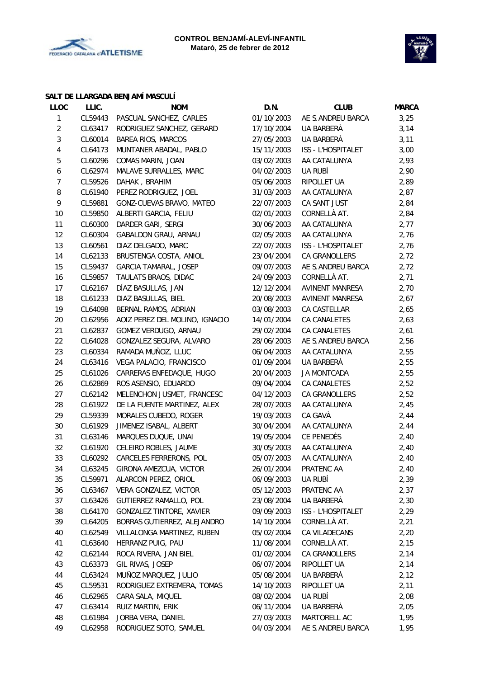



#### **SALT DE LLARGADA BENJAMÍ MASCULÍ**

| <b>LLOC</b>    | LLIC.   | <b>NOM</b>                      | D.N.       | <b>CLUB</b>        | <b>MARCA</b> |
|----------------|---------|---------------------------------|------------|--------------------|--------------|
| 1              | CL59443 | PASCUAL SANCHEZ, CARLES         | 01/10/2003 | AE S.ANDREU BARCA  | 3,25         |
| $\overline{c}$ | CL63417 | RODRIGUEZ SANCHEZ, GERARD       | 17/10/2004 | UA BARBERÀ         | 3,14         |
| 3              | CL60014 | BAREA RIOS, MARCOS              | 27/05/2003 | UA BARBERÀ         | 3,11         |
| 4              | CL64173 | MUNTANER ABADAL, PABLO          | 15/11/2003 | ISS - L'HOSPITALET | 3,00         |
| 5              | CL60296 | COMAS MARIN, JOAN               | 03/02/2003 | AA CATALUNYA       | 2,93         |
| 6              | CL62974 | MALAVE SURRALLES, MARC          | 04/02/2003 | UA RUBÍ            | 2,90         |
| $\overline{7}$ | CL59526 | DAHAK, BRAHIM                   | 05/06/2003 | RIPOLLET UA        | 2,89         |
| 8              | CL61940 | PEREZ RODRIGUEZ, JOEL           | 31/03/2003 | AA CATALUNYA       | 2,87         |
| 9              | CL59881 | GONZ-CUEVAS BRAVO, MATEO        | 22/07/2003 | CA SANT JUST       | 2,84         |
| 10             | CL59850 | ALBERTI GARCIA, FELIU           | 02/01/2003 | CORNELLÀ AT.       | 2,84         |
| 11             | CL60300 | DARDER GARI, SERGI              | 30/06/2003 | AA CATALUNYA       | 2,77         |
| 12             | CL60304 | GABALDON GRAU, ARNAU            | 02/05/2003 | AA CATALUNYA       | 2,76         |
| 13             | CL60561 | DIAZ DELGADO, MARC              | 22/07/2003 | ISS - L'HOSPITALET | 2,76         |
| 14             | CL62133 | BRUSTENGA COSTA, ANIOL          | 23/04/2004 | CA GRANOLLERS      | 2,72         |
| 15             | CL59437 | GARCIA TAMARAL, JOSEP           | 09/07/2003 | AE S.ANDREU BARCA  | 2,72         |
| 16             | CL59857 | TAULATS BRAOS, DIDAC            | 24/09/2003 | CORNELLÀ AT.       | 2,71         |
| 17             | CL62167 | DÍAZ BASULLAS, JAN              | 12/12/2004 | AVINENT MANRESA    | 2,70         |
| 18             | CL61233 | DIAZ BASULLAS, BIEL             | 20/08/2003 | AVINENT MANRESA    | 2,67         |
| 19             | CL64098 | BERNAL RAMOS, ADRIAN            | 03/08/2003 | CA CASTELLAR       | 2,65         |
| 20             | CL62956 | AOIZ PEREZ DEL MOLINO, IGNACIO  | 14/01/2004 | CA CANALETES       | 2,63         |
| 21             | CL62837 | GOMEZ VERDUGO, ARNAU            | 29/02/2004 | CA CANALETES       | 2,61         |
| 22             | CL64028 | GONZALEZ SEGURA, ALVARO         | 28/06/2003 | AE S.ANDREU BARCA  | 2,56         |
| 23             | CL60334 | RAMADA MUÑOZ, LLUC              | 06/04/2003 | AA CATALUNYA       | 2,55         |
| 24             | CL63416 | VEGA PALACIO, FRANCISCO         | 01/09/2004 | UA BARBERÀ         | 2,55         |
| 25             | CL61026 | CARRERAS ENFEDAQUE, HUGO        | 20/04/2003 | <b>JA MONTCADA</b> | 2,55         |
| 26             | CL62869 | ROS ASENSIO, EDUARDO            | 09/04/2004 | CA CANALETES       | 2,52         |
| 27             | CL62142 | MELENCHON JUSMET, FRANCESC      | 04/12/2003 | CA GRANOLLERS      | 2,52         |
| 28             | CL61922 | DE LA FUENTE MARTINEZ, ALEX     | 28/07/2003 | AA CATALUNYA       | 2,45         |
| 29             | CL59339 | MORALES CUBEDO, ROGER           | 19/03/2003 | CA GAVÀ            | 2,44         |
| 30             | CL61929 | JIMENEZ ISABAL, ALBERT          | 30/04/2004 | AA CATALUNYA       | 2,44         |
| 31             | CL63146 | MARQUES DUQUE, UNAI             | 19/05/2004 | CE PENEDÈS         | 2,40         |
| 32             | CL61920 | CELEIRO ROBLES, JAUME           | 30/05/2003 | AA CATALUNYA       | 2,40         |
| 33             | CL60292 | CARCELES FERRERONS, POL         | 05/07/2003 | AA CATALUNYA       | 2,40         |
| 34             | CL63245 | GIRONA AMEZCUA, VICTOR          | 26/01/2004 | PRATENC AA         | 2,40         |
| 35             | CL59971 | ALARCON PEREZ, ORIOL            | 06/09/2003 | ua rubí            | 2,39         |
| 36             | CL63467 | VERA GONZALEZ, VICTOR           | 05/12/2003 | PRATENC AA         | 2,37         |
| 37             | CL63426 | GUTIERREZ RAMALLO, POL          | 23/08/2004 | UA BARBERA         | 2,30         |
| 38             | CL64170 | <b>GONZALEZ TINTORE, XAVIER</b> | 09/09/2003 | ISS - L'HOSPITALET | 2,29         |
| 39             | CL64205 | BORRAS GUTIERREZ, ALEJANDRO     | 14/10/2004 | CORNELLÀ AT.       | 2,21         |
| 40             | CL62549 | VILLALONGA MARTINEZ, RUBEN      | 05/02/2004 | CA VILADECANS      | 2,20         |
| 41             | CL63640 | HERRANZ PUIG, PAU               | 11/08/2004 | CORNELLÀ AT.       | 2,15         |
| 42             | CL62144 | ROCA RIVERA, JAN BIEL           | 01/02/2004 | CA GRANOLLERS      | 2,14         |
| 43             | CL63373 | GIL RIVAS, JOSEP                | 06/07/2004 | RIPOLLET UA        | 2,14         |
| 44             | CL63424 | MUÑOZ MARQUEZ, JULIO            | 05/08/2004 | UA BARBERÀ         | 2,12         |
| 45             | CL59531 | RODRIGUEZ EXTREMERA, TOMAS      | 14/10/2003 | RIPOLLET UA        | 2,11         |
| 46             | CL62965 | CARA SALA, MIQUEL               | 08/02/2004 | UA RUBÍ            | 2,08         |
| 47             | CL63414 | RUIZ MARTIN, ERIK               | 06/11/2004 | UA BARBERA         | 2,05         |
| 48             | CL61984 | JORBA VERA, DANIEL              | 27/03/2003 | MARTORELL AC       | 1,95         |
| 49             | CL62958 | RODRIGUEZ SOTO, SAMUEL          | 04/03/2004 | AE S.ANDREU BARCA  | 1,95         |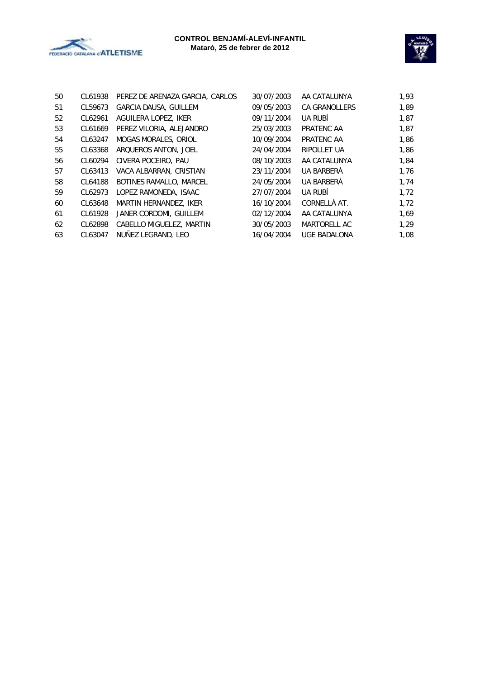



| 50 | CL61938 | PEREZ DE ARENAZA GARCIA, CARLOS | 30/07/2003 | AA CATALUNYA         | 1,93 |
|----|---------|---------------------------------|------------|----------------------|------|
| 51 | CL59673 | <b>GARCIA DAUSA, GUILLEM</b>    | 09/05/2003 | <b>CA GRANOLLERS</b> | 1,89 |
| 52 | CL62961 | AGUILERA LOPEZ, IKER            | 09/11/2004 | UA RUBÍ              | 1,87 |
| 53 | CL61669 | PEREZ VILORIA, ALEJANDRO        | 25/03/2003 | PRATENC AA           | 1,87 |
| 54 | CL63247 | MOGAS MORALES, ORIOL            | 10/09/2004 | PRATENC AA           | 1,86 |
| 55 | CL63368 | ARQUEROS ANTON, JOEL            | 24/04/2004 | RIPOLLET UA          | 1,86 |
| 56 | CL60294 | CIVERA POCEIRO, PAU             | 08/10/2003 | AA CATALUNYA         | 1,84 |
| 57 | CL63413 | VACA ALBARRAN, CRISTIAN         | 23/11/2004 | UA BARBERÀ           | 1,76 |
| 58 | CL64188 | BOTINES RAMALLO, MARCEL         | 24/05/2004 | UA BARBERÀ           | 1,74 |
| 59 | CL62973 | LOPEZ RAMONEDA, ISAAC           | 27/07/2004 | UA RUBÍ              | 1,72 |
| 60 | CL63648 | MARTIN HERNANDEZ, IKER          | 16/10/2004 | CORNELLÀ AT.         | 1,72 |
| 61 | CL61928 | JANER CORDOMI, GUILLEM          | 02/12/2004 | AA CATALUNYA         | 1,69 |
| 62 | CL62898 | CABELLO MIGUELEZ, MARTIN        | 30/05/2003 | MARTORELL AC         | 1,29 |
| 63 | CL63047 | NUÑEZ LEGRAND, LEO              | 16/04/2004 | <b>UGE BADALONA</b>  | 1,08 |
|    |         |                                 |            |                      |      |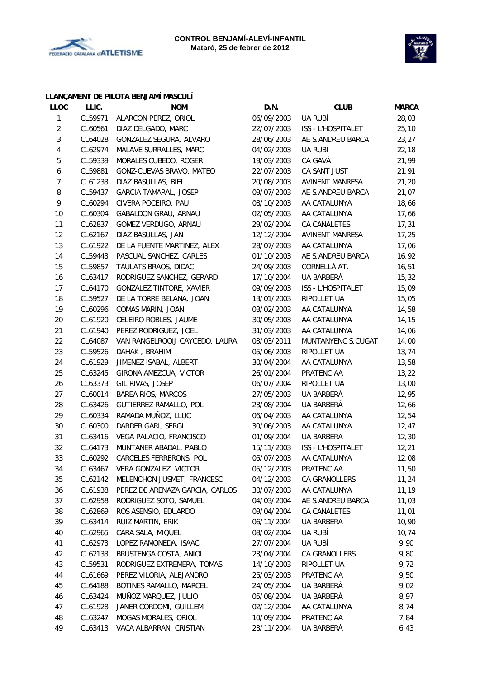



# **LLANÇAMENT DE PILOTA BENJAMÍ MASCULÍ**

| <b>LLOC</b>             | LLIC.   | <b>NOM</b>                      | D.N.       | <b>CLUB</b>            | <b>MARCA</b> |
|-------------------------|---------|---------------------------------|------------|------------------------|--------------|
| 1                       | CL59971 | ALARCON PEREZ, ORIOL            | 06/09/2003 | UA RUBÍ                | 28,03        |
| $\overline{c}$          | CL60561 | DIAZ DELGADO, MARC              | 22/07/2003 | ISS - L'HOSPITALET     | 25, 10       |
| $\mathbf{3}$            | CL64028 | GONZALEZ SEGURA, ALVARO         | 28/06/2003 | AE S.ANDREU BARCA      | 23,27        |
| $\overline{\mathbf{4}}$ | CL62974 | MALAVE SURRALLES, MARC          | 04/02/2003 | UA RUBÍ                | 22,18        |
| 5                       | CL59339 | MORALES CUBEDO, ROGER           | 19/03/2003 | CA GAVÀ                | 21,99        |
| $\boldsymbol{6}$        | CL59881 | GONZ-CUEVAS BRAVO, MATEO        | 22/07/2003 | CA SANT JUST           | 21,91        |
| $\boldsymbol{7}$        | CL61233 | DIAZ BASULLAS, BIEL             | 20/08/2003 | <b>AVINENT MANRESA</b> | 21,20        |
| 8                       | CL59437 | GARCIA TAMARAL, JOSEP           | 09/07/2003 | AE S.ANDREU BARCA      | 21,07        |
| 9                       | CL60294 | CIVERA POCEIRO, PAU             | 08/10/2003 | AA CATALUNYA           | 18,66        |
| 10                      | CL60304 | GABALDON GRAU, ARNAU            | 02/05/2003 | AA CATALUNYA           | 17,66        |
| 11                      | CL62837 | GOMEZ VERDUGO, ARNAU            | 29/02/2004 | CA CANALETES           | 17,31        |
| 12                      | CL62167 | DÍAZ BASULLAS, JAN              | 12/12/2004 | AVINENT MANRESA        | 17,25        |
| 13                      | CL61922 | DE LA FUENTE MARTINEZ, ALEX     | 28/07/2003 | AA CATALUNYA           | 17,06        |
| 14                      | CL59443 | PASCUAL SANCHEZ, CARLES         | 01/10/2003 | AE S.ANDREU BARCA      | 16,92        |
| 15                      | CL59857 | TAULATS BRAOS, DIDAC            | 24/09/2003 | CORNELLÀ AT.           | 16,51        |
| 16                      | CL63417 | RODRIGUEZ SANCHEZ, GERARD       | 17/10/2004 | UA BARBERÀ             | 15,32        |
| 17                      | CL64170 | GONZALEZ TINTORE, XAVIER        | 09/09/2003 | ISS - L'HOSPITALET     | 15,09        |
| 18                      | CL59527 | DE LA TORRE BELANA, JOAN        | 13/01/2003 | RIPOLLET UA            | 15,05        |
| 19                      | CL60296 | COMAS MARIN, JOAN               | 03/02/2003 | AA CATALUNYA           | 14,58        |
| 20                      | CL61920 | CELEIRO ROBLES, JAUME           | 30/05/2003 | AA CATALUNYA           | 14,15        |
| 21                      | CL61940 | PEREZ RODRIGUEZ, JOEL           | 31/03/2003 | AA CATALUNYA           | 14,06        |
| 22                      | CL64087 | VAN RANGELROOIJ CAYCEDO, LAURA  | 03/03/2011 | MUNTANYENC S.CUGAT     | 14,00        |
| 23                      | CL59526 | DAHAK, BRAHIM                   | 05/06/2003 | RIPOLLET UA            | 13,74        |
| 24                      | CL61929 | JIMENEZ ISABAL, ALBERT          | 30/04/2004 | AA CATALUNYA           | 13,58        |
| 25                      | CL63245 | GIRONA AMEZCUA, VICTOR          | 26/01/2004 | PRATENC AA             | 13,22        |
| 26                      | CL63373 | GIL RIVAS, JOSEP                | 06/07/2004 | RIPOLLET UA            | 13,00        |
| 27                      | CL60014 | BAREA RIOS, MARCOS              | 27/05/2003 | UA BARBERÀ             | 12,95        |
| 28                      | CL63426 | GUTIERREZ RAMALLO, POL          | 23/08/2004 | UA BARBERÀ             | 12,66        |
| 29                      | CL60334 | RAMADA MUÑOZ, LLUC              | 06/04/2003 | AA CATALUNYA           | 12,54        |
| 30                      | CL60300 | DARDER GARI, SERGI              | 30/06/2003 | AA CATALUNYA           | 12,47        |
| 31                      | CL63416 | VEGA PALACIO, FRANCISCO         | 01/09/2004 | UA BARBERÀ             | 12,30        |
| 32                      | CL64173 | MUNTANER ABADAL, PABLO          | 15/11/2003 | ISS - L'HOSPITALET     | 12,21        |
| 33                      | CL60292 | CARCELES FERRERONS, POL         | 05/07/2003 | AA CATALUNYA           | 12,08        |
| 34                      | CL63467 | <b>VERA GONZALEZ, VICTOR</b>    | 05/12/2003 | PRATENC AA             | 11,50        |
| 35                      | CL62142 | MELENCHON JUSMET, FRANCESC      | 04/12/2003 | CA GRANOLLERS          | 11,24        |
| 36                      | CL61938 | PEREZ DE ARENAZA GARCIA, CARLOS | 30/07/2003 | AA CATALUNYA           | 11,19        |
| 37                      | CL62958 | RODRIGUEZ SOTO, SAMUEL          | 04/03/2004 | AE S.ANDREU BARCA      | 11,03        |
| 38                      | CL62869 | ROS ASENSIO, EDUARDO            | 09/04/2004 | CA CANALETES           | 11,01        |
| 39                      | CL63414 | RUIZ MARTIN, ERIK               | 06/11/2004 | UA BARBERÀ             | 10,90        |
| 40                      | CL62965 | CARA SALA, MIQUEL               | 08/02/2004 | UA RUBÍ                | 10,74        |
| 41                      | CL62973 | LOPEZ RAMONEDA, ISAAC           | 27/07/2004 | UA RUBÍ                | 9,90         |
| 42                      | CL62133 | BRUSTENGA COSTA, ANIOL          | 23/04/2004 | CA GRANOLLERS          | 9,80         |
| 43                      | CL59531 | RODRIGUEZ EXTREMERA, TOMAS      | 14/10/2003 | RIPOLLET UA            | 9,72         |
| 44                      | CL61669 | PEREZ VILORIA, ALEJANDRO        | 25/03/2003 | PRATENC AA             | 9,50         |
| 45                      | CL64188 | BOTINES RAMALLO, MARCEL         | 24/05/2004 | UA BARBERÀ             | 9,02         |
| 46                      | CL63424 | MUÑOZ MARQUEZ, JULIO            | 05/08/2004 | UA BARBERA             | 8,97         |
| 47                      | CL61928 | JANER CORDOMI, GUILLEM          | 02/12/2004 | AA CATALUNYA           | 8,74         |
| 48                      | CL63247 | MOGAS MORALES, ORIOL            | 10/09/2004 | PRATENC AA             | 7,84         |
| 49                      | CL63413 | VACA ALBARRAN, CRISTIAN         | 23/11/2004 | UA BARBERA             | 6,43         |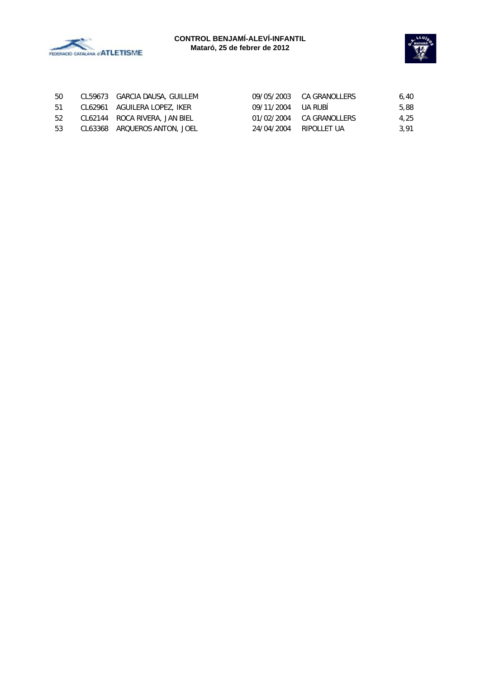



| 50  | CL59673 GARCIA DAUSA, GUILLEM |                        | 09/05/2003 CA GRANOLLERS | 6.40 |
|-----|-------------------------------|------------------------|--------------------------|------|
| 51  | CL62961 AGUILERA LOPEZ, IKER  | 09/11/2004 UA RUBI     |                          | 5,88 |
| -52 | CL62144 ROCA RIVERA, JAN BIEL |                        | 01/02/2004 CA GRANOLLERS | 4.25 |
| -53 | CL63368 ARQUEROS ANTON, JOEL  | 24/04/2004 RIPOLLET UA |                          | 3.91 |
|     |                               |                        |                          |      |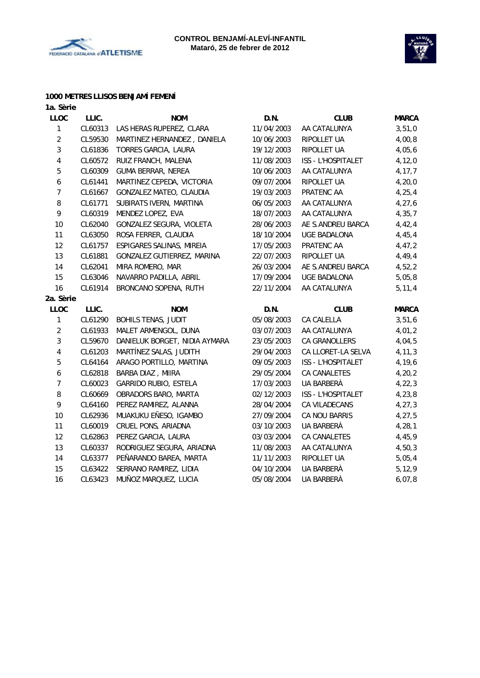



#### **1000 METRES LLISOS BENJAMÍ FEMENÍ**

| 1a. Sèrie               |         |                               |            |                     |              |
|-------------------------|---------|-------------------------------|------------|---------------------|--------------|
| <b>LLOC</b>             | LLIC.   | <b>NOM</b>                    | D.N.       | <b>CLUB</b>         | <b>MARCA</b> |
| $\mathbf{1}$            | CL60313 | LAS HERAS RUPEREZ, CLARA      | 11/04/2003 | AA CATALUNYA        | 3,51,0       |
| $\overline{2}$          | CL59530 | MARTINEZ HERNANDEZ, DANIELA   | 10/06/2003 | RIPOLLET UA         | 4,00,8       |
| 3                       | CL61836 | TORRES GARCIA, LAURA          | 19/12/2003 | RIPOLLET UA         | 4,05,6       |
| $\overline{\mathbf{4}}$ | CL60572 | RUIZ FRANCH, MALENA           | 11/08/2003 | ISS - L'HOSPITALET  | 4, 12, 0     |
| 5                       | CL60309 | <b>GUMA BERRAR, NEREA</b>     | 10/06/2003 | AA CATALUNYA        | 4, 17, 7     |
| $\boldsymbol{6}$        | CL61441 | MARTINEZ CEPEDA, VICTORIA     | 09/07/2004 | RIPOLLET UA         | 4, 20, 0     |
| $\overline{7}$          | CL61667 | GONZALEZ MATEO, CLAUDIA       | 19/03/2003 | PRATENC AA          | 4, 25, 4     |
| 8                       | CL61771 | SUBIRATS IVERN, MARTINA       | 06/05/2003 | AA CATALUNYA        | 4, 27, 6     |
| 9                       | CL60319 | MENDEZ LOPEZ, EVA             | 18/07/2003 | AA CATALUNYA        | 4, 35, 7     |
| 10                      | CL62040 | GONZALEZ SEGURA, VIOLETA      | 28/06/2003 | AE S.ANDREU BARCA   | 4,42,4       |
| 11                      | CL63050 | ROSA FERRER, CLAUDIA          | 18/10/2004 | <b>UGE BADALONA</b> | 4,45,4       |
| 12                      | CL61757 | ESPIGARES SALINAS, MIREIA     | 17/05/2003 | PRATENC AA          | 4,47,2       |
| 13                      | CL61881 | GONZALEZ GUTIERREZ, MARINA    | 22/07/2003 | RIPOLLET UA         | 4,49,4       |
| 14                      | CL62041 | MIRA ROMERO, MAR              | 26/03/2004 | AE S.ANDREU BARCA   | 4,52,2       |
| 15                      | CL63046 | NAVARRO PADILLA, ABRIL        | 17/09/2004 | UGE BADALONA        | 5,05,8       |
| 16                      | CL61914 | BRONCANO SOPENA, RUTH         | 22/11/2004 | AA CATALUNYA        | 5, 11, 4     |
| 2a. Sèrie               |         |                               |            |                     |              |
| <b>LLOC</b>             | LLIC.   | <b>NOM</b>                    | D.N.       | <b>CLUB</b>         | <b>MARCA</b> |
| $\mathbf{1}$            | CL61290 | <b>BOHILS TENAS, JUDIT</b>    | 05/08/2003 | <b>CA CALELLA</b>   | 3,51,6       |
| $\overline{2}$          | CL61933 | MALET ARMENGOL, DUNA          | 03/07/2003 | AA CATALUNYA        | 4,01,2       |
| 3                       | CL59670 | DANIELUK BORGET, NIDIA AYMARA | 23/05/2003 | CA GRANOLLERS       | 4,04,5       |
| $\pmb{4}$               | CL61203 | MARTÍNEZ SALAS, JUDITH        | 29/04/2003 | CA LLORET-LA SELVA  | 4, 11, 3     |
| $\sqrt{5}$              | CL64164 | ARAGO PORTILLO, MARTINA       | 09/05/2003 | ISS - L'HOSPITALET  | 4,19,6       |
| $\boldsymbol{6}$        | CL62818 | BARBA DIAZ, MIIRA             | 29/05/2004 | CA CANALETES        | 4, 20, 2     |
| $\overline{7}$          | CL60023 | GARRIDO RUBIO, ESTELA         | 17/03/2003 | UA BARBERÀ          | 4, 22, 3     |
| 8                       | CL60669 | OBRADORS BARO, MARTA          | 02/12/2003 | ISS - L'HOSPITALET  | 4,23,8       |
| 9                       | CL64160 | PEREZ RAMIREZ, ALANNA         | 28/04/2004 | CA VILADECANS       | 4, 27, 3     |
| 10                      | CL62936 | MUAKUKU EÑESO, IGAMBO         | 27/09/2004 | CA NOU BARRIS       | 4, 27, 5     |
| 11                      | CL60019 | CRUEL PONS, ARIADNA           | 03/10/2003 | UA BARBERÀ          | 4, 28, 1     |
| 12                      | CL62863 | PEREZ GARCIA, LAURA           | 03/03/2004 | CA CANALETES        | 4,45,9       |
| 13                      | CL60337 | RODRIGUEZ SEGURA, ARIADNA     | 11/08/2003 | AA CATALUNYA        | 4,50,3       |
| 14                      | CL63377 | PEÑARANDO BAREA, MARTA        | 11/11/2003 | RIPOLLET UA         | 5,05,4       |
| 15                      | CL63422 | SERRANO RAMIREZ, LIDIA        | 04/10/2004 | UA BARBERÀ          | 5, 12, 9     |
| 16                      | CL63423 | MUÑOZ MARQUEZ, LUCIA          | 05/08/2004 | UA BARBERÀ          | 6,07,8       |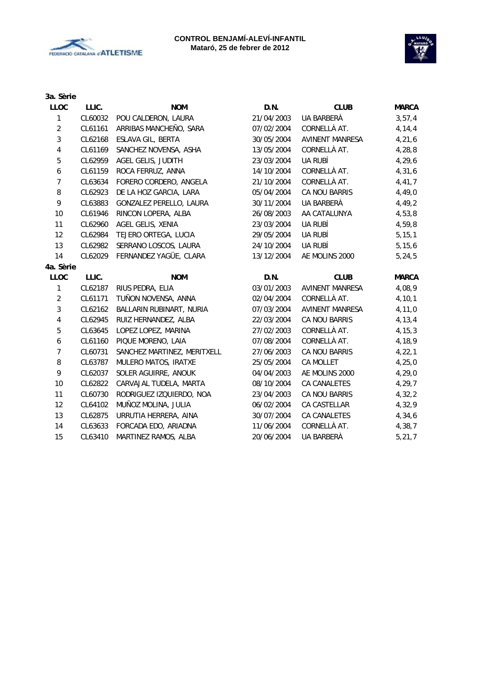



| 3a. Sèrie        |         |                             |            |                        |              |
|------------------|---------|-----------------------------|------------|------------------------|--------------|
| <b>LLOC</b>      | LLIC.   | <b>NOM</b>                  | D.N.       | <b>CLUB</b>            | <b>MARCA</b> |
| 1                | CL60032 | POU CALDERON, LAURA         | 21/04/2003 | UA BARBERÀ             | 3, 57, 4     |
| $\sqrt{2}$       | CL61161 | ARRIBAS MANCHEÑO, SARA      | 07/02/2004 | CORNELLÀ AT.           | 4, 14, 4     |
| $\sqrt{3}$       | CL62168 | ESLAVA GIL, BERTA           | 30/05/2004 | <b>AVINENT MANRESA</b> | 4,21,6       |
| 4                | CL61169 | SANCHEZ NOVENSA, ASHA       | 13/05/2004 | CORNELLÀ AT.           | 4,28,8       |
| 5                | CL62959 | AGEL GELIS, JUDITH          | 23/03/2004 | UA RUBÍ                | 4,29,6       |
| $\boldsymbol{6}$ | CL61159 | ROCA FERRUZ, ANNA           | 14/10/2004 | CORNELLÀ AT.           | 4, 31, 6     |
| $\overline{7}$   | CL63634 | FORERO CORDERO, ANGELA      | 21/10/2004 | CORNELLÀ AT.           | 4,41,7       |
| 8                | CL62923 | DE LA HOZ GARCIA, LARA      | 05/04/2004 | CA NOU BARRIS          | 4,49,0       |
| 9                | CL63883 | GONZALEZ PERELLO, LAURA     | 30/11/2004 | UA BARBERÀ             | 4,49,2       |
| 10               | CL61946 | RINCON LOPERA, ALBA         | 26/08/2003 | AA CATALUNYA           | 4,53,8       |
| 11               | CL62960 | AGEL GELIS, XENIA           | 23/03/2004 | UA RUBÍ                | 4,59,8       |
| 12               | CL62984 | TEJERO ORTEGA, LUCIA        | 29/05/2004 | UA RUBÍ                | 5, 15, 1     |
| 13               | CL62982 | SERRANO LOSCOS, LAURA       | 24/10/2004 | UA RUBÍ                | 5, 15, 6     |
| 14               | CL62029 | FERNANDEZ YAGÜE, CLARA      | 13/12/2004 | AE MOLINS 2000         | 5, 24, 5     |
| 4a. Sèrie        |         |                             |            |                        |              |
| LLOC             | LLIC.   | <b>NOM</b>                  | D.N.       | <b>CLUB</b>            | <b>MARCA</b> |
| 1                | CL62187 | RIUS PEDRA, ELIA            | 03/01/2003 | <b>AVINENT MANRESA</b> | 4,08,9       |
| $\overline{2}$   | CL61171 | TUÑON NOVENSA, ANNA         | 02/04/2004 | CORNELLÀ AT.           | 4, 10, 1     |
| 3                | CL62162 | BALLARIN RUBINART, NURIA    | 07/03/2004 | <b>AVINENT MANRESA</b> | 4,11,0       |
| $\pmb{4}$        | CL62945 | RUIZ HERNANDEZ, ALBA        | 22/03/2004 | CA NOU BARRIS          | 4, 13, 4     |
| 5                | CL63645 | LOPEZ LOPEZ, MARINA         | 27/02/2003 | CORNELLÀ AT.           | 4, 15, 3     |
| 6                | CL61160 | PIQUE MORENO, LAIA          | 07/08/2004 | CORNELLÀ AT.           | 4,18,9       |
| $\overline{7}$   | CL60731 | SANCHEZ MARTINEZ, MERITXELL | 27/06/2003 | CA NOU BARRIS          | 4, 22, 1     |
| 8                | CL63787 | MULERO MATOS, IRATXE        | 25/05/2004 | CA MOLLET              | 4, 25, 0     |
| 9                | CL62037 | SOLER AGUIRRE, ANOUK        | 04/04/2003 | AE MOLINS 2000         | 4, 29, 0     |
| 10               | CL62822 | CARVAJAL TUDELA, MARTA      | 08/10/2004 | CA CANALETES           | 4,29,7       |
| 11               | CL60730 | RODRIGUEZ IZQUIERDO, NOA    | 23/04/2003 | CA NOU BARRIS          | 4,32,2       |
| 12               | CL64102 | MUÑOZ MOLINA, JULIA         | 06/02/2004 | CA CASTELLAR           | 4,32,9       |
| 13               | CL62875 | URRUTIA HERRERA, AINA       | 30/07/2004 | CA CANALETES           | 4,34,6       |
| 14               | CL63633 | FORCADA EDO, ARIADNA        | 11/06/2004 | CORNELLÀ AT.           | 4,38,7       |
| 15               | CL63410 | MARTINEZ RAMOS, ALBA        | 20/06/2004 | UA BARBERÀ             | 5, 21, 7     |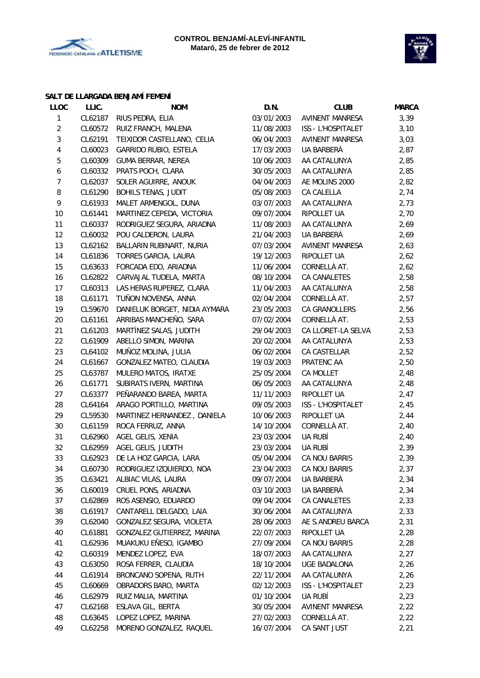



#### **SALT DE LLARGADA BENJAMÍ FEMENÍ**

| <b>LLOC</b>             | LLIC.   | <b>NOM</b>                    | D.N.       | <b>CLUB</b>            | <b>MARCA</b> |
|-------------------------|---------|-------------------------------|------------|------------------------|--------------|
| 1                       | CL62187 | RIUS PEDRA, ELIA              | 03/01/2003 | <b>AVINENT MANRESA</b> | 3,39         |
| $\overline{2}$          | CL60572 | RUIZ FRANCH, MALENA           | 11/08/2003 | ISS - L'HOSPITALET     | 3,10         |
| 3                       | CL62191 | TEIXIDOR CASTELLANO, CELIA    | 06/04/2003 | AVINENT MANRESA        | 3,03         |
| $\overline{\mathbf{4}}$ | CL60023 | GARRIDO RUBIO, ESTELA         | 17/03/2003 | UA BARBERÀ             | 2,87         |
| 5                       | CL60309 | <b>GUMA BERRAR, NEREA</b>     | 10/06/2003 | AA CATALUNYA           | 2,85         |
| 6                       | CL60332 | PRATS POCH, CLARA             | 30/05/2003 | AA CATALUNYA           | 2,85         |
| 7                       | CL62037 | SOLER AGUIRRE, ANOUK          | 04/04/2003 | AE MOLINS 2000         | 2,82         |
| 8                       | CL61290 | <b>BOHILS TENAS, JUDIT</b>    | 05/08/2003 | CA CALELLA             | 2,74         |
| 9                       | CL61933 | MALET ARMENGOL, DUNA          | 03/07/2003 | AA CATALUNYA           | 2,73         |
| 10                      | CL61441 | MARTINEZ CEPEDA, VICTORIA     | 09/07/2004 | RIPOLLET UA            | 2,70         |
| 11                      | CL60337 | RODRIGUEZ SEGURA, ARIADNA     | 11/08/2003 | AA CATALUNYA           | 2,69         |
| 12                      | CL60032 | POU CALDERON, LAURA           | 21/04/2003 | UA BARBERÀ             | 2,69         |
| 13                      | CL62162 | BALLARIN RUBINART, NURIA      | 07/03/2004 | AVINENT MANRESA        | 2,63         |
| 14                      | CL61836 | TORRES GARCIA, LAURA          | 19/12/2003 | RIPOLLET UA            | 2,62         |
| 15                      | CL63633 | FORCADA EDO, ARIADNA          | 11/06/2004 | CORNELLÀ AT.           | 2,62         |
| 16                      | CL62822 | CARVAJAL TUDELA, MARTA        | 08/10/2004 | CA CANALETES           | 2,58         |
| 17                      | CL60313 | LAS HERAS RUPEREZ, CLARA      | 11/04/2003 | AA CATALUNYA           | 2,58         |
| 18                      | CL61171 | TUÑON NOVENSA, ANNA           | 02/04/2004 | CORNELLÀ AT.           | 2,57         |
| 19                      | CL59670 | DANIELUK BORGET, NIDIA AYMARA | 23/05/2003 | CA GRANOLLERS          | 2,56         |
| 20                      | CL61161 | ARRIBAS MANCHEÑO, SARA        | 07/02/2004 | CORNELLÀ AT.           | 2,53         |
| 21                      | CL61203 | MARTÍNEZ SALAS, JUDITH        | 29/04/2003 | CA LLORET-LA SELVA     | 2,53         |
| 22                      | CL61909 | ABELLO SIMON, MARINA          | 20/02/2004 | AA CATALUNYA           | 2,53         |
| 23                      | CL64102 | MUÑOZ MOLINA, JULIA           | 06/02/2004 | CA CASTELLAR           | 2,52         |
| 24                      | CL61667 | GONZALEZ MATEO, CLAUDIA       | 19/03/2003 | PRATENC AA             | 2,50         |
| 25                      | CL63787 | MULERO MATOS, IRATXE          | 25/05/2004 | CA MOLLET              | 2,48         |
| 26                      | CL61771 | SUBIRATS IVERN, MARTINA       | 06/05/2003 | AA CATALUNYA           | 2,48         |
| 27                      | CL63377 | PEÑARANDO BAREA, MARTA        | 11/11/2003 | RIPOLLET UA            | 2,47         |
| 28                      | CL64164 | ARAGO PORTILLO, MARTINA       | 09/05/2003 | ISS - L'HOSPITALET     | 2,45         |
| 29                      | CL59530 | MARTINEZ HERNANDEZ, DANIELA   | 10/06/2003 | RIPOLLET UA            | 2,44         |
| 30                      | CL61159 | ROCA FERRUZ, ANNA             | 14/10/2004 | CORNELLÀ AT.           | 2,40         |
| 31                      | CL62960 | AGEL GELIS, XENIA             | 23/03/2004 | UA RUBÍ                | 2,40         |
| 32                      | CL62959 | AGEL GELIS, JUDITH            | 23/03/2004 | UA RUBÍ                | 2,39         |
| 33                      | CL62923 | DE LA HOZ GARCIA, LARA        | 05/04/2004 | CA NOU BARRIS          | 2,39         |
| 34                      | CL60730 | RODRIGUEZ IZQUIERDO, NOA      | 23/04/2003 | CA NOU BARRIS          | 2,37         |
| 35                      | CL63421 | ALBIAC VILAS, LAURA           | 09/07/2004 | UA BARBERÀ             | 2,34         |
| 36                      | CL60019 | CRUEL PONS, ARIADNA           | 03/10/2003 | UA BARBERA             | 2,34         |
| 37                      | CL62869 | ROS ASENSIO, EDUARDO          | 09/04/2004 | CA CANALETES           | 2,33         |
| 38                      | CL61917 | CANTARELL DELGADO, LAIA       | 30/06/2004 | AA CATALUNYA           | 2,33         |
| 39                      | CL62040 | GONZALEZ SEGURA, VIOLETA      | 28/06/2003 | AE S.ANDREU BARCA      | 2,31         |
| 40                      | CL61881 | GONZALEZ GUTIERREZ, MARINA    | 22/07/2003 | RIPOLLET UA            | 2,28         |
| 41                      | CL62936 | MUAKUKU EÑESO, IGAMBO         | 27/09/2004 | CA NOU BARRIS          | 2,28         |
| 42                      | CL60319 | MENDEZ LOPEZ, EVA             | 18/07/2003 | AA CATALUNYA           | 2,27         |
| 43                      | CL63050 | ROSA FERRER, CLAUDIA          | 18/10/2004 | <b>UGE BADALONA</b>    | 2,26         |
| 44                      | CL61914 | BRONCANO SOPENA, RUTH         | 22/11/2004 | AA CATALUNYA           | 2,26         |
| 45                      | CL60669 | OBRADORS BARO, MARTA          | 02/12/2003 | ISS - L'HOSPITALET     | 2,23         |
| 46                      | CL62979 | RUIZ MALIA, MARTINA           | 01/10/2004 | UA RUBÍ                | 2,23         |
| 47                      | CL62168 | ESLAVA GIL, BERTA             | 30/05/2004 | AVINENT MANRESA        | 2,22         |
| 48                      | CL63645 | LOPEZ LOPEZ, MARINA           | 27/02/2003 | CORNELLÀ AT.           | 2,22         |
| 49                      | CL62258 | MORENO GONZALEZ, RAQUEL       | 16/07/2004 | CA SANT JUST           | 2,21         |
|                         |         |                               |            |                        |              |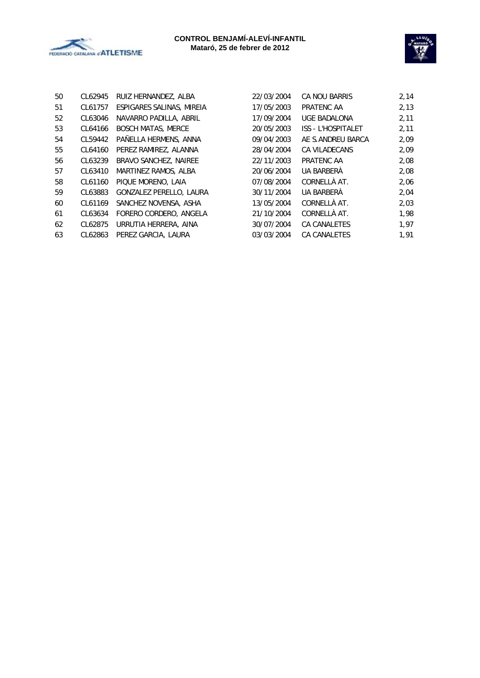



| 50 | CL62945 | RUIZ HERNANDEZ, ALBA      | 22/03/2004 | CA NOU BARRIS             | 2,14 |
|----|---------|---------------------------|------------|---------------------------|------|
| 51 | CL61757 | ESPIGARES SALINAS, MIREIA | 17/05/2003 | PRATENC AA                | 2,13 |
| 52 | CL63046 | NAVARRO PADILLA, ABRIL    | 17/09/2004 | UGE BADALONA              | 2,11 |
| 53 | CL64166 | <b>BOSCH MATAS, MERCE</b> | 20/05/2003 | <b>ISS - L'HOSPITALET</b> | 2,11 |
| 54 | CL59442 | PAÑELLA HERMENS, ANNA     | 09/04/2003 | AE S.ANDREU BARCA         | 2,09 |
| 55 | CL64160 | PEREZ RAMIREZ, ALANNA     | 28/04/2004 | <b>CA VILADECANS</b>      | 2,09 |
| 56 | CL63239 | BRAVO SANCHEZ, NAIREE     | 22/11/2003 | PRATENC AA                | 2,08 |
| 57 | CL63410 | MARTINEZ RAMOS, ALBA      | 20/06/2004 | UA BARBERÀ                | 2,08 |
| 58 | CL61160 | PIQUE MORENO, LAIA        | 07/08/2004 | CORNELLÀ AT.              | 2,06 |
| 59 | CL63883 | GONZALEZ PERELLO, LAURA   | 30/11/2004 | UA BARBERÀ                | 2,04 |
| 60 | CL61169 | SANCHEZ NOVENSA, ASHA     | 13/05/2004 | CORNELLÀ AT.              | 2,03 |
| 61 | CL63634 | FORERO CORDERO, ANGELA    | 21/10/2004 | CORNELLÀ AT.              | 1,98 |
| 62 | CL62875 | URRUTIA HERRERA, AINA     | 30/07/2004 | CA CANALETES              | 1,97 |
| 63 | CL62863 | PEREZ GARCIA, LAURA       | 03/03/2004 | CA CANALETES              | 1,91 |
|    |         |                           |            |                           |      |

| 22/03/2004 | CA NOU BARRIS             | 2,14 |
|------------|---------------------------|------|
| 17/05/2003 | PRATENC AA                | 2,13 |
| 17/09/2004 | <b>UGE BADALONA</b>       | 2,11 |
| 20/05/2003 | <b>ISS - L'HOSPITALET</b> | 2,11 |
| 09/04/2003 | AE S.ANDREU BARCA         | 2,09 |
| 28/04/2004 | CA VILADECANS             | 2,09 |
| 22/11/2003 | PRATENC AA                | 2,08 |
| 20/06/2004 | UA BARBERÀ                | 2,08 |
| 07/08/2004 | CORNELLÀ AT.              | 2,06 |
| 30/11/2004 | UA BARBERÀ                | 2,04 |
| 13/05/2004 | CORNELLÀ AT.              | 2,03 |
| 21/10/2004 | CORNELLÀ AT.              | 1,98 |
| 30/07/2004 | <b>CA CANALETES</b>       | 1,97 |
| 03/03/2004 | <b>CA CANALETES</b>       | 1,91 |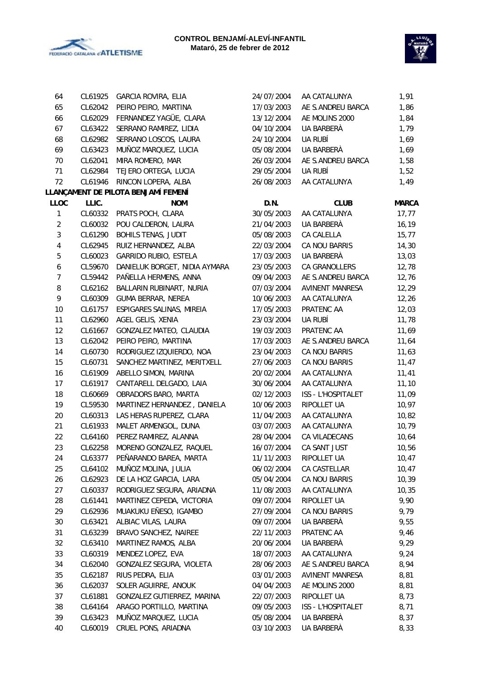



| 64                      | CL61925 | GARCIA ROVIRA, ELIA                 | 24/07/2004 | AA CATALUNYA           | 1,91         |
|-------------------------|---------|-------------------------------------|------------|------------------------|--------------|
| 65                      | CL62042 | PEIRO PEIRO, MARTINA                | 17/03/2003 | AE S.ANDREU BARCA      | 1,86         |
| 66                      | CL62029 | FERNANDEZ YAGÜE, CLARA              | 13/12/2004 | AE MOLINS 2000         | 1,84         |
| 67                      | CL63422 | SERRANO RAMIREZ, LIDIA              | 04/10/2004 | UA BARBERÀ             | 1,79         |
| 68                      | CL62982 | SERRANO LOSCOS, LAURA               | 24/10/2004 | UA RUBÍ                | 1,69         |
| 69                      | CL63423 | MUÑOZ MARQUEZ, LUCIA                | 05/08/2004 | UA BARBERÀ             | 1,69         |
| 70                      | CL62041 | MIRA ROMERO, MAR                    | 26/03/2004 | AE S.ANDREU BARCA      | 1,58         |
| 71                      | CL62984 | TEJERO ORTEGA, LUCIA                | 29/05/2004 | UA RUBÍ                | 1,52         |
| 72                      | CL61946 | RINCON LOPERA, ALBA                 | 26/08/2003 | AA CATALUNYA           | 1,49         |
|                         |         | LLANÇAMENT DE PILOTA BENJAMÍ FEMENÍ |            |                        |              |
| <b>LLOC</b>             | LLIC.   | <b>NOM</b>                          | D.N.       | <b>CLUB</b>            | <b>MARCA</b> |
| $\mathbf{1}$            | CL60332 | PRATS POCH, CLARA                   | 30/05/2003 | AA CATALUNYA           | 17, 77       |
| $\overline{2}$          | CL60032 | POU CALDERON, LAURA                 | 21/04/2003 | UA BARBERÀ             | 16,19        |
| 3                       | CL61290 | <b>BOHILS TENAS, JUDIT</b>          | 05/08/2003 | CA CALELLA             | 15, 77       |
| $\overline{\mathbf{4}}$ | CL62945 | RUIZ HERNANDEZ, ALBA                | 22/03/2004 | CA NOU BARRIS          | 14,30        |
| $\sqrt{5}$              | CL60023 | GARRIDO RUBIO, ESTELA               | 17/03/2003 | UA BARBERÀ             | 13,03        |
| 6                       | CL59670 | DANIELUK BORGET, NIDIA AYMARA       | 23/05/2003 | CA GRANOLLERS          | 12,78        |
| $\overline{7}$          | CL59442 | PAÑELLA HERMENS, ANNA               | 09/04/2003 | AE S.ANDREU BARCA      | 12,76        |
| 8                       | CL62162 | BALLARIN RUBINART, NURIA            | 07/03/2004 | <b>AVINENT MANRESA</b> | 12,29        |
| 9                       | CL60309 | GUMA BERRAR, NEREA                  | 10/06/2003 | AA CATALUNYA           | 12,26        |
| 10                      | CL61757 | ESPIGARES SALINAS, MIREIA           | 17/05/2003 | PRATENC AA             | 12,03        |
| 11                      | CL62960 | AGEL GELIS, XENIA                   | 23/03/2004 | UA RUBÍ                | 11,78        |
| 12                      | CL61667 | GONZALEZ MATEO, CLAUDIA             | 19/03/2003 | PRATENC AA             | 11,69        |
| 13                      | CL62042 | PEIRO PEIRO, MARTINA                | 17/03/2003 | AE S.ANDREU BARCA      | 11,64        |
| 14                      | CL60730 | RODRIGUEZ IZQUIERDO, NOA            | 23/04/2003 | CA NOU BARRIS          | 11,63        |
| 15                      | CL60731 | SANCHEZ MARTINEZ, MERITXELL         | 27/06/2003 | CA NOU BARRIS          | 11,47        |
| 16                      | CL61909 | ABELLO SIMON, MARINA                | 20/02/2004 | AA CATALUNYA           | 11,41        |
| 17                      | CL61917 | CANTARELL DELGADO, LAIA             | 30/06/2004 | AA CATALUNYA           | 11,10        |
| 18                      | CL60669 | OBRADORS BARO, MARTA                | 02/12/2003 | ISS - L'HOSPITALET     | 11,09        |
| 19                      | CL59530 | MARTINEZ HERNANDEZ, DANIELA         | 10/06/2003 | RIPOLLET UA            | 10,97        |
| 20                      | CL60313 | LAS HERAS RUPEREZ, CLARA            | 11/04/2003 | AA CATALUNYA           | 10,82        |
| 21                      | CL61933 | MALET ARMENGOL, DUNA                | 03/07/2003 | AA CATALUNYA           | 10,79        |
| 22                      | CL64160 | PEREZ RAMIREZ, ALANNA               | 28/04/2004 | CA VILADECANS          | 10,64        |
| 23                      | CL62258 | MORENO GONZALEZ, RAQUEL             | 16/07/2004 | CA SANT JUST           | 10,56        |
| 24                      | CL63377 | PEÑARANDO BAREA, MARTA              | 11/11/2003 | RIPOLLET UA            | 10,47        |
| 25                      | CL64102 | MUÑOZ MOLINA, JULIA                 | 06/02/2004 | CA CASTELLAR           | 10,47        |
| 26                      | CL62923 | DE LA HOZ GARCIA, LARA              | 05/04/2004 | CA NOU BARRIS          | 10, 39       |
| 27                      | CL60337 | RODRIGUEZ SEGURA, ARIADNA           | 11/08/2003 | AA CATALUNYA           | 10,35        |
| 28                      | CL61441 | MARTINEZ CEPEDA, VICTORIA           | 09/07/2004 | RIPOLLET UA            | 9,90         |
| 29                      | CL62936 | MUAKUKU EÑESO, IGAMBO               | 27/09/2004 | CA NOU BARRIS          | 9,79         |
| 30                      | CL63421 | ALBIAC VILAS, LAURA                 | 09/07/2004 | UA BARBERÀ             | 9,55         |
| 31                      | CL63239 | BRAVO SANCHEZ, NAIREE               | 22/11/2003 | PRATENC AA             | 9,46         |
| 32                      | CL63410 | MARTINEZ RAMOS, ALBA                | 20/06/2004 | UA BARBERÀ             | 9,29         |
| 33                      | CL60319 | MENDEZ LOPEZ, EVA                   | 18/07/2003 | AA CATALUNYA           | 9,24         |
| 34                      | CL62040 | GONZALEZ SEGURA, VIOLETA            | 28/06/2003 | AE S.ANDREU BARCA      | 8,94         |
| 35                      | CL62187 | RIUS PEDRA, ELIA                    | 03/01/2003 | <b>AVINENT MANRESA</b> | 8,81         |
| 36                      | CL62037 | SOLER AGUIRRE, ANOUK                | 04/04/2003 | AE MOLINS 2000         | 8,81         |
| 37                      | CL61881 | GONZALEZ GUTIERREZ, MARINA          | 22/07/2003 | RIPOLLET UA            | 8,73         |
| 38                      | CL64164 | ARAGO PORTILLO, MARTINA             |            | ISS - L'HOSPITALET     |              |
| 39                      |         | MUÑOZ MARQUEZ, LUCIA                | 09/05/2003 | UA BARBERÀ             | 8,71         |
|                         | CL63423 |                                     | 05/08/2004 |                        | 8,37         |
| 40                      | CL60019 | CRUEL PONS, ARIADNA                 | 03/10/2003 | UA BARBERÀ             | 8,33         |